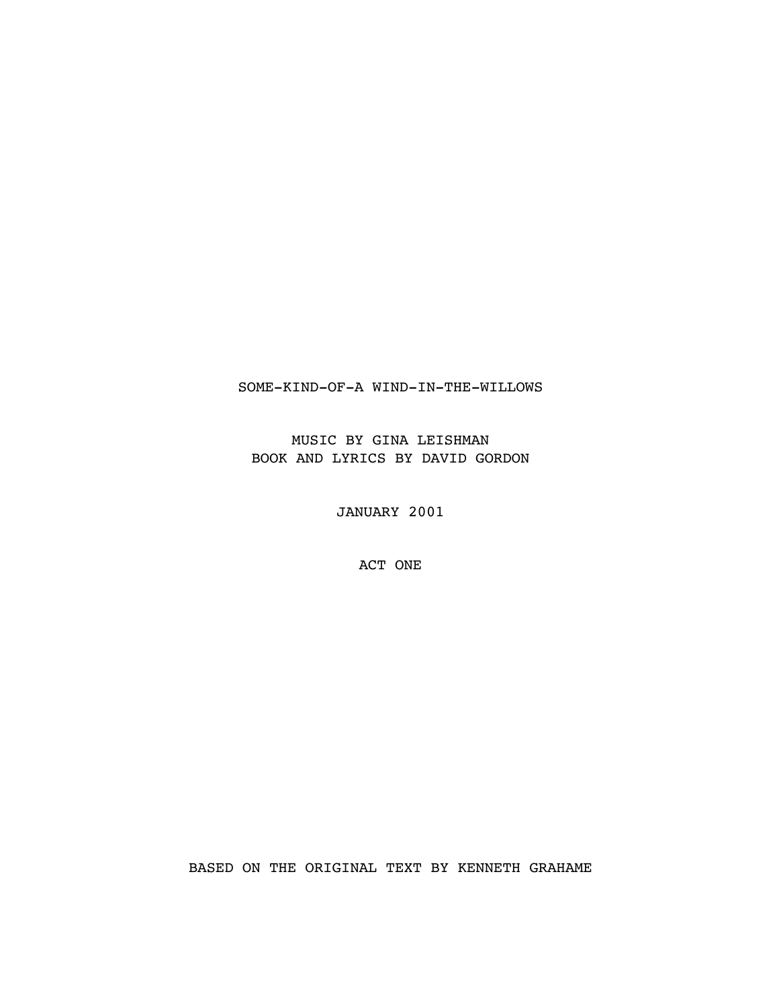## SOME-KIND-OF-A WIND-IN-THE-WILLOWS

MUSIC BY GINA LEISHMAN BOOK AND LYRICS BY DAVID GORDON

JANUARY 2001

ACT ONE

BASED ON THE ORIGINAL TEXT BY KENNETH GRAHAME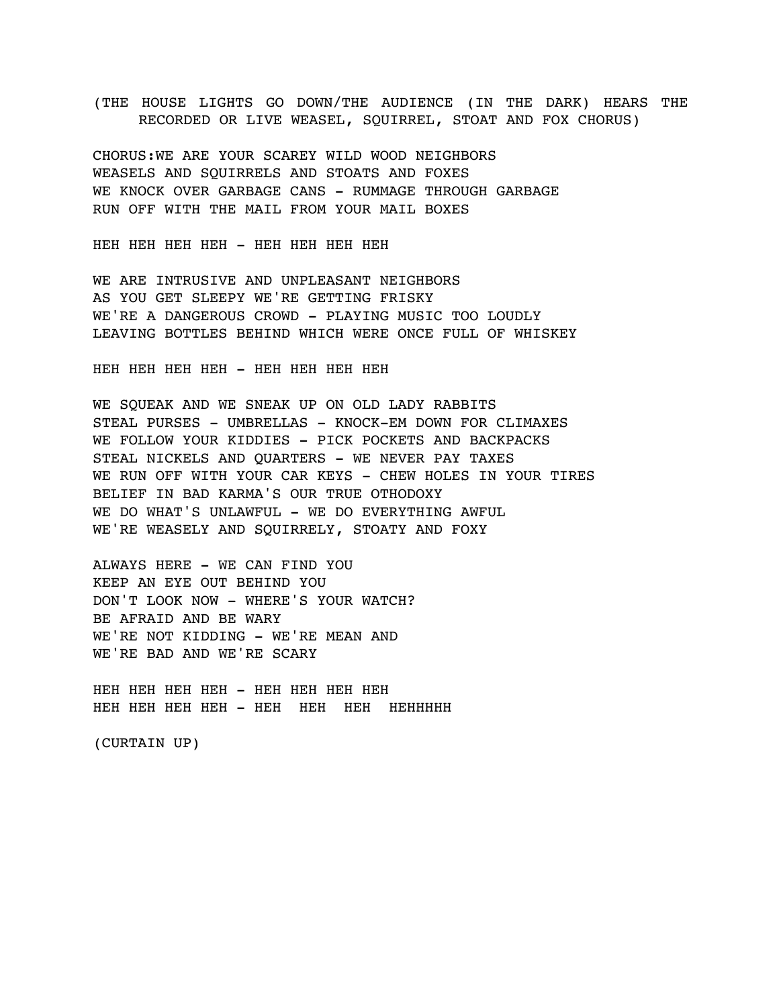(THE HOUSE LIGHTS GO DOWN/THE AUDIENCE (IN THE DARK) HEARS THE RECORDED OR LIVE WEASEL, SQUIRREL, STOAT AND FOX CHORUS)

CHORUS:WE ARE YOUR SCAREY WILD WOOD NEIGHBORS WEASELS AND SQUIRRELS AND STOATS AND FOXES WE KNOCK OVER GARBAGE CANS - RUMMAGE THROUGH GARBAGE RUN OFF WITH THE MAIL FROM YOUR MAIL BOXES

HEH HEH HEH HEH - HEH HEH HEH HEH

WE ARE INTRUSIVE AND UNPLEASANT NEIGHBORS AS YOU GET SLEEPY WE'RE GETTING FRISKY WE'RE A DANGEROUS CROWD - PLAYING MUSIC TOO LOUDLY LEAVING BOTTLES BEHIND WHICH WERE ONCE FULL OF WHISKEY

HEH HEH HEH HEH - HEH HEH HEH HEH

WE SQUEAK AND WE SNEAK UP ON OLD LADY RABBITS STEAL PURSES - UMBRELLAS - KNOCK-EM DOWN FOR CLIMAXES WE FOLLOW YOUR KIDDIES - PICK POCKETS AND BACKPACKS STEAL NICKELS AND OUARTERS - WE NEVER PAY TAXES WE RUN OFF WITH YOUR CAR KEYS - CHEW HOLES IN YOUR TIRES BELIEF IN BAD KARMA'S OUR TRUE OTHODOXY WE DO WHAT'S UNLAWFUL - WE DO EVERYTHING AWFUL WE'RE WEASELY AND SQUIRRELY, STOATY AND FOXY

ALWAYS HERE - WE CAN FIND YOU KEEP AN EYE OUT BEHIND YOU DON'T LOOK NOW - WHERE'S YOUR WATCH? BE AFRAID AND BE WARY WE'RE NOT KIDDING - WE'RE MEAN AND WE'RE BAD AND WE'RE SCARY

HEH HEH HEH HEH - HEH HEH HEH HEH HEH HEH HEH HEH - HEH HEH HEH HEHHHHH

(CURTAIN UP)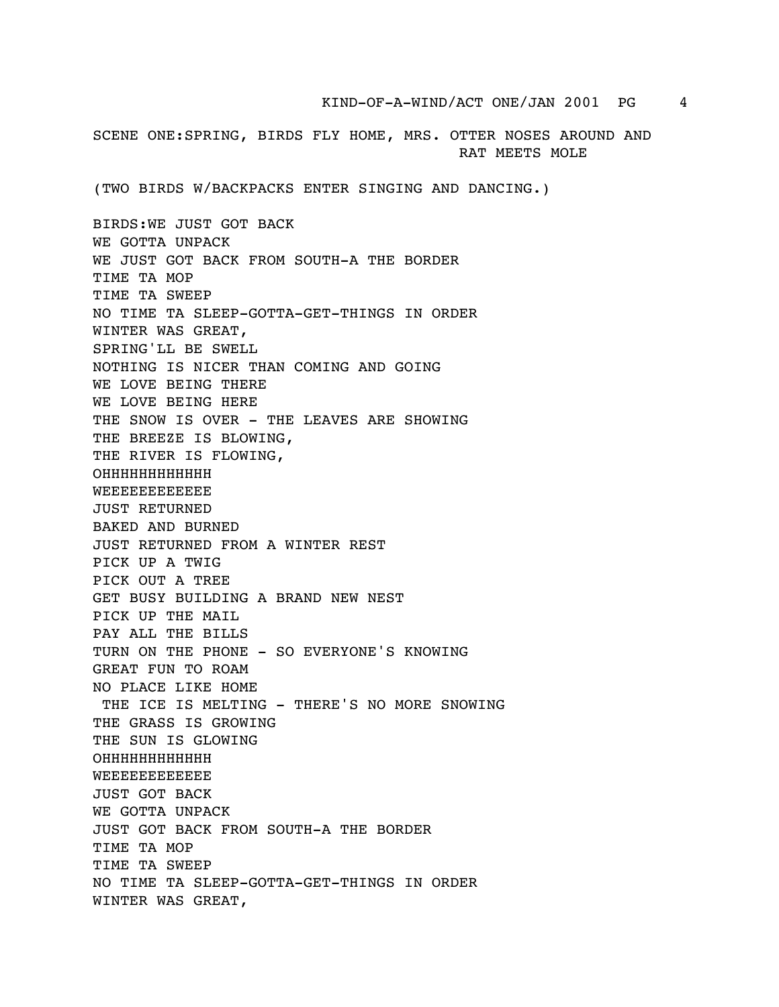SCENE ONE:SPRING, BIRDS FLY HOME, MRS. OTTER NOSES AROUND AND RAT MEETS MOLE

(TWO BIRDS W/BACKPACKS ENTER SINGING AND DANCING.)

BIRDS:WE JUST GOT BACK WE GOTTA UNPACK WE JUST GOT BACK FROM SOUTH-A THE BORDER TIME TA MOP TIME TA SWEEP NO TIME TA SLEEP-GOTTA-GET-THINGS IN ORDER WINTER WAS GREAT, SPRING'LL BE SWELL NOTHING IS NICER THAN COMING AND GOING WE LOVE BEING THERE WE LOVE BEING HERE THE SNOW IS OVER - THE LEAVES ARE SHOWING THE BREEZE IS BLOWING, THE RIVER IS FLOWING, OHHHHHHHHHHHH **WEEEEEEEEEE** JUST RETURNED BAKED AND BURNED JUST RETURNED FROM A WINTER REST PICK UP A TWIG PICK OUT A TREE GET BUSY BUILDING A BRAND NEW NEST PICK UP THE MAIL PAY ALL THE BILLS TURN ON THE PHONE - SO EVERYONE'S KNOWING GREAT FUN TO ROAM NO PLACE LIKE HOME THE ICE IS MELTING - THERE'S NO MORE SNOWING THE GRASS IS GROWING THE SUN IS GLOWING OHHHHHHHHHHHH WEEEEEEEEEEEE JUST GOT BACK WE GOTTA UNPACK JUST GOT BACK FROM SOUTH-A THE BORDER TIME TA MOP TIME TA SWEEP NO TIME TA SLEEP-GOTTA-GET-THINGS IN ORDER WINTER WAS GREAT,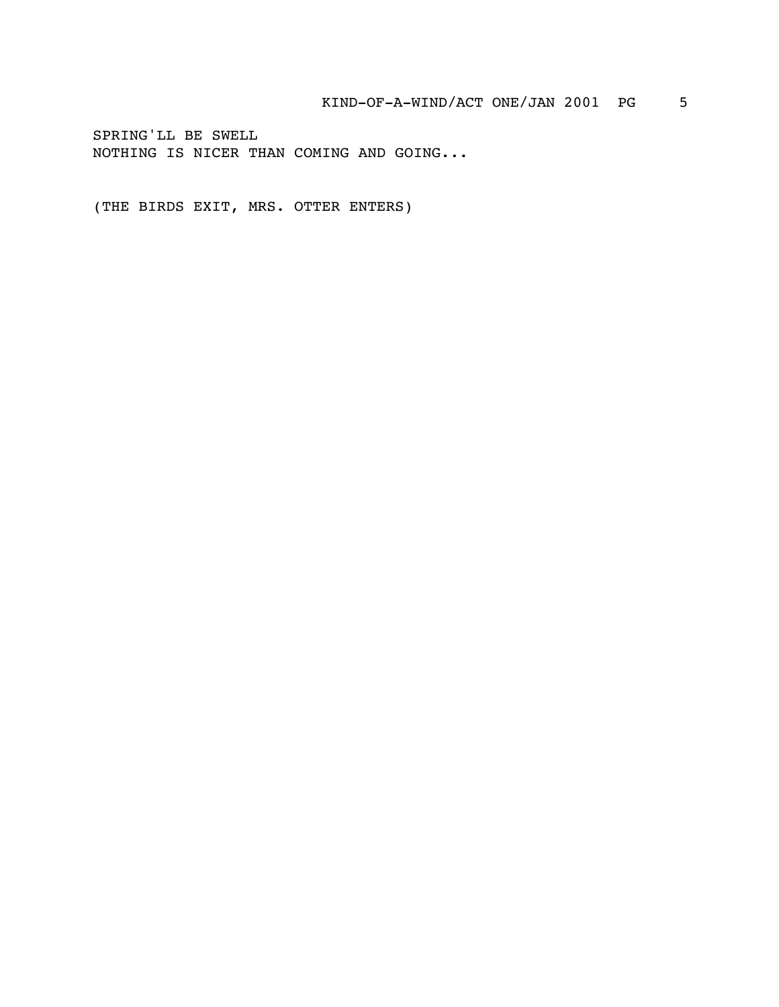SPRING'LL BE SWELL NOTHING IS NICER THAN COMING AND GOING...

(THE BIRDS EXIT, MRS. OTTER ENTERS)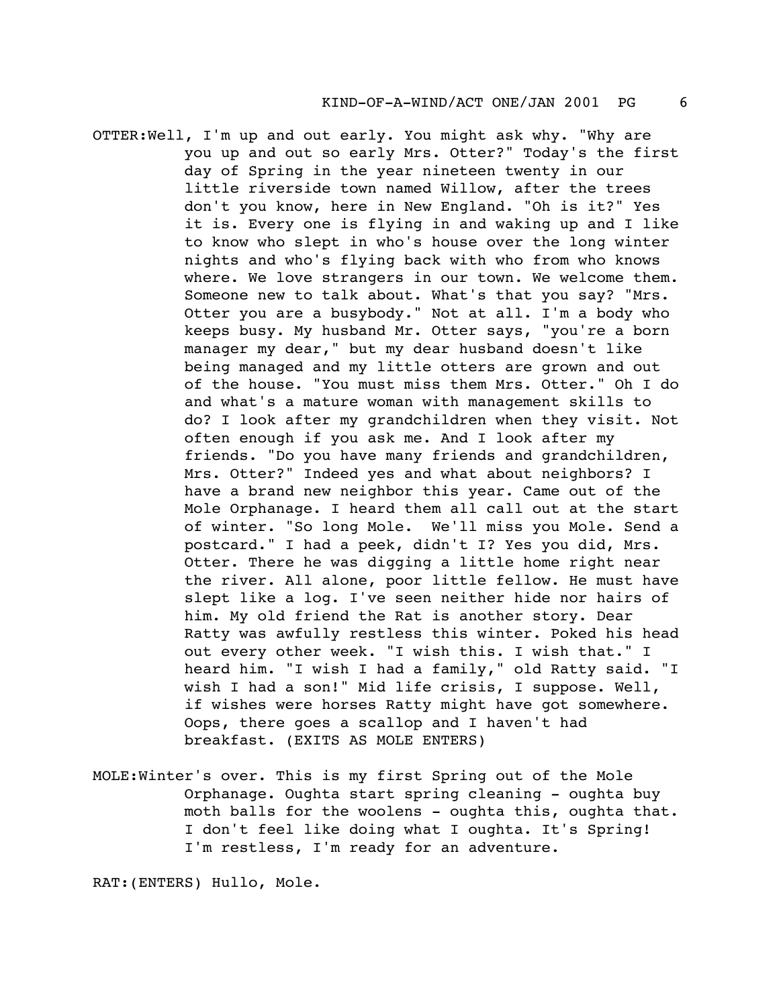- OTTER:Well, I'm up and out early. You might ask why. "Why are you up and out so early Mrs. Otter?" Today's the first day of Spring in the year nineteen twenty in our little riverside town named Willow, after the trees don't you know, here in New England. "Oh is it?" Yes it is. Every one is flying in and waking up and I like to know who slept in who's house over the long winter nights and who's flying back with who from who knows where. We love strangers in our town. We welcome them. Someone new to talk about. What's that you say? "Mrs. Otter you are a busybody." Not at all. I'm a body who keeps busy. My husband Mr. Otter says, "you're a born manager my dear," but my dear husband doesn't like being managed and my little otters are grown and out of the house. "You must miss them Mrs. Otter." Oh I do and what's a mature woman with management skills to do? I look after my grandchildren when they visit. Not often enough if you ask me. And I look after my friends. "Do you have many friends and grandchildren, Mrs. Otter?" Indeed yes and what about neighbors? I have a brand new neighbor this year. Came out of the Mole Orphanage. I heard them all call out at the start of winter. "So long Mole. We'll miss you Mole. Send a postcard." I had a peek, didn't I? Yes you did, Mrs. Otter. There he was digging a little home right near the river. All alone, poor little fellow. He must have slept like a log. I've seen neither hide nor hairs of him. My old friend the Rat is another story. Dear Ratty was awfully restless this winter. Poked his head out every other week. "I wish this. I wish that." I heard him. "I wish I had a family," old Ratty said. "I wish I had a son!" Mid life crisis, I suppose. Well, if wishes were horses Ratty might have got somewhere. Oops, there goes a scallop and I haven't had breakfast. (EXITS AS MOLE ENTERS)
- MOLE:Winter's over. This is my first Spring out of the Mole Orphanage. Oughta start spring cleaning - oughta buy moth balls for the woolens - oughta this, oughta that. I don't feel like doing what I oughta. It's Spring! I'm restless, I'm ready for an adventure.

RAT:(ENTERS) Hullo, Mole.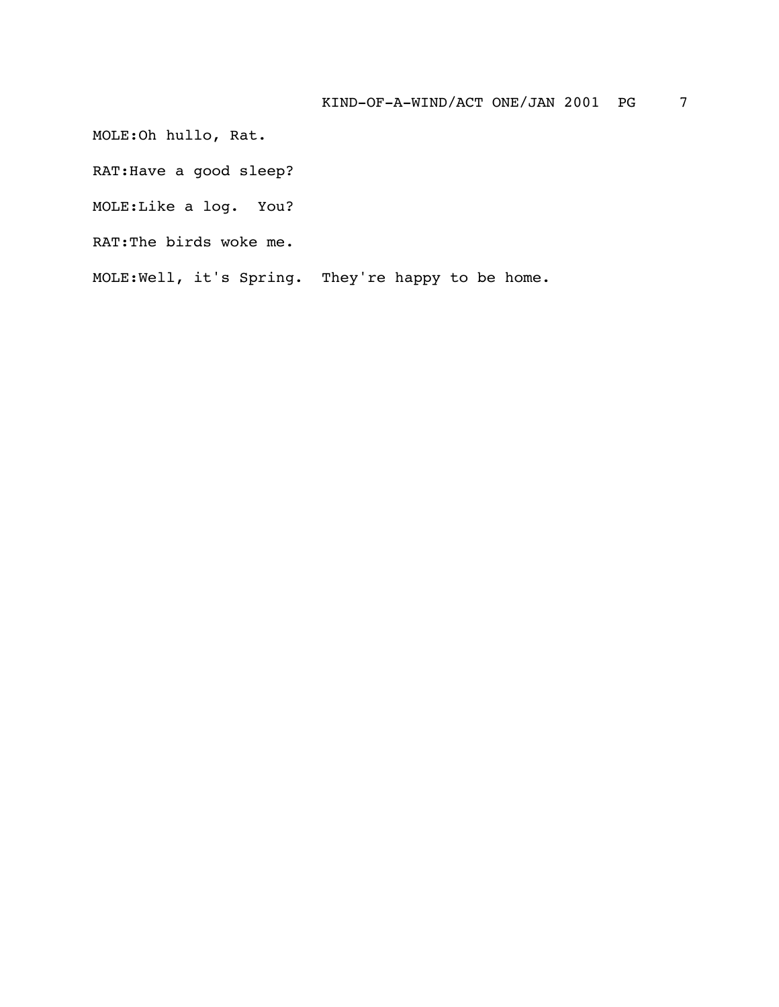MOLE:Oh hullo, Rat.

RAT:Have a good sleep?

MOLE:Like a log. You?

RAT:The birds woke me.

MOLE:Well, it's Spring. They're happy to be home.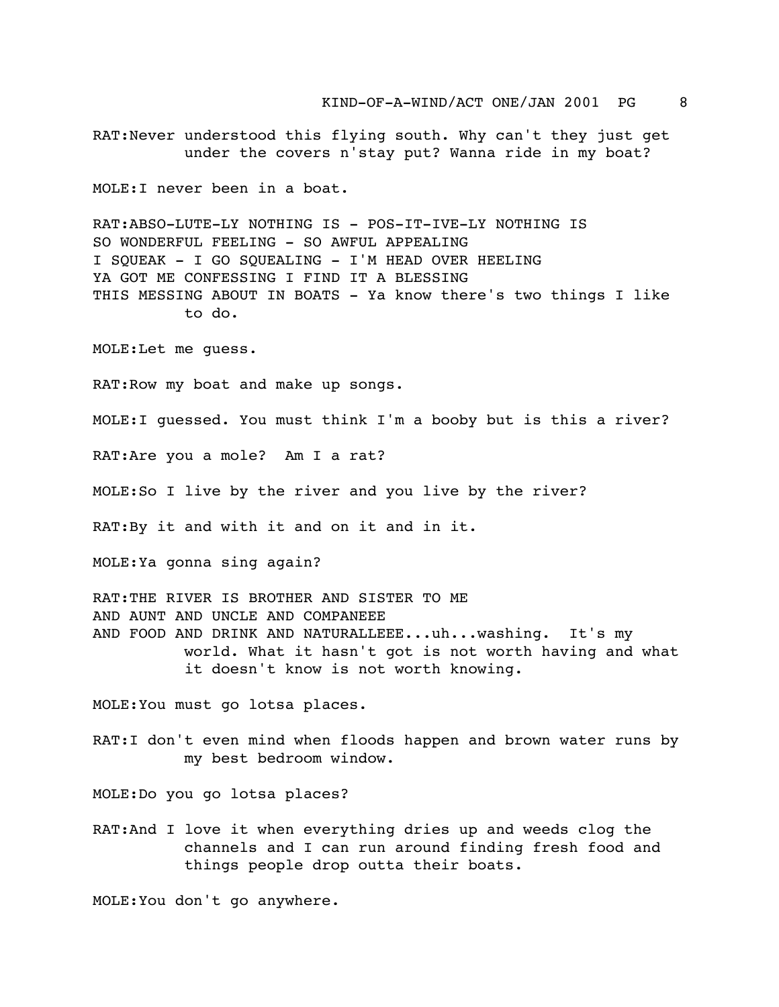RAT:Never understood this flying south. Why can't they just get under the covers n'stay put? Wanna ride in my boat?

MOLE:I never been in a boat.

RAT:ABSO-LUTE-LY NOTHING IS - POS-IT-IVE-LY NOTHING IS SO WONDERFUL FEELING - SO AWFUL APPEALING I SQUEAK - I GO SQUEALING - I'M HEAD OVER HEELING YA GOT ME CONFESSING I FIND IT A BLESSING THIS MESSING ABOUT IN BOATS - Ya know there's two things I like to do.

MOLE:Let me guess.

RAT:Row my boat and make up songs.

MOLE:I guessed. You must think I'm a booby but is this a river?

RAT:Are you a mole? Am I a rat?

MOLE:So I live by the river and you live by the river?

RAT:By it and with it and on it and in it.

MOLE:Ya gonna sing again?

RAT:THE RIVER IS BROTHER AND SISTER TO ME AND AUNT AND UNCLE AND COMPANEEE AND FOOD AND DRINK AND NATURALLEEE...uh...washing. It's my world. What it hasn't got is not worth having and what it doesn't know is not worth knowing.

MOLE:You must go lotsa places.

RAT:I don't even mind when floods happen and brown water runs by my best bedroom window.

MOLE:Do you go lotsa places?

RAT:And I love it when everything dries up and weeds clog the channels and I can run around finding fresh food and things people drop outta their boats.

MOLE:You don't go anywhere.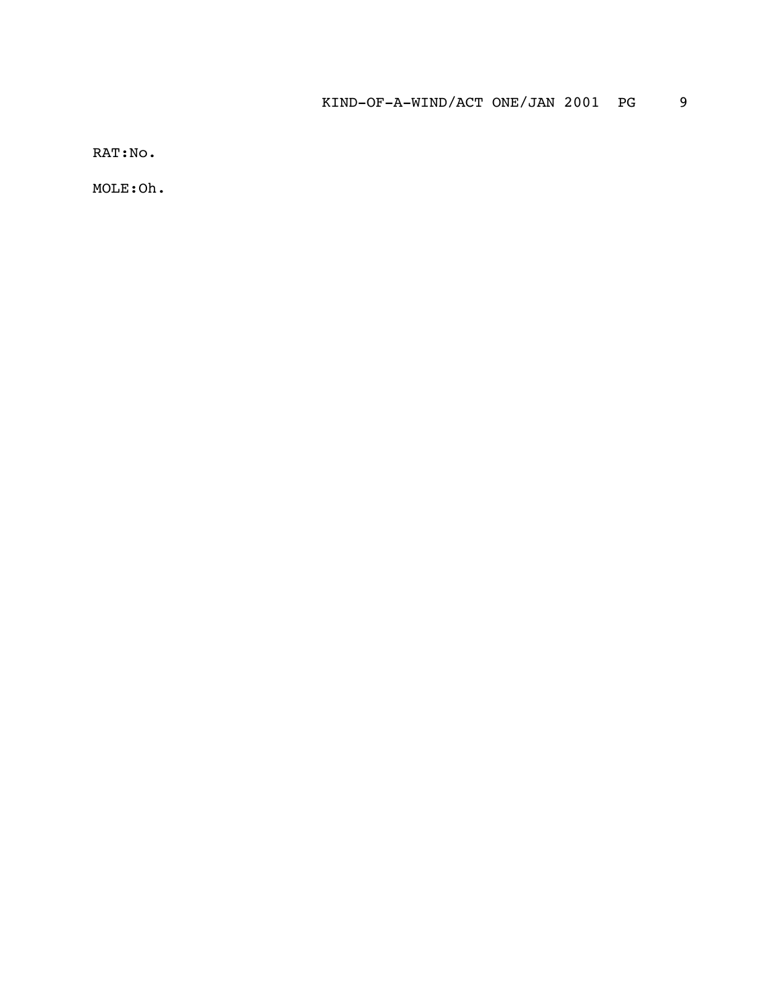RAT:No.

MOLE:Oh.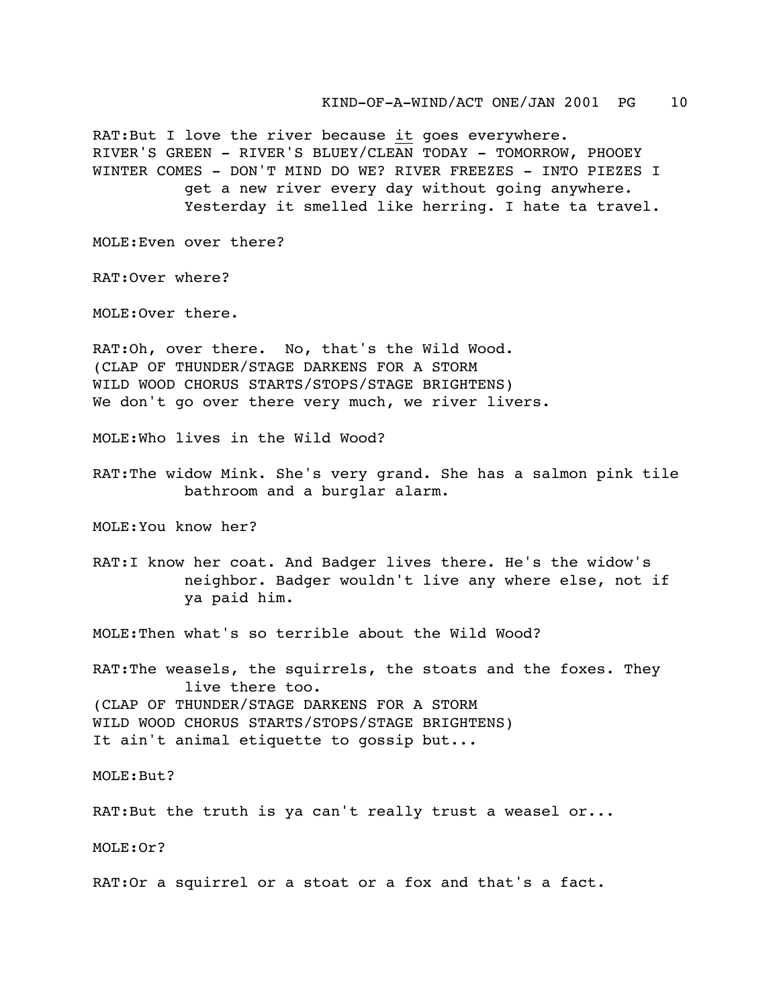RAT:But I love the river because it goes everywhere. RIVER'S GREEN - RIVER'S BLUEY/CLEAN TODAY - TOMORROW, PHOOEY WINTER COMES - DON'T MIND DO WE? RIVER FREEZES - INTO PIEZES I get a new river every day without going anywhere. Yesterday it smelled like herring. I hate ta travel.

MOLE:Even over there?

RAT:Over where?

MOLE:Over there.

RAT:Oh, over there. No, that's the Wild Wood. (CLAP OF THUNDER/STAGE DARKENS FOR A STORM WILD WOOD CHORUS STARTS/STOPS/STAGE BRIGHTENS) We don't go over there very much, we river livers.

MOLE:Who lives in the Wild Wood?

RAT:The widow Mink. She's very grand. She has a salmon pink tile bathroom and a burglar alarm.

MOLE:You know her?

RAT:I know her coat. And Badger lives there. He's the widow's neighbor. Badger wouldn't live any where else, not if ya paid him.

MOLE:Then what's so terrible about the Wild Wood?

RAT:The weasels, the squirrels, the stoats and the foxes. They live there too. (CLAP OF THUNDER/STAGE DARKENS FOR A STORM WILD WOOD CHORUS STARTS/STOPS/STAGE BRIGHTENS) It ain't animal etiquette to gossip but...

MOLE:But?

RAT:But the truth is ya can't really trust a weasel or...

MOLE:Or?

RAT:Or a squirrel or a stoat or a fox and that's a fact.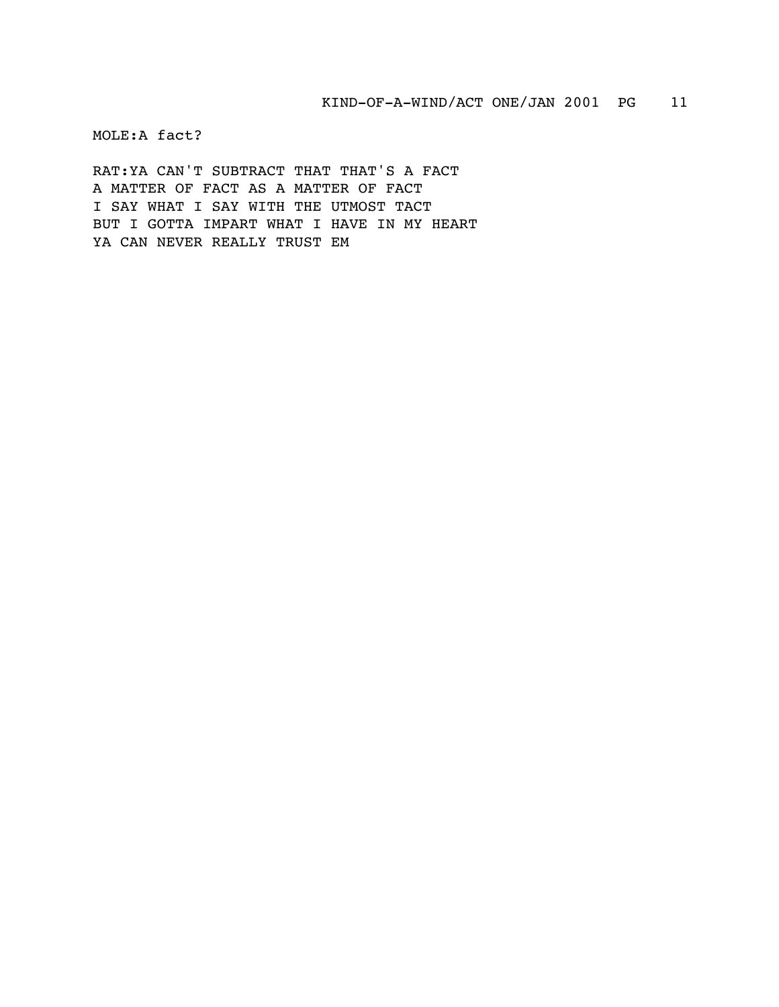MOLE:A fact?

RAT:YA CAN'T SUBTRACT THAT THAT'S A FACT A MATTER OF FACT AS A MATTER OF FACT I SAY WHAT I SAY WITH THE UTMOST TACT BUT I GOTTA IMPART WHAT I HAVE IN MY HEART YA CAN NEVER REALLY TRUST EM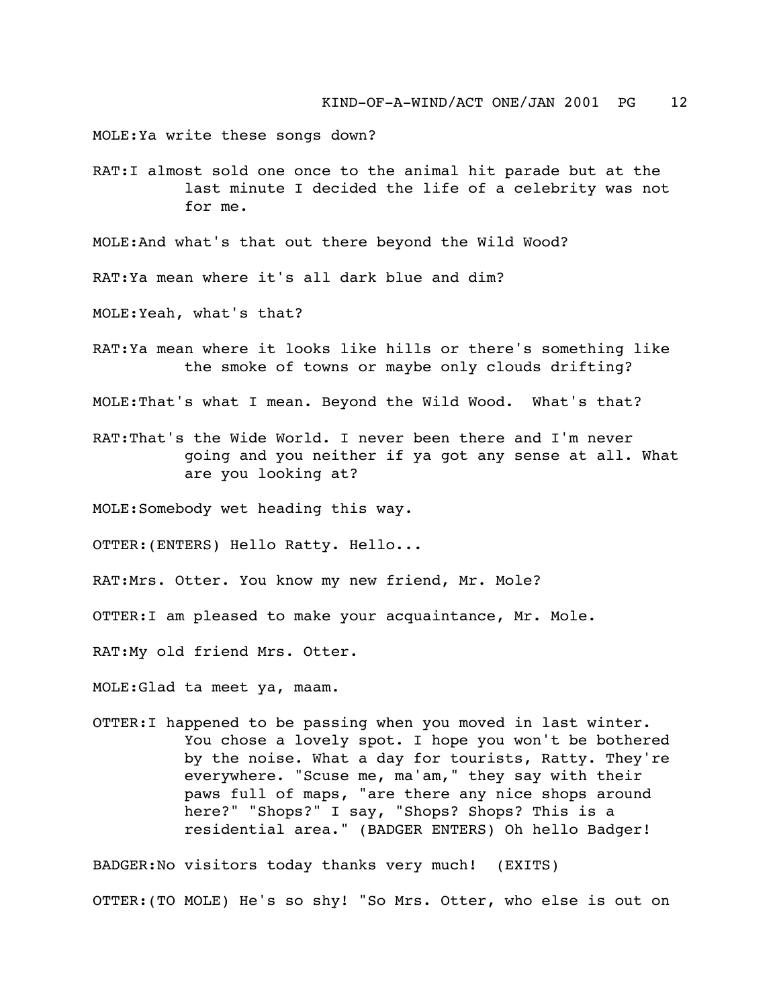MOLE:Ya write these songs down?

RAT:I almost sold one once to the animal hit parade but at the last minute I decided the life of a celebrity was not for me.

MOLE:And what's that out there beyond the Wild Wood?

RAT:Ya mean where it's all dark blue and dim?

MOLE:Yeah, what's that?

RAT:Ya mean where it looks like hills or there's something like the smoke of towns or maybe only clouds drifting?

MOLE:That's what I mean. Beyond the Wild Wood. What's that?

RAT:That's the Wide World. I never been there and I'm never going and you neither if ya got any sense at all. What are you looking at?

MOLE:Somebody wet heading this way.

OTTER:(ENTERS) Hello Ratty. Hello...

RAT:Mrs. Otter. You know my new friend, Mr. Mole?

OTTER:I am pleased to make your acquaintance, Mr. Mole.

RAT:My old friend Mrs. Otter.

MOLE:Glad ta meet ya, maam.

OTTER:I happened to be passing when you moved in last winter. You chose a lovely spot. I hope you won't be bothered by the noise. What a day for tourists, Ratty. They're everywhere. "Scuse me, ma'am," they say with their paws full of maps, "are there any nice shops around here?" "Shops?" I say, "Shops? Shops? This is a residential area." (BADGER ENTERS) Oh hello Badger!

BADGER:No visitors today thanks very much! (EXITS) OTTER:(TO MOLE) He's so shy! "So Mrs. Otter, who else is out on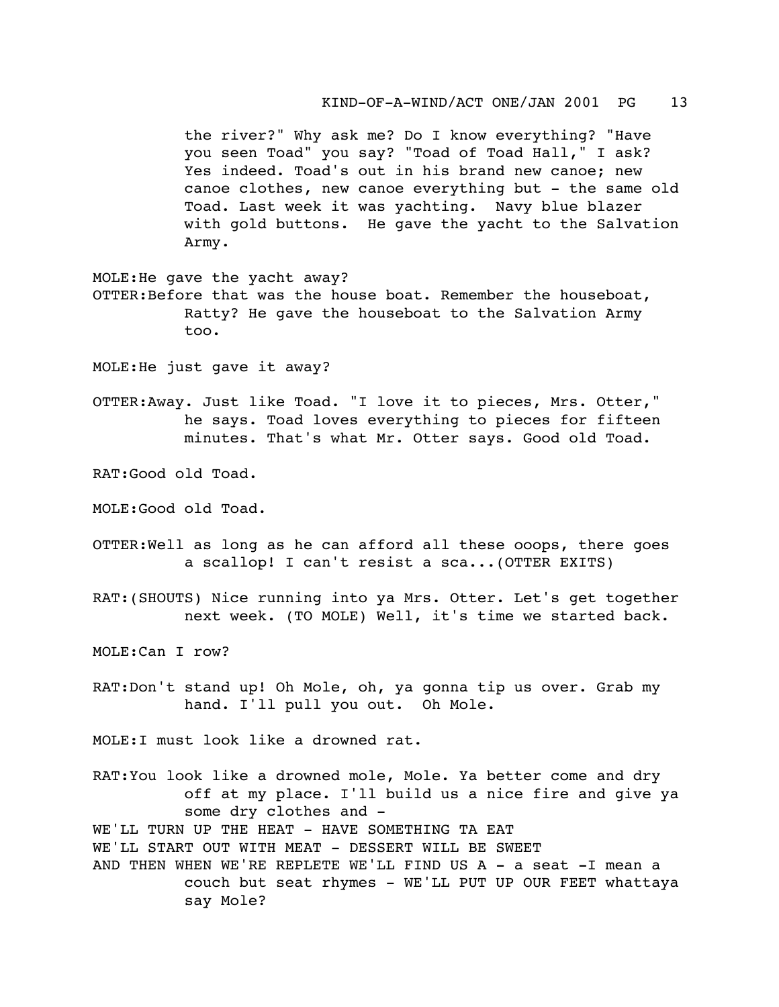KIND-OF-A-WIND/ACT ONE/JAN 2001 PG 13

the river?" Why ask me? Do I know everything? "Have you seen Toad" you say? "Toad of Toad Hall," I ask? Yes indeed. Toad's out in his brand new canoe; new canoe clothes, new canoe everything but - the same old Toad. Last week it was yachting. Navy blue blazer with gold buttons. He gave the yacht to the Salvation Army.

MOLE:He gave the yacht away? OTTER:Before that was the house boat. Remember the houseboat, Ratty? He gave the houseboat to the Salvation Army too.

MOLE:He just gave it away?

OTTER:Away. Just like Toad. "I love it to pieces, Mrs. Otter," he says. Toad loves everything to pieces for fifteen minutes. That's what Mr. Otter says. Good old Toad.

RAT:Good old Toad.

MOLE:Good old Toad.

- OTTER:Well as long as he can afford all these ooops, there goes a scallop! I can't resist a sca...(OTTER EXITS)
- RAT:(SHOUTS) Nice running into ya Mrs. Otter. Let's get together next week. (TO MOLE) Well, it's time we started back.

MOLE:Can I row?

RAT:Don't stand up! Oh Mole, oh, ya gonna tip us over. Grab my hand. I'll pull you out. Oh Mole.

MOLE:I must look like a drowned rat.

- RAT:You look like a drowned mole, Mole. Ya better come and dry off at my place. I'll build us a nice fire and give ya some dry clothes and -WE'LL TURN UP THE HEAT - HAVE SOMETHING TA EAT WE'LL START OUT WITH MEAT - DESSERT WILL BE SWEET
- AND THEN WHEN WE'RE REPLETE WE'LL FIND US  $A a$  seat  $-I$  mean a couch but seat rhymes - WE'LL PUT UP OUR FEET whattaya say Mole?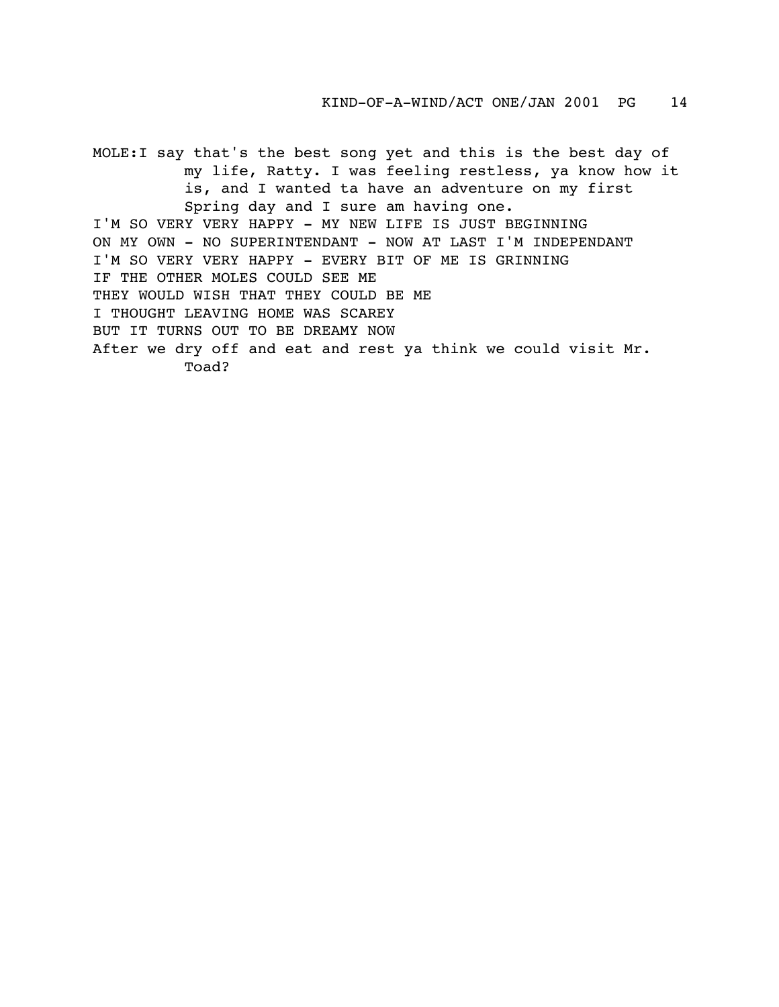MOLE:I say that's the best song yet and this is the best day of my life, Ratty. I was feeling restless, ya know how it is, and I wanted ta have an adventure on my first Spring day and I sure am having one. I'M SO VERY VERY HAPPY - MY NEW LIFE IS JUST BEGINNING ON MY OWN - NO SUPERINTENDANT - NOW AT LAST I'M INDEPENDANT I'M SO VERY VERY HAPPY - EVERY BIT OF ME IS GRINNING IF THE OTHER MOLES COULD SEE ME THEY WOULD WISH THAT THEY COULD BE ME I THOUGHT LEAVING HOME WAS SCAREY BUT IT TURNS OUT TO BE DREAMY NOW After we dry off and eat and rest ya think we could visit Mr. Toad?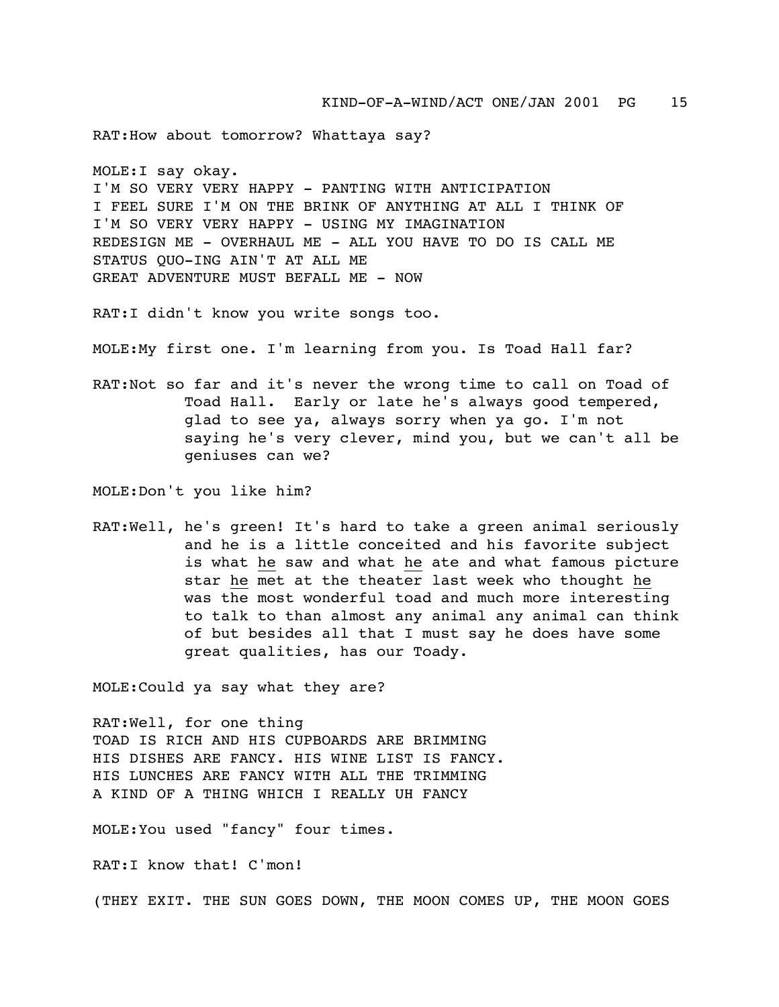RAT:How about tomorrow? Whattaya say?

MOLE:I say okay. I'M SO VERY VERY HAPPY - PANTING WITH ANTICIPATION I FEEL SURE I'M ON THE BRINK OF ANYTHING AT ALL I THINK OF I'M SO VERY VERY HAPPY - USING MY IMAGINATION REDESIGN ME - OVERHAUL ME - ALL YOU HAVE TO DO IS CALL ME STATUS QUO-ING AIN'T AT ALL ME GREAT ADVENTURE MUST BEFALL ME - NOW

RAT:I didn't know you write songs too.

MOLE:My first one. I'm learning from you. Is Toad Hall far?

RAT:Not so far and it's never the wrong time to call on Toad of Toad Hall. Early or late he's always good tempered, glad to see ya, always sorry when ya go. I'm not saying he's very clever, mind you, but we can't all be geniuses can we?

MOLE:Don't you like him?

RAT:Well, he's green! It's hard to take a green animal seriously and he is a little conceited and his favorite subject is what he saw and what he ate and what famous picture star he met at the theater last week who thought he was the most wonderful toad and much more interesting to talk to than almost any animal any animal can think of but besides all that I must say he does have some great qualities, has our Toady.

MOLE:Could ya say what they are?

RAT:Well, for one thing TOAD IS RICH AND HIS CUPBOARDS ARE BRIMMING HIS DISHES ARE FANCY. HIS WINE LIST IS FANCY. HIS LUNCHES ARE FANCY WITH ALL THE TRIMMING A KIND OF A THING WHICH I REALLY UH FANCY

MOLE:You used "fancy" four times.

RAT:I know that! C'mon!

(THEY EXIT. THE SUN GOES DOWN, THE MOON COMES UP, THE MOON GOES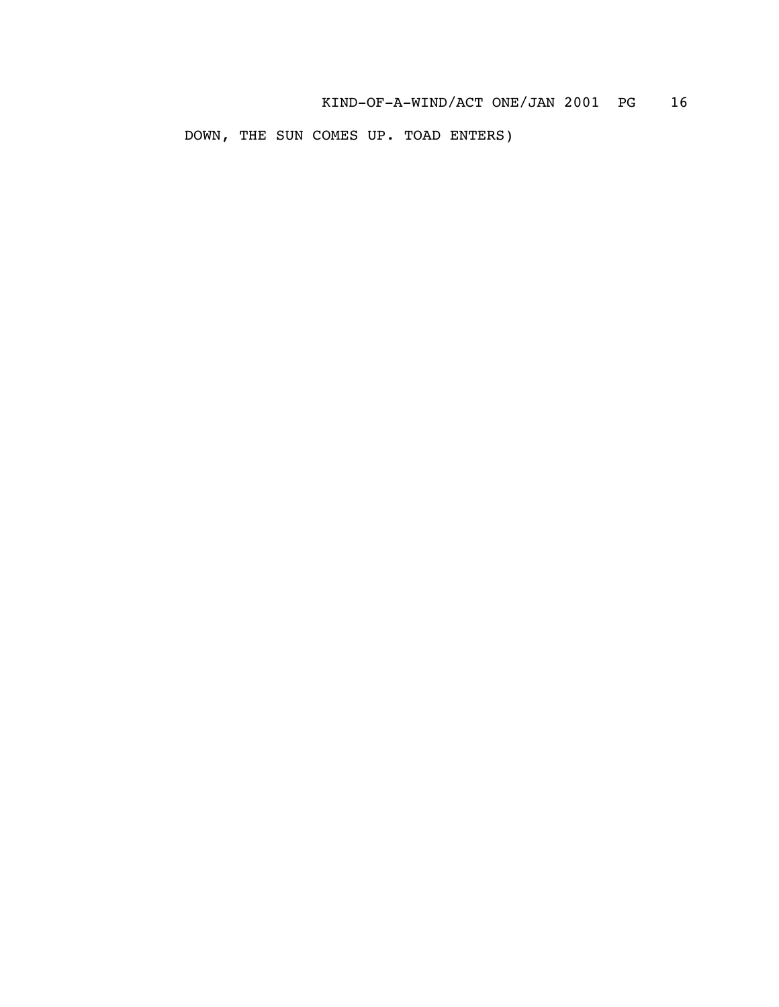DOWN, THE SUN COMES UP. TOAD ENTERS)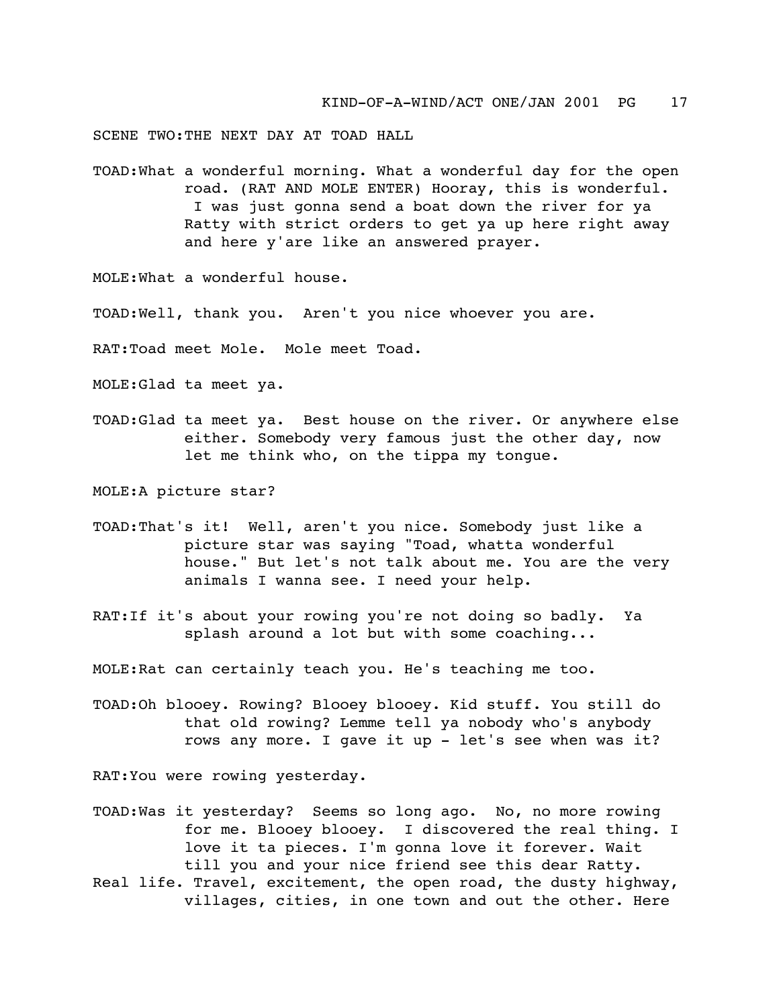SCENE TWO:THE NEXT DAY AT TOAD HALL

TOAD:What a wonderful morning. What a wonderful day for the open road. (RAT AND MOLE ENTER) Hooray, this is wonderful. I was just gonna send a boat down the river for ya Ratty with strict orders to get ya up here right away and here y'are like an answered prayer.

MOLE:What a wonderful house.

TOAD:Well, thank you. Aren't you nice whoever you are.

RAT:Toad meet Mole. Mole meet Toad.

MOLE:Glad ta meet ya.

TOAD:Glad ta meet ya. Best house on the river. Or anywhere else either. Somebody very famous just the other day, now let me think who, on the tippa my tongue.

MOLE:A picture star?

- TOAD:That's it! Well, aren't you nice. Somebody just like a picture star was saying "Toad, whatta wonderful house." But let's not talk about me. You are the very animals I wanna see. I need your help.
- RAT:If it's about your rowing you're not doing so badly. Ya splash around a lot but with some coaching...

MOLE:Rat can certainly teach you. He's teaching me too.

TOAD:Oh blooey. Rowing? Blooey blooey. Kid stuff. You still do that old rowing? Lemme tell ya nobody who's anybody rows any more. I gave it up - let's see when was it?

RAT:You were rowing yesterday.

TOAD:Was it yesterday? Seems so long ago. No, no more rowing for me. Blooey blooey. I discovered the real thing. I love it ta pieces. I'm gonna love it forever. Wait till you and your nice friend see this dear Ratty. Real life. Travel, excitement, the open road, the dusty highway, villages, cities, in one town and out the other. Here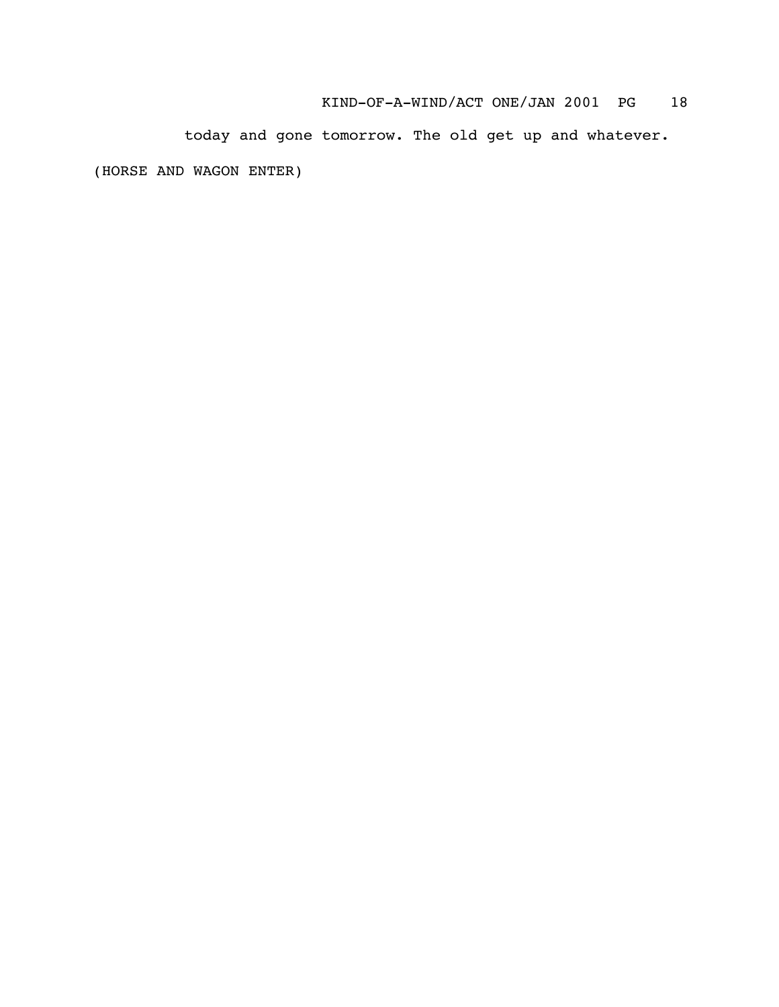today and gone tomorrow. The old get up and whatever.

(HORSE AND WAGON ENTER)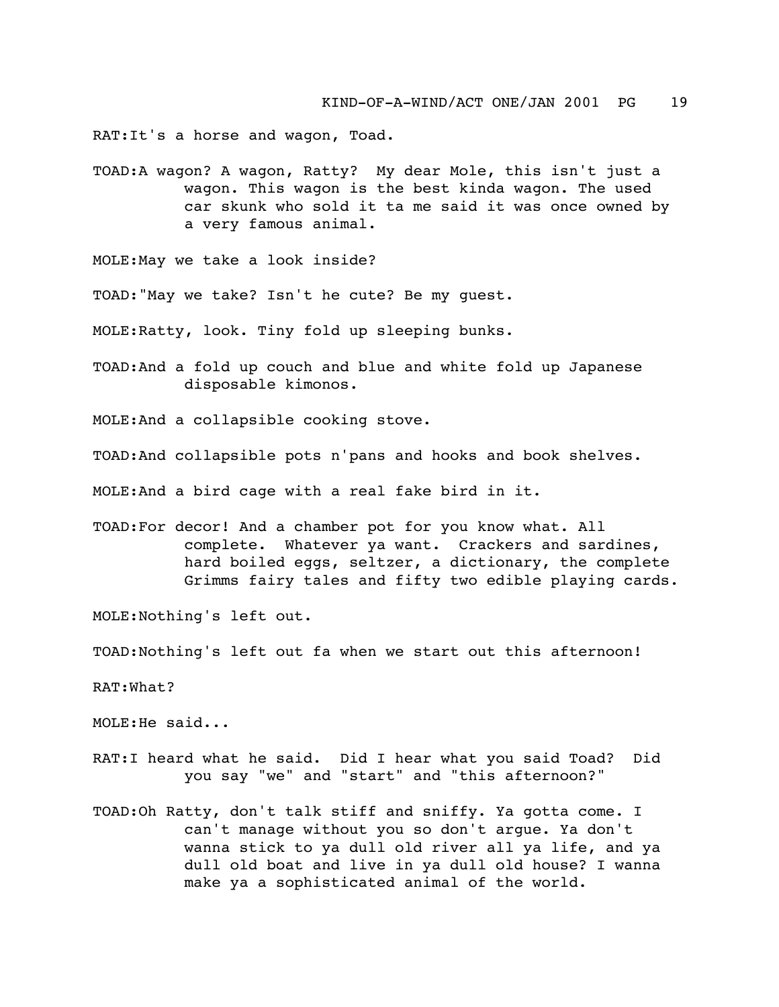RAT:It's a horse and wagon, Toad.

TOAD:A wagon? A wagon, Ratty? My dear Mole, this isn't just a wagon. This wagon is the best kinda wagon. The used car skunk who sold it ta me said it was once owned by a very famous animal.

MOLE:May we take a look inside?

TOAD:"May we take? Isn't he cute? Be my guest.

MOLE:Ratty, look. Tiny fold up sleeping bunks.

TOAD:And a fold up couch and blue and white fold up Japanese disposable kimonos.

MOLE:And a collapsible cooking stove.

TOAD:And collapsible pots n'pans and hooks and book shelves.

MOLE:And a bird cage with a real fake bird in it.

TOAD:For decor! And a chamber pot for you know what. All complete. Whatever ya want. Crackers and sardines, hard boiled eggs, seltzer, a dictionary, the complete Grimms fairy tales and fifty two edible playing cards.

MOLE:Nothing's left out.

TOAD:Nothing's left out fa when we start out this afternoon!

RAT:What?

MOLE:He said...

- RAT:I heard what he said. Did I hear what you said Toad? Did you say "we" and "start" and "this afternoon?"
- TOAD:Oh Ratty, don't talk stiff and sniffy. Ya gotta come. I can't manage without you so don't argue. Ya don't wanna stick to ya dull old river all ya life, and ya dull old boat and live in ya dull old house? I wanna make ya a sophisticated animal of the world.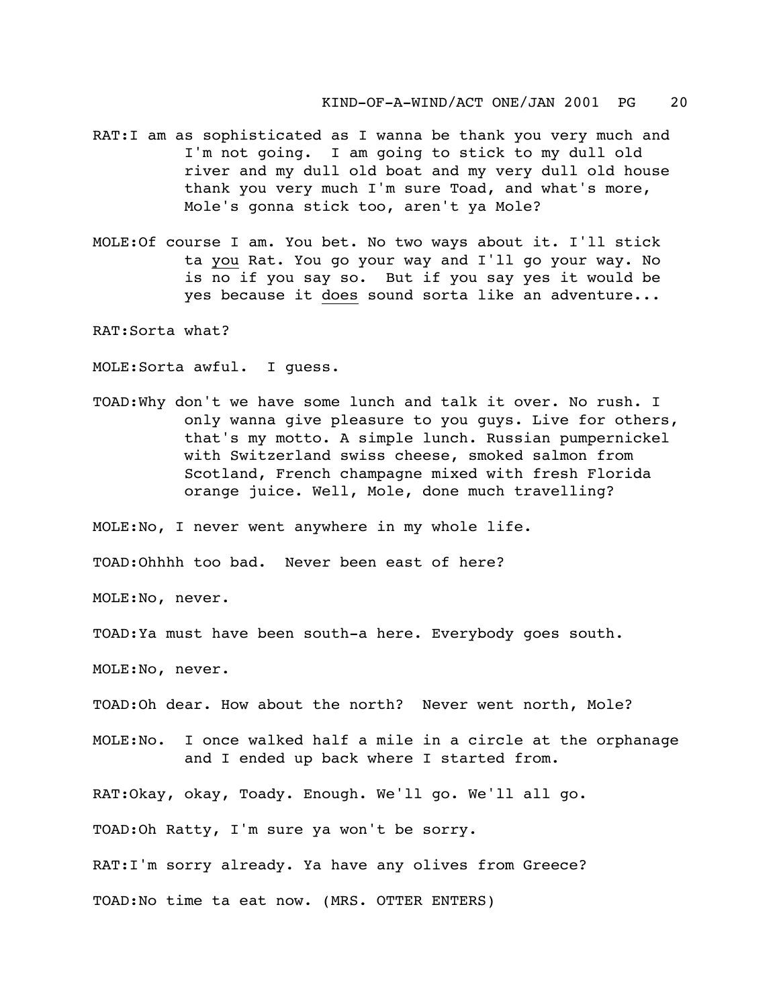- RAT:I am as sophisticated as I wanna be thank you very much and I'm not going. I am going to stick to my dull old river and my dull old boat and my very dull old house thank you very much I'm sure Toad, and what's more, Mole's gonna stick too, aren't ya Mole?
- MOLE:Of course I am. You bet. No two ways about it. I'll stick ta you Rat. You go your way and I'll go your way. No is no if you say so. But if you say yes it would be yes because it does sound sorta like an adventure...

RAT:Sorta what?

MOLE:Sorta awful. I guess.

TOAD:Why don't we have some lunch and talk it over. No rush. I only wanna give pleasure to you guys. Live for others, that's my motto. A simple lunch. Russian pumpernickel with Switzerland swiss cheese, smoked salmon from Scotland, French champagne mixed with fresh Florida orange juice. Well, Mole, done much travelling?

MOLE:No, I never went anywhere in my whole life.

TOAD:Ohhhh too bad. Never been east of here?

MOLE:No, never.

TOAD:Ya must have been south-a here. Everybody goes south.

MOLE:No, never.

TOAD:Oh dear. How about the north? Never went north, Mole?

MOLE:No. I once walked half a mile in a circle at the orphanage and I ended up back where I started from.

RAT:Okay, okay, Toady. Enough. We'll go. We'll all go.

TOAD:Oh Ratty, I'm sure ya won't be sorry.

RAT:I'm sorry already. Ya have any olives from Greece?

TOAD:No time ta eat now. (MRS. OTTER ENTERS)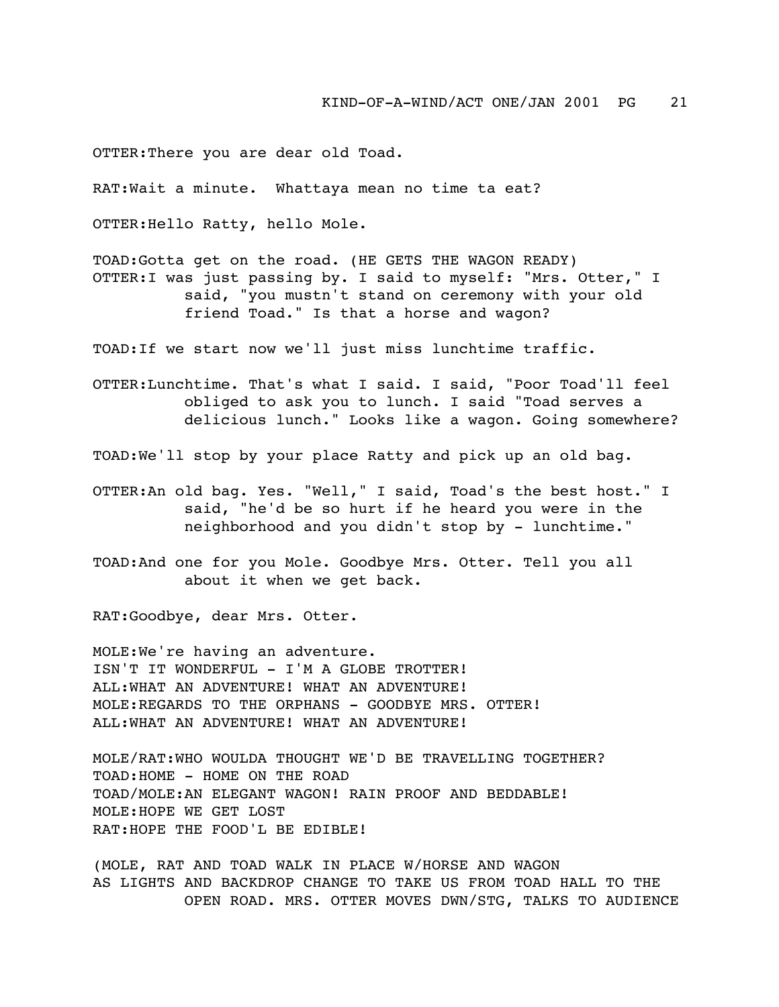OTTER:There you are dear old Toad.

RAT:Wait a minute. Whattaya mean no time ta eat?

OTTER:Hello Ratty, hello Mole.

TOAD:Gotta get on the road. (HE GETS THE WAGON READY) OTTER:I was just passing by. I said to myself: "Mrs. Otter," I said, "you mustn't stand on ceremony with your old friend Toad." Is that a horse and wagon?

TOAD:If we start now we'll just miss lunchtime traffic.

OTTER:Lunchtime. That's what I said. I said, "Poor Toad'll feel obliged to ask you to lunch. I said "Toad serves a delicious lunch." Looks like a wagon. Going somewhere?

TOAD:We'll stop by your place Ratty and pick up an old bag.

- OTTER:An old bag. Yes. "Well," I said, Toad's the best host." I said, "he'd be so hurt if he heard you were in the neighborhood and you didn't stop by - lunchtime."
- TOAD:And one for you Mole. Goodbye Mrs. Otter. Tell you all about it when we get back.

RAT:Goodbye, dear Mrs. Otter.

MOLE:We're having an adventure. ISN'T IT WONDERFUL - I'M A GLOBE TROTTER! ALL:WHAT AN ADVENTURE! WHAT AN ADVENTURE! MOLE:REGARDS TO THE ORPHANS - GOODBYE MRS. OTTER! ALL:WHAT AN ADVENTURE! WHAT AN ADVENTURE!

MOLE/RAT:WHO WOULDA THOUGHT WE'D BE TRAVELLING TOGETHER? TOAD: HOME - HOME ON THE ROAD TOAD/MOLE:AN ELEGANT WAGON! RAIN PROOF AND BEDDABLE! MOLE:HOPE WE GET LOST RAT:HOPE THE FOOD'L BE EDIBLE!

(MOLE, RAT AND TOAD WALK IN PLACE W/HORSE AND WAGON AS LIGHTS AND BACKDROP CHANGE TO TAKE US FROM TOAD HALL TO THE OPEN ROAD. MRS. OTTER MOVES DWN/STG, TALKS TO AUDIENCE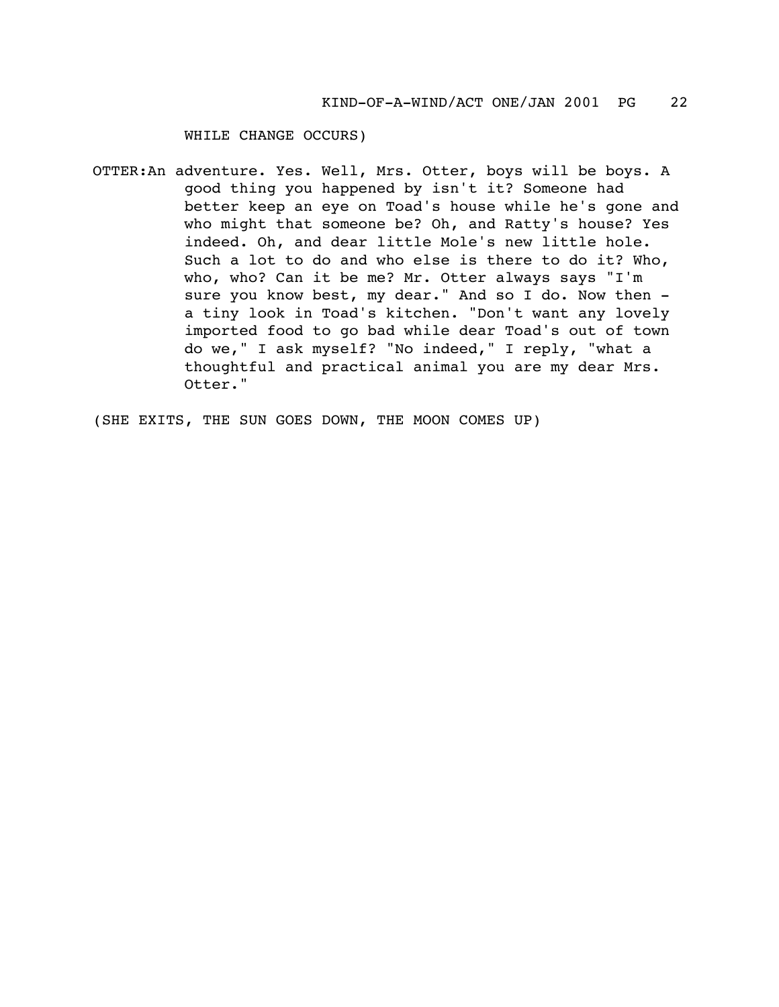WHILE CHANGE OCCURS)

OTTER:An adventure. Yes. Well, Mrs. Otter, boys will be boys. A good thing you happened by isn't it? Someone had better keep an eye on Toad's house while he's gone and who might that someone be? Oh, and Ratty's house? Yes indeed. Oh, and dear little Mole's new little hole. Such a lot to do and who else is there to do it? Who, who, who? Can it be me? Mr. Otter always says "I'm sure you know best, my dear." And so I do. Now then a tiny look in Toad's kitchen. "Don't want any lovely imported food to go bad while dear Toad's out of town do we," I ask myself? "No indeed," I reply, "what a thoughtful and practical animal you are my dear Mrs. Otter."

(SHE EXITS, THE SUN GOES DOWN, THE MOON COMES UP)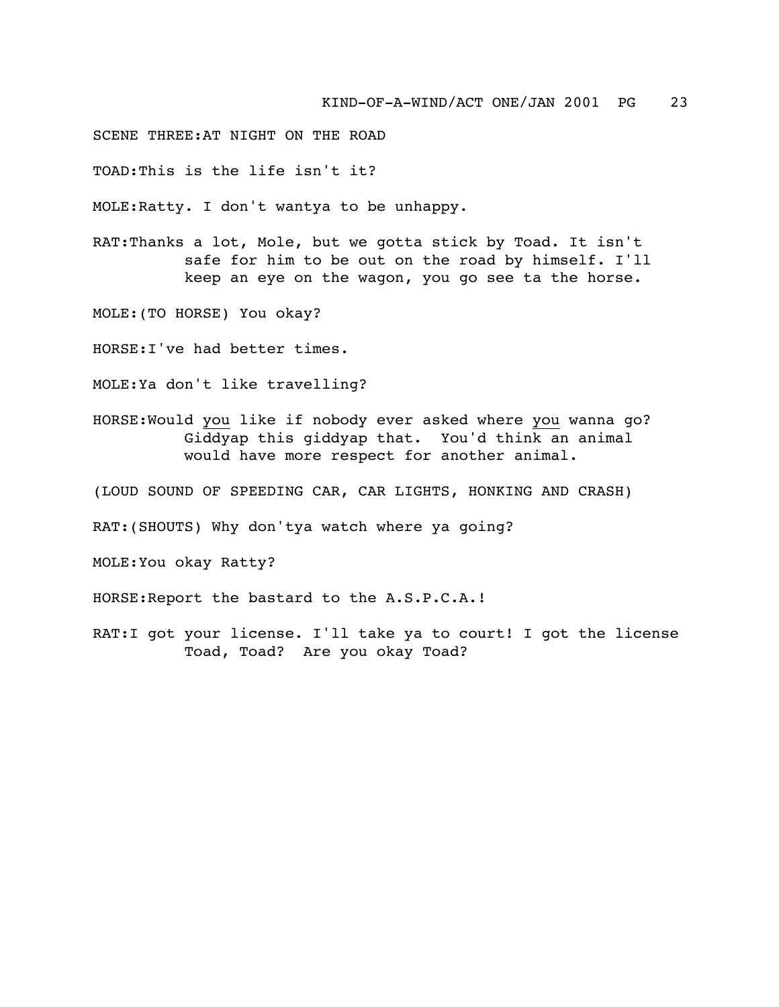## SCENE THREE:AT NIGHT ON THE ROAD

TOAD:This is the life isn't it?

MOLE:Ratty. I don't wantya to be unhappy.

RAT:Thanks a lot, Mole, but we gotta stick by Toad. It isn't safe for him to be out on the road by himself. I'll keep an eye on the wagon, you go see ta the horse.

MOLE:(TO HORSE) You okay?

HORSE:I've had better times.

MOLE:Ya don't like travelling?

HORSE:Would you like if nobody ever asked where you wanna go? Giddyap this giddyap that. You'd think an animal would have more respect for another animal.

(LOUD SOUND OF SPEEDING CAR, CAR LIGHTS, HONKING AND CRASH)

RAT:(SHOUTS) Why don'tya watch where ya going?

MOLE:You okay Ratty?

HORSE:Report the bastard to the A.S.P.C.A.!

RAT:I got your license. I'll take ya to court! I got the license Toad, Toad? Are you okay Toad?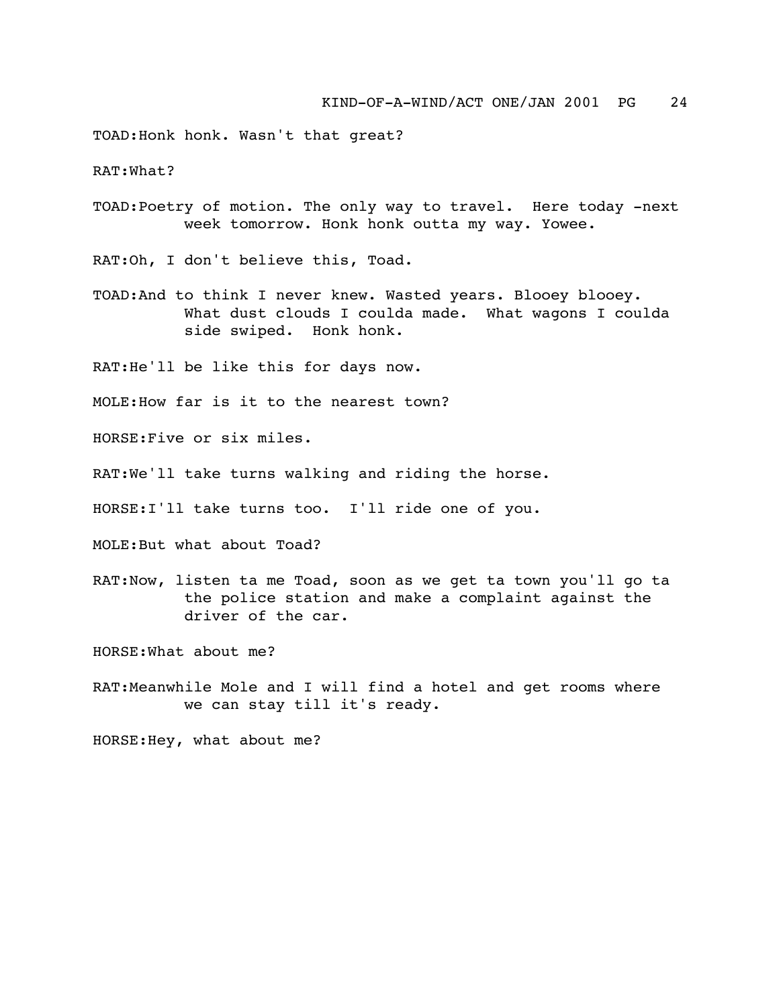TOAD:Honk honk. Wasn't that great?

RAT:What?

TOAD:Poetry of motion. The only way to travel. Here today -next week tomorrow. Honk honk outta my way. Yowee.

RAT:Oh, I don't believe this, Toad.

TOAD:And to think I never knew. Wasted years. Blooey blooey. What dust clouds I coulda made. What wagons I coulda side swiped. Honk honk.

RAT:He'll be like this for days now.

MOLE:How far is it to the nearest town?

HORSE:Five or six miles.

RAT:We'll take turns walking and riding the horse.

HORSE:I'll take turns too. I'll ride one of you.

MOLE:But what about Toad?

RAT:Now, listen ta me Toad, soon as we get ta town you'll go ta the police station and make a complaint against the driver of the car.

HORSE:What about me?

RAT:Meanwhile Mole and I will find a hotel and get rooms where we can stay till it's ready.

HORSE:Hey, what about me?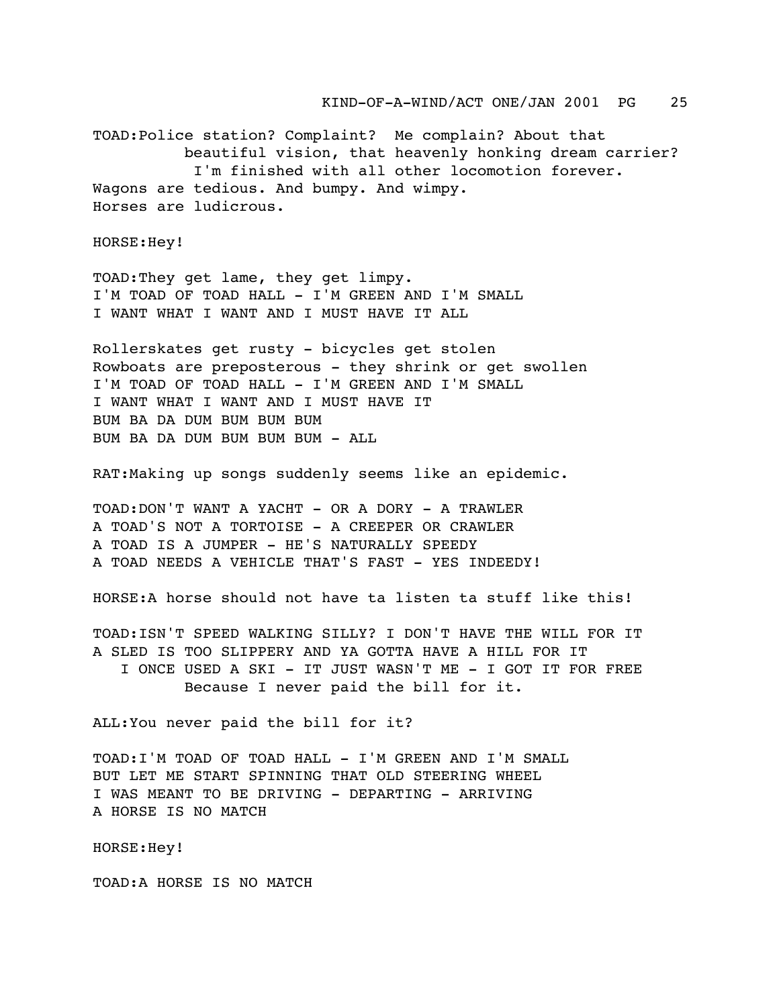TOAD:Police station? Complaint? Me complain? About that beautiful vision, that heavenly honking dream carrier? I'm finished with all other locomotion forever. Wagons are tedious. And bumpy. And wimpy. Horses are ludicrous.

HORSE:Hey!

TOAD:They get lame, they get limpy. I'M TOAD OF TOAD HALL - I'M GREEN AND I'M SMALL I WANT WHAT I WANT AND I MUST HAVE IT ALL

Rollerskates get rusty - bicycles get stolen Rowboats are preposterous - they shrink or get swollen I'M TOAD OF TOAD HALL - I'M GREEN AND I'M SMALL I WANT WHAT I WANT AND I MUST HAVE IT BUM BA DA DUM BUM BUM BUM BUM BA DA DUM BUM BUM BUM - ALL

RAT:Making up songs suddenly seems like an epidemic.

TOAD:DON'T WANT A YACHT - OR A DORY - A TRAWLER A TOAD'S NOT A TORTOISE - A CREEPER OR CRAWLER A TOAD IS A JUMPER - HE'S NATURALLY SPEEDY A TOAD NEEDS A VEHICLE THAT'S FAST - YES INDEEDY!

HORSE:A horse should not have ta listen ta stuff like this!

TOAD:ISN'T SPEED WALKING SILLY? I DON'T HAVE THE WILL FOR IT A SLED IS TOO SLIPPERY AND YA GOTTA HAVE A HILL FOR IT I ONCE USED A SKI - IT JUST WASN'T ME - I GOT IT FOR FREE Because I never paid the bill for it.

ALL:You never paid the bill for it?

TOAD:I'M TOAD OF TOAD HALL - I'M GREEN AND I'M SMALL BUT LET ME START SPINNING THAT OLD STEERING WHEEL I WAS MEANT TO BE DRIVING - DEPARTING - ARRIVING A HORSE IS NO MATCH

HORSE:Hey!

TOAD:A HORSE IS NO MATCH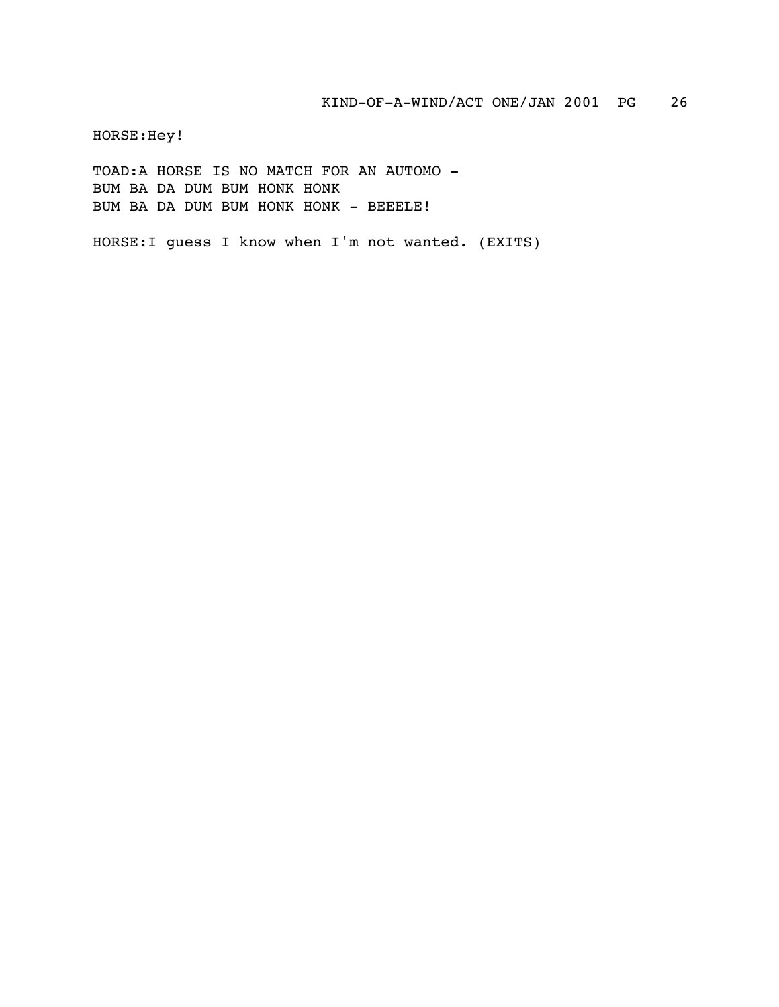HORSE:Hey!

TOAD:A HORSE IS NO MATCH FOR AN AUTOMO - BUM BA DA DUM BUM HONK HONK BUM BA DA DUM BUM HONK HONK - BEEELE!

HORSE:I guess I know when I'm not wanted. (EXITS)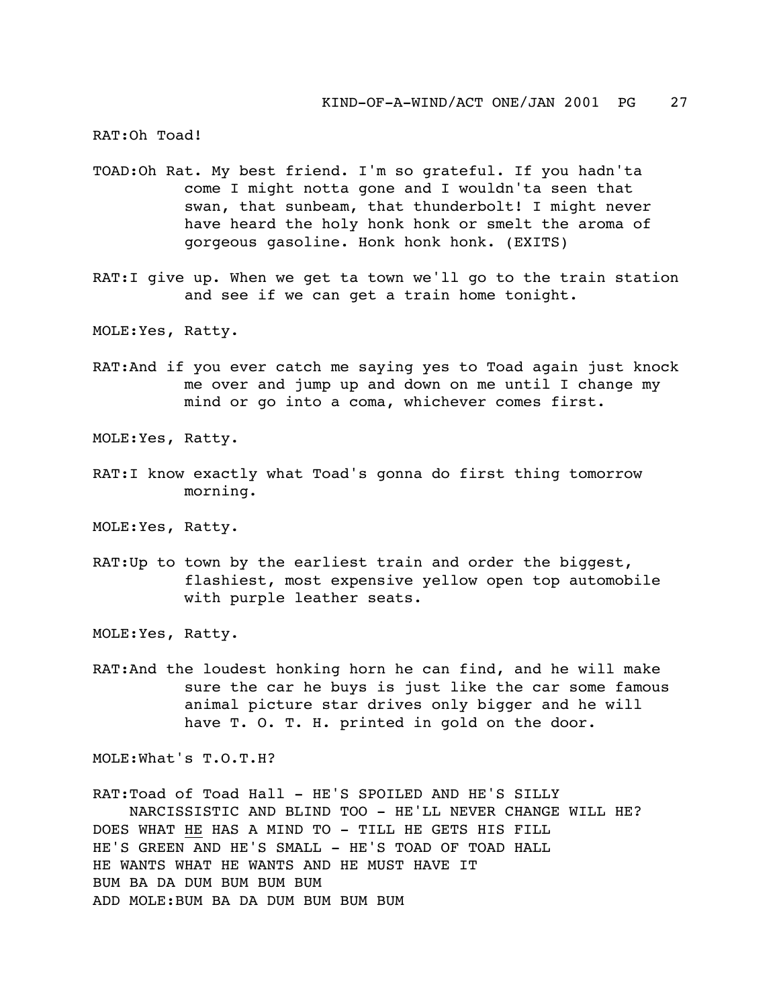RAT:Oh Toad!

- TOAD:Oh Rat. My best friend. I'm so grateful. If you hadn'ta come I might notta gone and I wouldn'ta seen that swan, that sunbeam, that thunderbolt! I might never have heard the holy honk honk or smelt the aroma of gorgeous gasoline. Honk honk honk. (EXITS)
- RAT:I give up. When we get ta town we'll go to the train station and see if we can get a train home tonight.

MOLE:Yes, Ratty.

RAT:And if you ever catch me saying yes to Toad again just knock me over and jump up and down on me until I change my mind or go into a coma, whichever comes first.

MOLE:Yes, Ratty.

RAT:I know exactly what Toad's gonna do first thing tomorrow morning.

MOLE:Yes, Ratty.

RAT:Up to town by the earliest train and order the biggest, flashiest, most expensive yellow open top automobile with purple leather seats.

MOLE:Yes, Ratty.

RAT:And the loudest honking horn he can find, and he will make sure the car he buys is just like the car some famous animal picture star drives only bigger and he will have T. O. T. H. printed in gold on the door.

MOLE:What's T.O.T.H?

RAT:Toad of Toad Hall - HE'S SPOILED AND HE'S SILLY NARCISSISTIC AND BLIND TOO - HE'LL NEVER CHANGE WILL HE? DOES WHAT HE HAS A MIND TO - TILL HE GETS HIS FILL HE'S GREEN AND HE'S SMALL - HE'S TOAD OF TOAD HALL HE WANTS WHAT HE WANTS AND HE MUST HAVE IT BUM BA DA DUM BUM BUM BUM ADD MOLE:BUM BA DA DUM BUM BUM BUM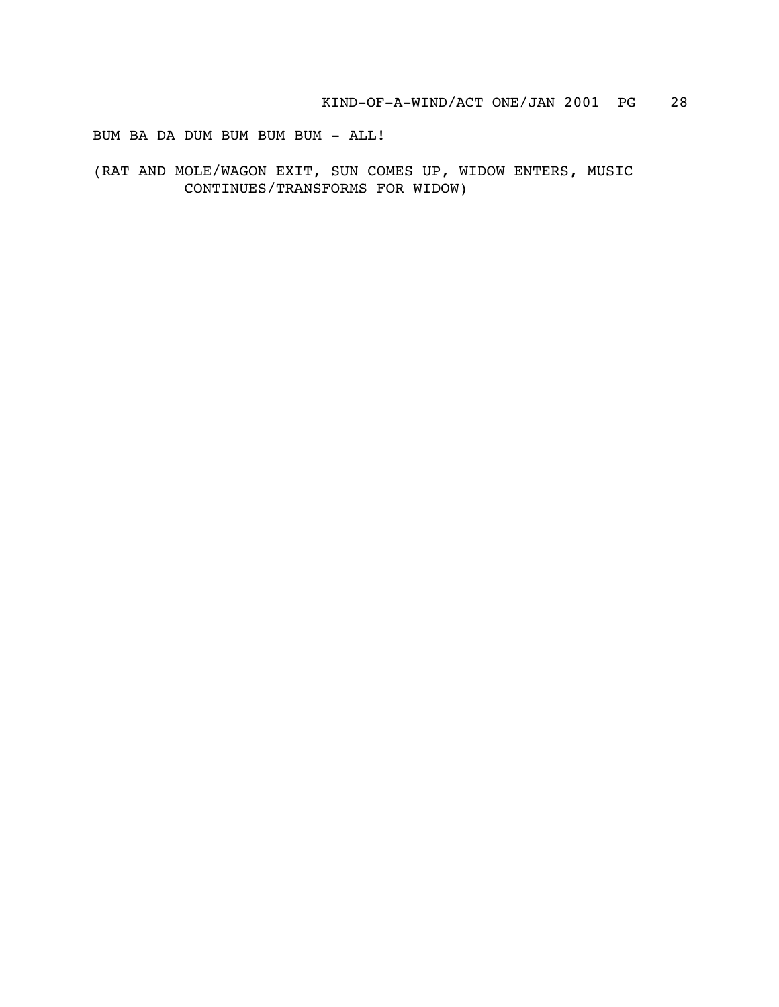BUM BA DA DUM BUM BUM BUM - ALL!

(RAT AND MOLE/WAGON EXIT, SUN COMES UP, WIDOW ENTERS, MUSIC CONTINUES/TRANSFORMS FOR WIDOW)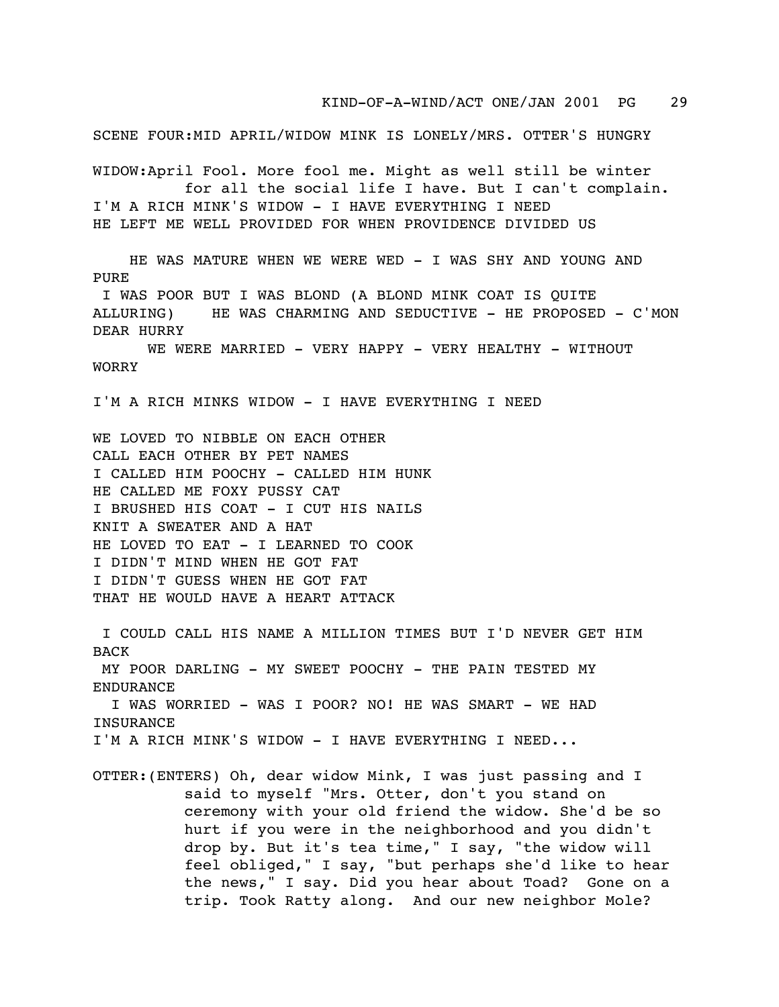KIND-OF-A-WIND/ACT ONE/JAN 2001 PG 29

SCENE FOUR:MID APRIL/WIDOW MINK IS LONELY/MRS. OTTER'S HUNGRY WIDOW:April Fool. More fool me. Might as well still be winter for all the social life I have. But I can't complain. I'M A RICH MINK'S WIDOW - I HAVE EVERYTHING I NEED HE LEFT ME WELL PROVIDED FOR WHEN PROVIDENCE DIVIDED US HE WAS MATURE WHEN WE WERE WED - I WAS SHY AND YOUNG AND PURE I WAS POOR BUT I WAS BLOND (A BLOND MINK COAT IS QUITE ALLURING) HE WAS CHARMING AND SEDUCTIVE - HE PROPOSED - C'MON DEAR HURRY WE WERE MARRIED - VERY HAPPY - VERY HEALTHY - WITHOUT WORRY I'M A RICH MINKS WIDOW - I HAVE EVERYTHING I NEED WE LOVED TO NIBBLE ON EACH OTHER CALL EACH OTHER BY PET NAMES I CALLED HIM POOCHY - CALLED HIM HUNK HE CALLED ME FOXY PUSSY CAT I BRUSHED HIS COAT - I CUT HIS NAILS KNIT A SWEATER AND A HAT HE LOVED TO EAT - I LEARNED TO COOK I DIDN'T MIND WHEN HE GOT FAT I DIDN'T GUESS WHEN HE GOT FAT THAT HE WOULD HAVE A HEART ATTACK I COULD CALL HIS NAME A MILLION TIMES BUT I'D NEVER GET HIM BACK MY POOR DARLING - MY SWEET POOCHY - THE PAIN TESTED MY ENDURANCE I WAS WORRIED - WAS I POOR? NO! HE WAS SMART - WE HAD INSURANCE I'M A RICH MINK'S WIDOW - I HAVE EVERYTHING I NEED... OTTER:(ENTERS) Oh, dear widow Mink, I was just passing and I said to myself "Mrs. Otter, don't you stand on ceremony with your old friend the widow. She'd be so hurt if you were in the neighborhood and you didn't drop by. But it's tea time," I say, "the widow will feel obliged," I say, "but perhaps she'd like to hear the news," I say. Did you hear about Toad? Gone on a trip. Took Ratty along. And our new neighbor Mole?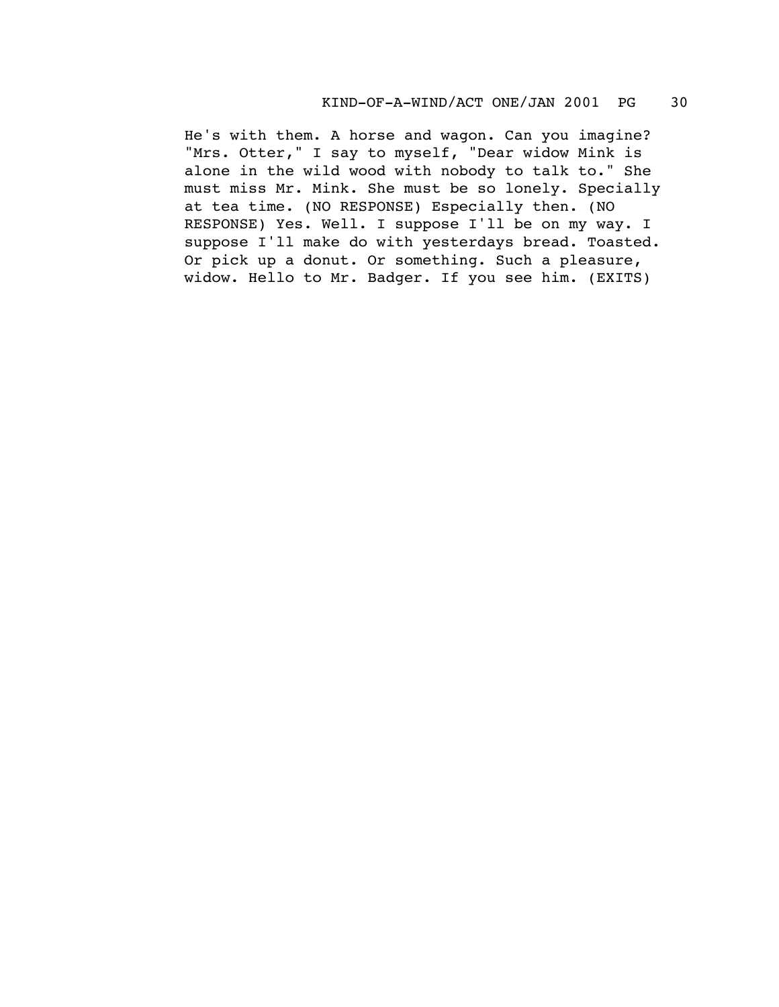He's with them. A horse and wagon. Can you imagine? "Mrs. Otter," I say to myself, "Dear widow Mink is alone in the wild wood with nobody to talk to." She must miss Mr. Mink. She must be so lonely. Specially at tea time. (NO RESPONSE) Especially then. (NO RESPONSE) Yes. Well. I suppose I'll be on my way. I suppose I'll make do with yesterdays bread. Toasted. Or pick up a donut. Or something. Such a pleasure, widow. Hello to Mr. Badger. If you see him. (EXITS)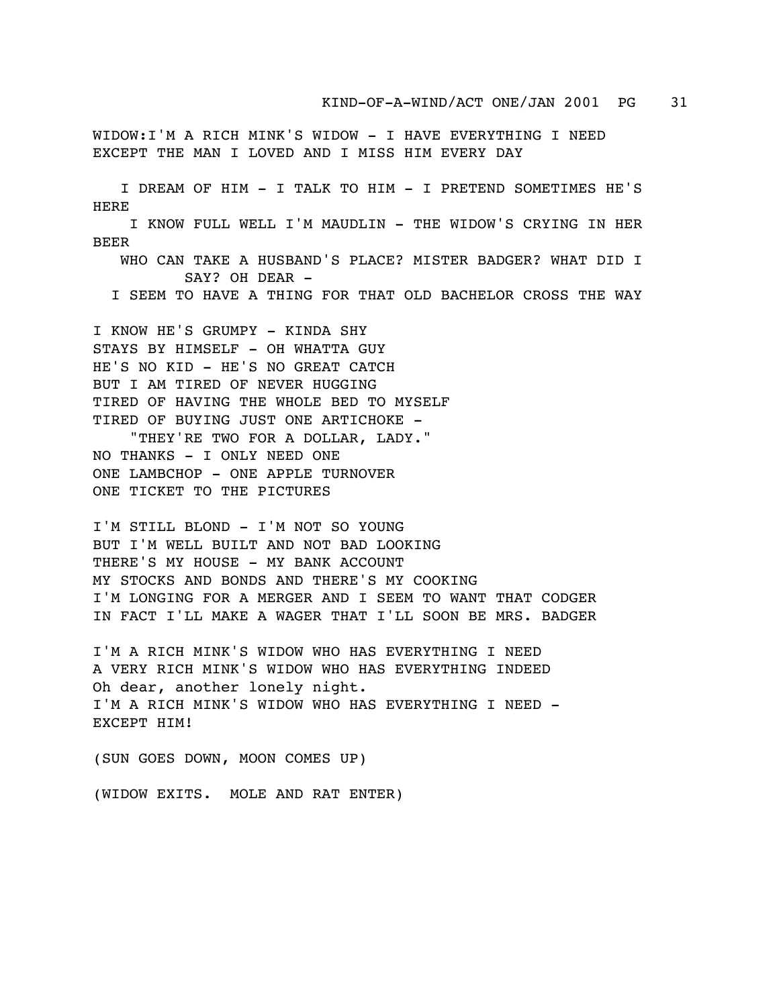WIDOW:I'M A RICH MINK'S WIDOW - I HAVE EVERYTHING I NEED EXCEPT THE MAN I LOVED AND I MISS HIM EVERY DAY

 I DREAM OF HIM - I TALK TO HIM - I PRETEND SOMETIMES HE'S HERE

 I KNOW FULL WELL I'M MAUDLIN - THE WIDOW'S CRYING IN HER BEER

 WHO CAN TAKE A HUSBAND'S PLACE? MISTER BADGER? WHAT DID I SAY? OH DEAR -

I SEEM TO HAVE A THING FOR THAT OLD BACHELOR CROSS THE WAY

I KNOW HE'S GRUMPY - KINDA SHY STAYS BY HIMSELF - OH WHATTA GUY HE'S NO KID - HE'S NO GREAT CATCH BUT I AM TIRED OF NEVER HUGGING TIRED OF HAVING THE WHOLE BED TO MYSELF TIRED OF BUYING JUST ONE ARTICHOKE -

 "THEY'RE TWO FOR A DOLLAR, LADY." NO THANKS - I ONLY NEED ONE ONE LAMBCHOP - ONE APPLE TURNOVER ONE TICKET TO THE PICTURES

I'M STILL BLOND - I'M NOT SO YOUNG BUT I'M WELL BUILT AND NOT BAD LOOKING THERE'S MY HOUSE - MY BANK ACCOUNT MY STOCKS AND BONDS AND THERE'S MY COOKING I'M LONGING FOR A MERGER AND I SEEM TO WANT THAT CODGER IN FACT I'LL MAKE A WAGER THAT I'LL SOON BE MRS. BADGER

I'M A RICH MINK'S WIDOW WHO HAS EVERYTHING I NEED A VERY RICH MINK'S WIDOW WHO HAS EVERYTHING INDEED Oh dear, another lonely night. I'M A RICH MINK'S WIDOW WHO HAS EVERYTHING I NEED - EXCEPT HIM!

(SUN GOES DOWN, MOON COMES UP)

(WIDOW EXITS. MOLE AND RAT ENTER)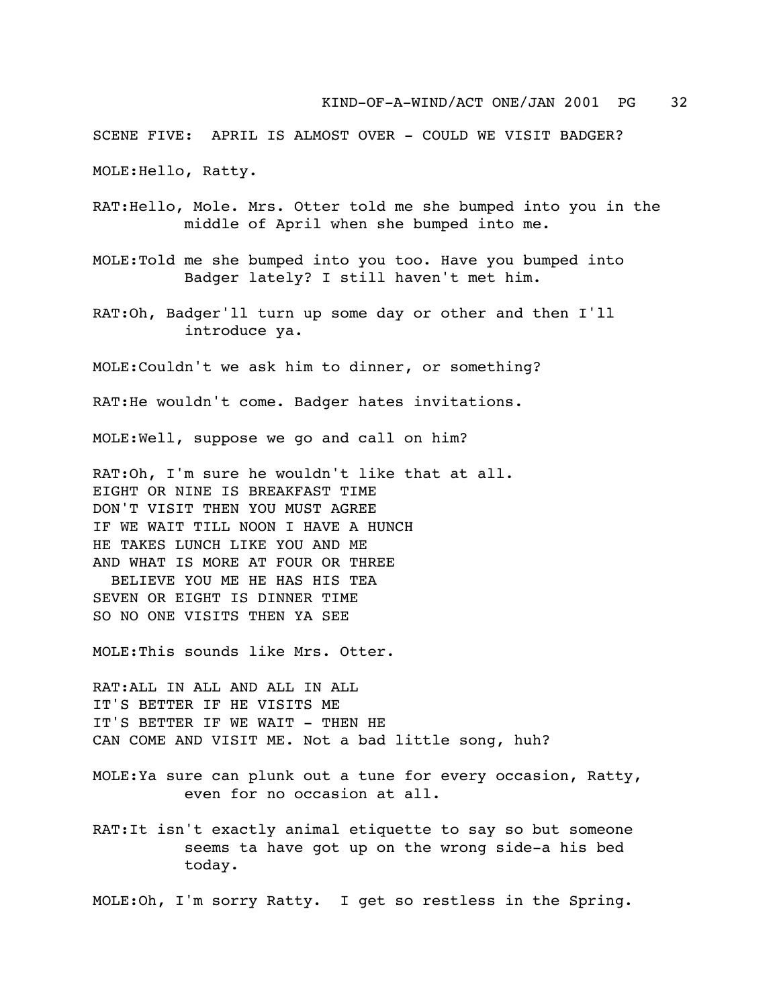## KIND-OF-A-WIND/ACT ONE/JAN 2001 PG 32

SCENE FIVE: APRIL IS ALMOST OVER - COULD WE VISIT BADGER?

MOLE:Hello, Ratty.

- RAT:Hello, Mole. Mrs. Otter told me she bumped into you in the middle of April when she bumped into me.
- MOLE:Told me she bumped into you too. Have you bumped into Badger lately? I still haven't met him.
- RAT:Oh, Badger'll turn up some day or other and then I'll introduce ya.

MOLE:Couldn't we ask him to dinner, or something?

RAT:He wouldn't come. Badger hates invitations.

MOLE:Well, suppose we go and call on him?

RAT:Oh, I'm sure he wouldn't like that at all. EIGHT OR NINE IS BREAKFAST TIME DON'T VISIT THEN YOU MUST AGREE IF WE WAIT TILL NOON I HAVE A HUNCH HE TAKES LUNCH LIKE YOU AND ME AND WHAT IS MORE AT FOUR OR THREE BELIEVE YOU ME HE HAS HIS TEA SEVEN OR EIGHT IS DINNER TIME SO NO ONE VISITS THEN YA SEE

MOLE:This sounds like Mrs. Otter.

RAT:ALL IN ALL AND ALL IN ALL IT'S BETTER IF HE VISITS ME IT'S BETTER IF WE WAIT - THEN HE CAN COME AND VISIT ME. Not a bad little song, huh?

- MOLE:Ya sure can plunk out a tune for every occasion, Ratty, even for no occasion at all.
- RAT:It isn't exactly animal etiquette to say so but someone seems ta have got up on the wrong side-a his bed today.

MOLE:Oh, I'm sorry Ratty. I get so restless in the Spring.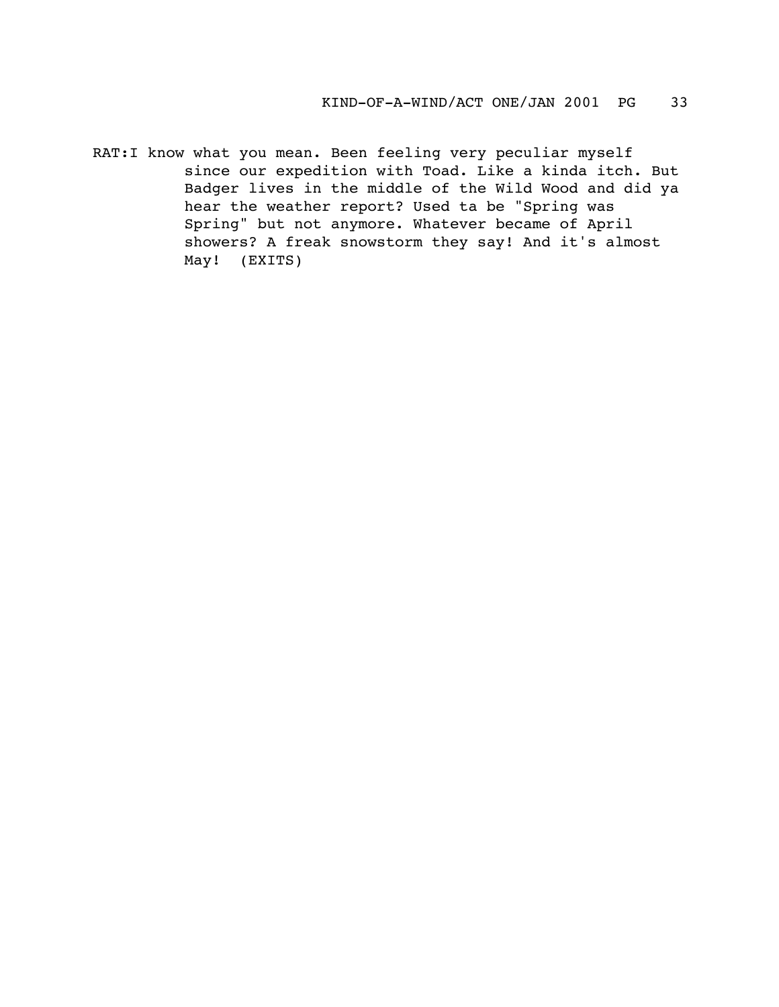RAT:I know what you mean. Been feeling very peculiar myself since our expedition with Toad. Like a kinda itch. But Badger lives in the middle of the Wild Wood and did ya hear the weather report? Used ta be "Spring was Spring" but not anymore. Whatever became of April showers? A freak snowstorm they say! And it's almost May! (EXITS)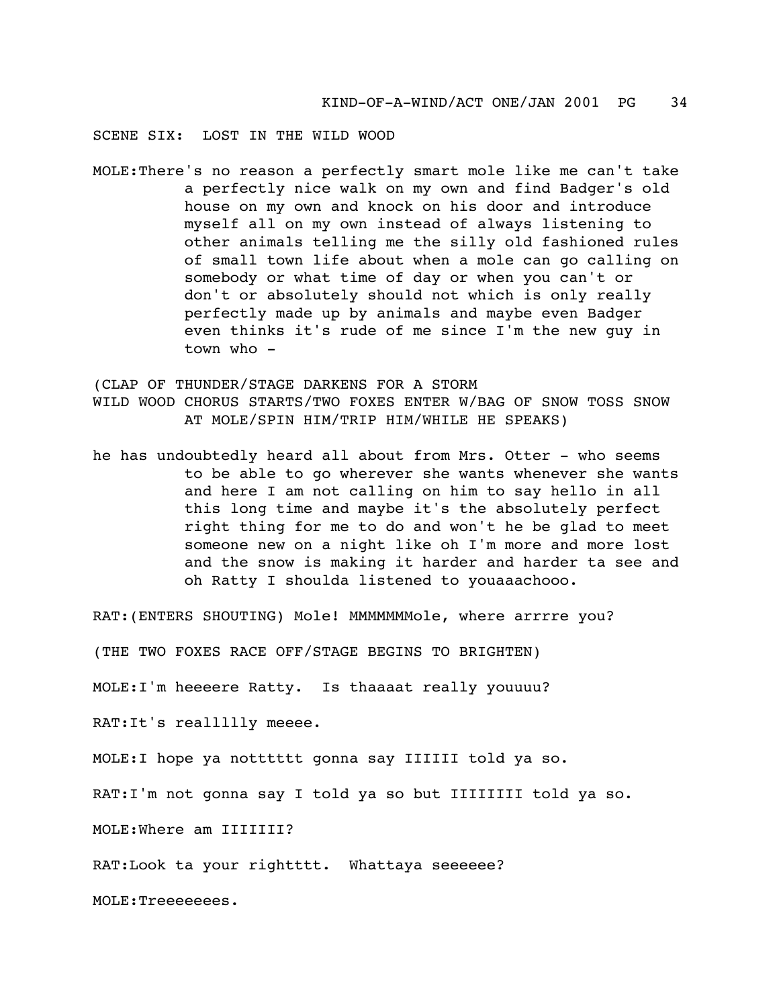SCENE SIX: LOST IN THE WILD WOOD

MOLE:There's no reason a perfectly smart mole like me can't take a perfectly nice walk on my own and find Badger's old house on my own and knock on his door and introduce myself all on my own instead of always listening to other animals telling me the silly old fashioned rules of small town life about when a mole can go calling on somebody or what time of day or when you can't or don't or absolutely should not which is only really perfectly made up by animals and maybe even Badger even thinks it's rude of me since I'm the new guy in town who -

(CLAP OF THUNDER/STAGE DARKENS FOR A STORM WILD WOOD CHORUS STARTS/TWO FOXES ENTER W/BAG OF SNOW TOSS SNOW AT MOLE/SPIN HIM/TRIP HIM/WHILE HE SPEAKS)

he has undoubtedly heard all about from Mrs. Otter - who seems to be able to go wherever she wants whenever she wants and here I am not calling on him to say hello in all this long time and maybe it's the absolutely perfect right thing for me to do and won't he be glad to meet someone new on a night like oh I'm more and more lost and the snow is making it harder and harder ta see and oh Ratty I shoulda listened to youaaachooo.

RAT:(ENTERS SHOUTING) Mole! MMMMMMMole, where arrrre you?

(THE TWO FOXES RACE OFF/STAGE BEGINS TO BRIGHTEN)

MOLE:I'm heeeere Ratty. Is thaaaat really youuuu?

RAT:It's reallllly meeee.

MOLE:I hope ya notttttt gonna say IIIIII told ya so.

RAT:I'm not gonna say I told ya so but IIIIIIII told ya so.

MOLE:Where am IIIIIII?

RAT:Look ta your rightttt. Whattaya seeeeee?

MOLE: Treeeeees.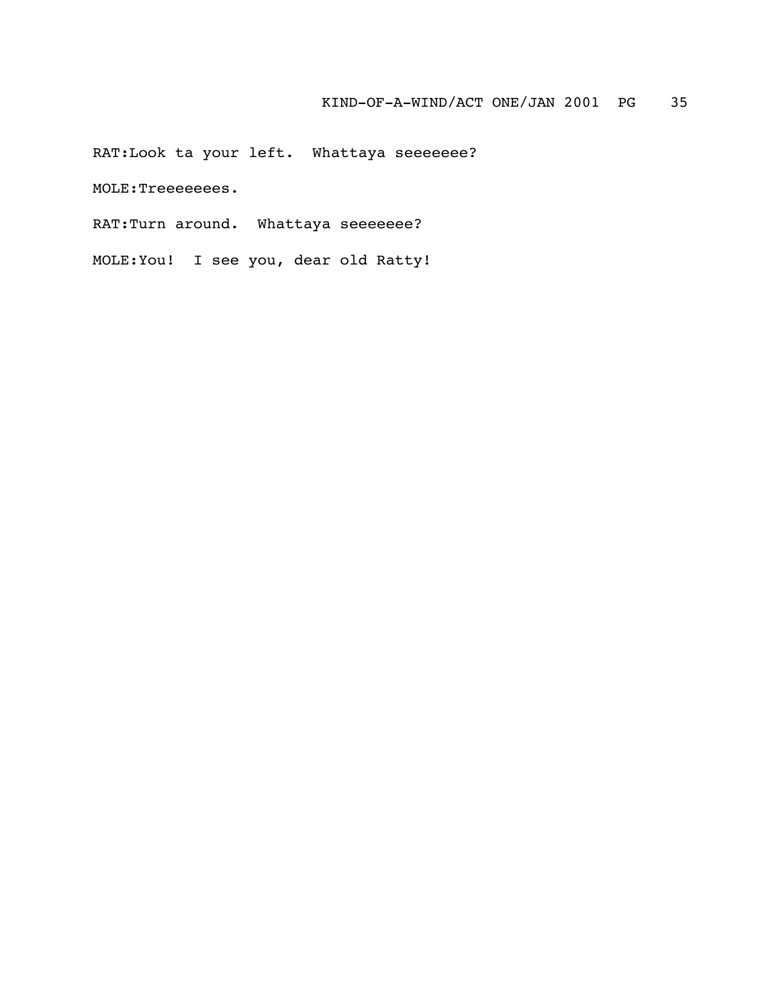RAT:Look ta your left. Whattaya seeeeeee?

MOLE:Treeeeeees.

RAT:Turn around. Whattaya seeeeeee?

MOLE:You! I see you, dear old Ratty!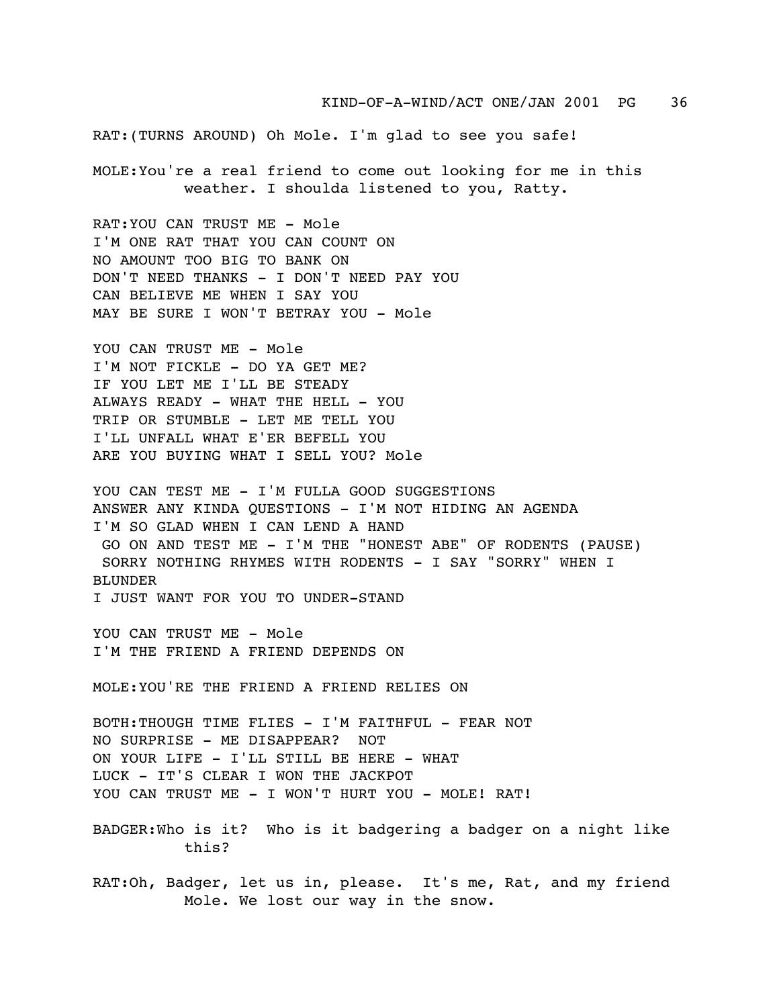RAT:(TURNS AROUND) Oh Mole. I'm glad to see you safe!

MOLE:You're a real friend to come out looking for me in this weather. I shoulda listened to you, Ratty.

RAT:YOU CAN TRUST ME - Mole I'M ONE RAT THAT YOU CAN COUNT ON NO AMOUNT TOO BIG TO BANK ON DON'T NEED THANKS - I DON'T NEED PAY YOU CAN BELIEVE ME WHEN I SAY YOU MAY BE SURE I WON'T BETRAY YOU - Mole

YOU CAN TRUST ME - Mole I'M NOT FICKLE - DO YA GET ME? IF YOU LET ME I'LL BE STEADY ALWAYS READY - WHAT THE HELL - YOU TRIP OR STUMBLE - LET ME TELL YOU I'LL UNFALL WHAT E'ER BEFELL YOU ARE YOU BUYING WHAT I SELL YOU? Mole

YOU CAN TEST ME - I'M FULLA GOOD SUGGESTIONS ANSWER ANY KINDA QUESTIONS - I'M NOT HIDING AN AGENDA I'M SO GLAD WHEN I CAN LEND A HAND GO ON AND TEST ME - I'M THE "HONEST ABE" OF RODENTS (PAUSE) SORRY NOTHING RHYMES WITH RODENTS - I SAY "SORRY" WHEN I BLUNDER I JUST WANT FOR YOU TO UNDER-STAND

YOU CAN TRUST ME - Mole I'M THE FRIEND A FRIEND DEPENDS ON

MOLE:YOU'RE THE FRIEND A FRIEND RELIES ON

BOTH:THOUGH TIME FLIES - I'M FAITHFUL - FEAR NOT NO SURPRISE - ME DISAPPEAR? NOT ON YOUR LIFE - I'LL STILL BE HERE - WHAT LUCK - IT'S CLEAR I WON THE JACKPOT YOU CAN TRUST ME - I WON'T HURT YOU - MOLE! RAT!

BADGER:Who is it? Who is it badgering a badger on a night like this?

RAT:Oh, Badger, let us in, please. It's me, Rat, and my friend Mole. We lost our way in the snow.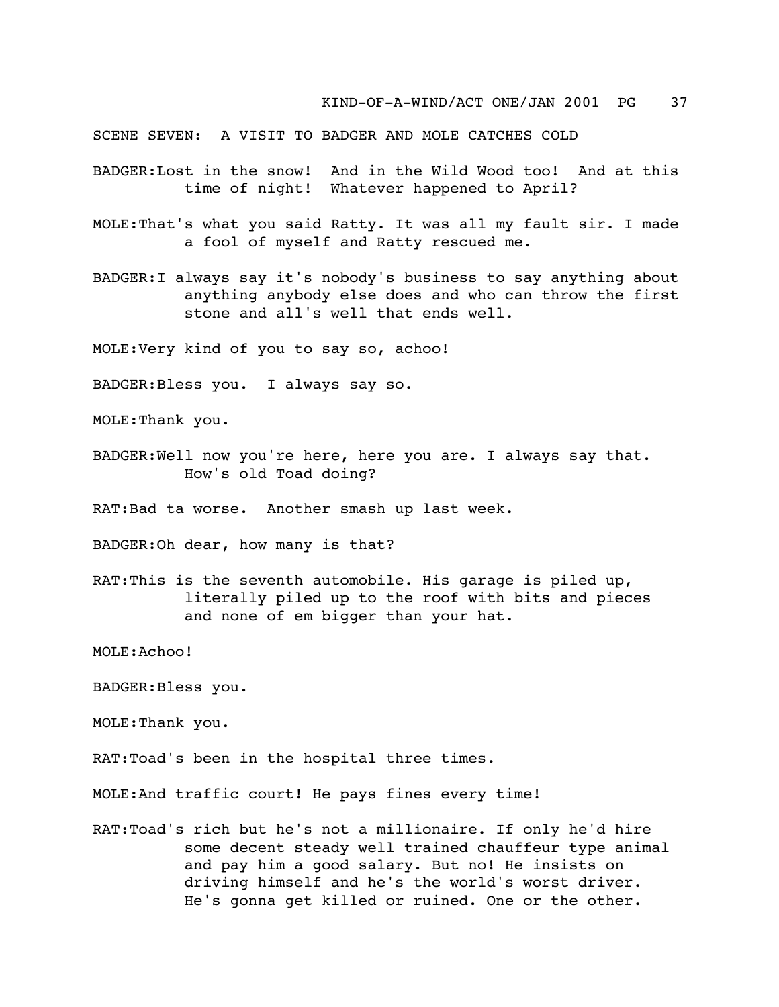SCENE SEVEN: A VISIT TO BADGER AND MOLE CATCHES COLD

- BADGER:Lost in the snow! And in the Wild Wood too! And at this time of night! Whatever happened to April?
- MOLE:That's what you said Ratty. It was all my fault sir. I made a fool of myself and Ratty rescued me.
- BADGER:I always say it's nobody's business to say anything about anything anybody else does and who can throw the first stone and all's well that ends well.

MOLE:Very kind of you to say so, achoo!

BADGER:Bless you. I always say so.

MOLE:Thank you.

BADGER:Well now you're here, here you are. I always say that. How's old Toad doing?

RAT:Bad ta worse. Another smash up last week.

BADGER:Oh dear, how many is that?

RAT:This is the seventh automobile. His garage is piled up, literally piled up to the roof with bits and pieces and none of em bigger than your hat.

MOLE:Achoo!

BADGER:Bless you.

MOLE:Thank you.

RAT:Toad's been in the hospital three times.

MOLE:And traffic court! He pays fines every time!

RAT:Toad's rich but he's not a millionaire. If only he'd hire some decent steady well trained chauffeur type animal and pay him a good salary. But no! He insists on driving himself and he's the world's worst driver. He's gonna get killed or ruined. One or the other.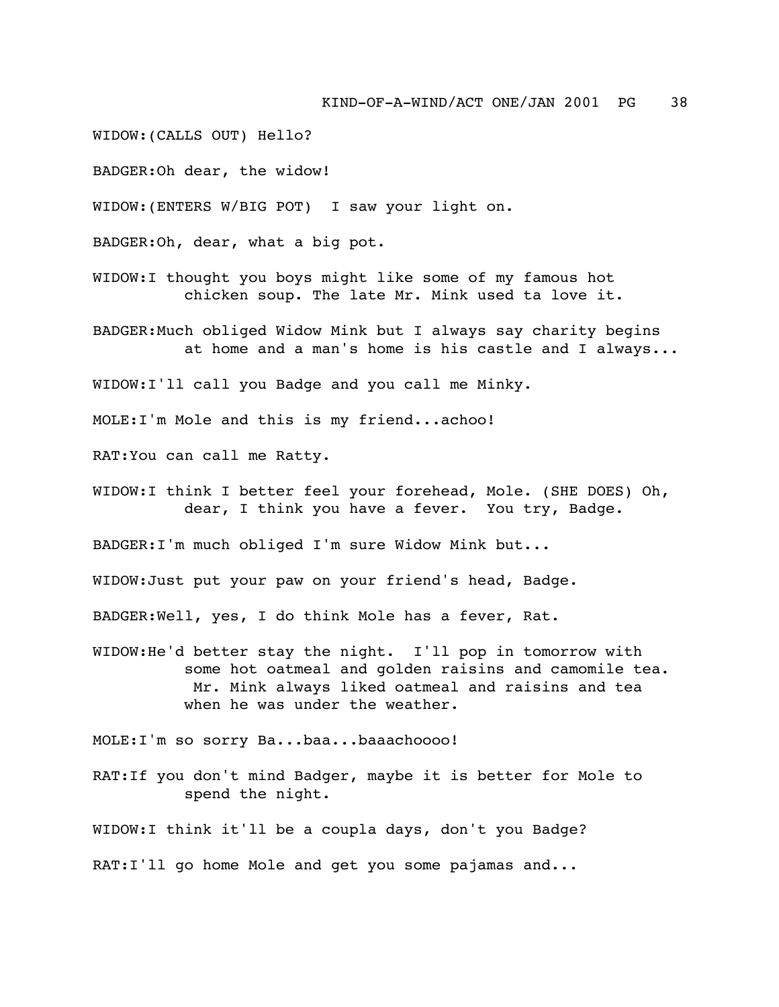WIDOW:(CALLS OUT) Hello?

BADGER:Oh dear, the widow!

WIDOW:(ENTERS W/BIG POT) I saw your light on.

BADGER:Oh, dear, what a big pot.

- WIDOW:I thought you boys might like some of my famous hot chicken soup. The late Mr. Mink used ta love it.
- BADGER:Much obliged Widow Mink but I always say charity begins at home and a man's home is his castle and I always...

WIDOW:I'll call you Badge and you call me Minky.

MOLE:I'm Mole and this is my friend...achoo!

RAT:You can call me Ratty.

WIDOW:I think I better feel your forehead, Mole. (SHE DOES) Oh, dear, I think you have a fever. You try, Badge.

BADGER:I'm much obliged I'm sure Widow Mink but...

WIDOW:Just put your paw on your friend's head, Badge.

BADGER:Well, yes, I do think Mole has a fever, Rat.

WIDOW:He'd better stay the night. I'll pop in tomorrow with some hot oatmeal and golden raisins and camomile tea. Mr. Mink always liked oatmeal and raisins and tea when he was under the weather.

MOLE:I'm so sorry Ba...baa...baaachoooo!

RAT:If you don't mind Badger, maybe it is better for Mole to spend the night.

WIDOW:I think it'll be a coupla days, don't you Badge?

RAT:I'll go home Mole and get you some pajamas and...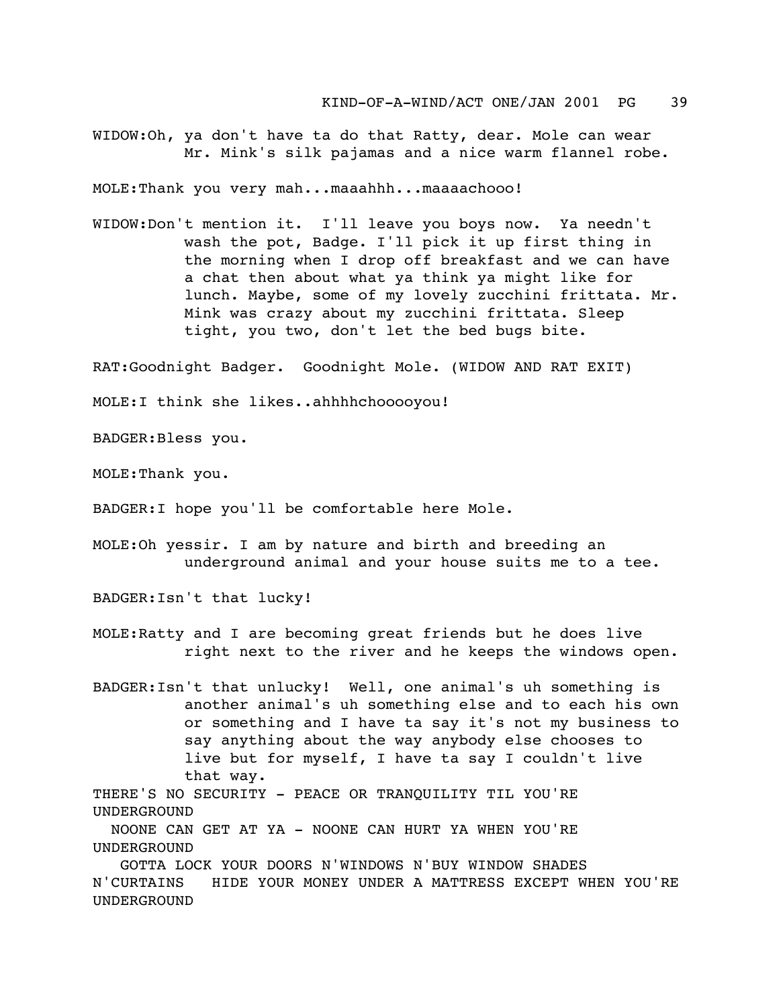WIDOW:Oh, ya don't have ta do that Ratty, dear. Mole can wear Mr. Mink's silk pajamas and a nice warm flannel robe.

MOLE:Thank you very mah...maaahhh...maaaachooo!

WIDOW:Don't mention it. I'll leave you boys now. Ya needn't wash the pot, Badge. I'll pick it up first thing in the morning when I drop off breakfast and we can have a chat then about what ya think ya might like for lunch. Maybe, some of my lovely zucchini frittata. Mr. Mink was crazy about my zucchini frittata. Sleep tight, you two, don't let the bed bugs bite.

RAT:Goodnight Badger. Goodnight Mole. (WIDOW AND RAT EXIT)

MOLE:I think she likes..ahhhhchooooyou!

BADGER:Bless you.

MOLE:Thank you.

BADGER:I hope you'll be comfortable here Mole.

MOLE:Oh yessir. I am by nature and birth and breeding an underground animal and your house suits me to a tee.

BADGER:Isn't that lucky!

- MOLE:Ratty and I are becoming great friends but he does live right next to the river and he keeps the windows open.
- BADGER:Isn't that unlucky! Well, one animal's uh something is another animal's uh something else and to each his own or something and I have ta say it's not my business to say anything about the way anybody else chooses to live but for myself, I have ta say I couldn't live that way.

THERE'S NO SECURITY - PEACE OR TRANQUILITY TIL YOU'RE UNDERGROUND

 NOONE CAN GET AT YA - NOONE CAN HURT YA WHEN YOU'RE UNDERGROUND

 GOTTA LOCK YOUR DOORS N'WINDOWS N'BUY WINDOW SHADES N'CURTAINS HIDE YOUR MONEY UNDER A MATTRESS EXCEPT WHEN YOU'RE UNDERGROUND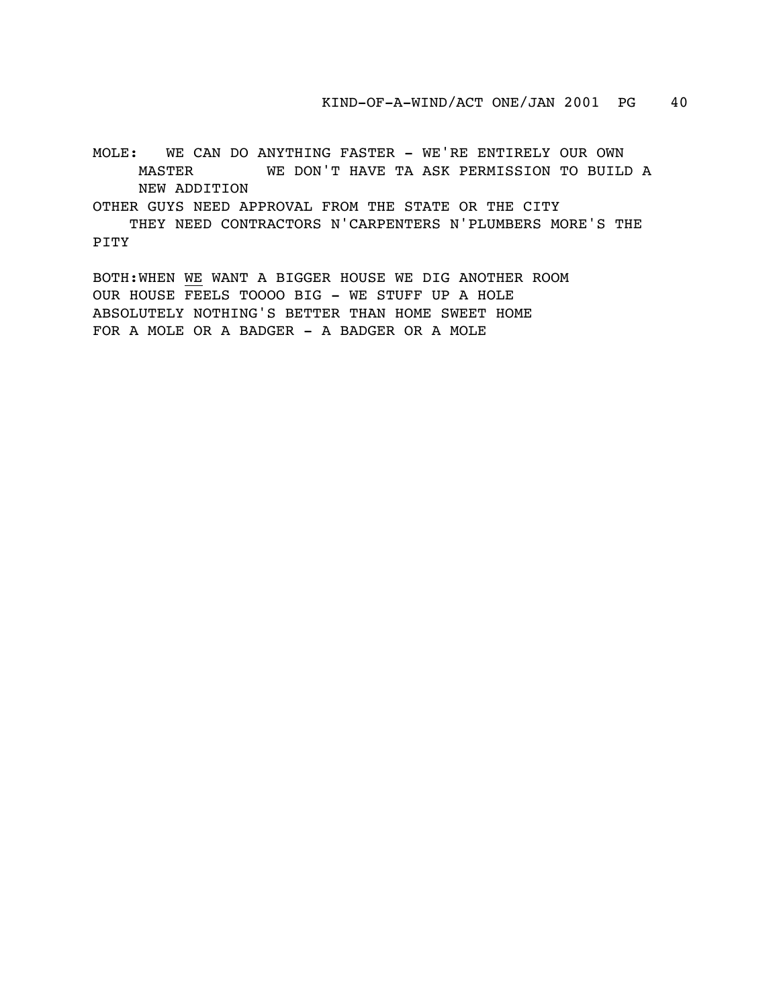MOLE: WE CAN DO ANYTHING FASTER - WE'RE ENTIRELY OUR OWN MASTER WE DON'T HAVE TA ASK PERMISSION TO BUILD A NEW ADDITION

OTHER GUYS NEED APPROVAL FROM THE STATE OR THE CITY

 THEY NEED CONTRACTORS N'CARPENTERS N'PLUMBERS MORE'S THE PITY

BOTH:WHEN WE WANT A BIGGER HOUSE WE DIG ANOTHER ROOM OUR HOUSE FEELS TOOOO BIG - WE STUFF UP A HOLE ABSOLUTELY NOTHING'S BETTER THAN HOME SWEET HOME FOR A MOLE OR A BADGER - A BADGER OR A MOLE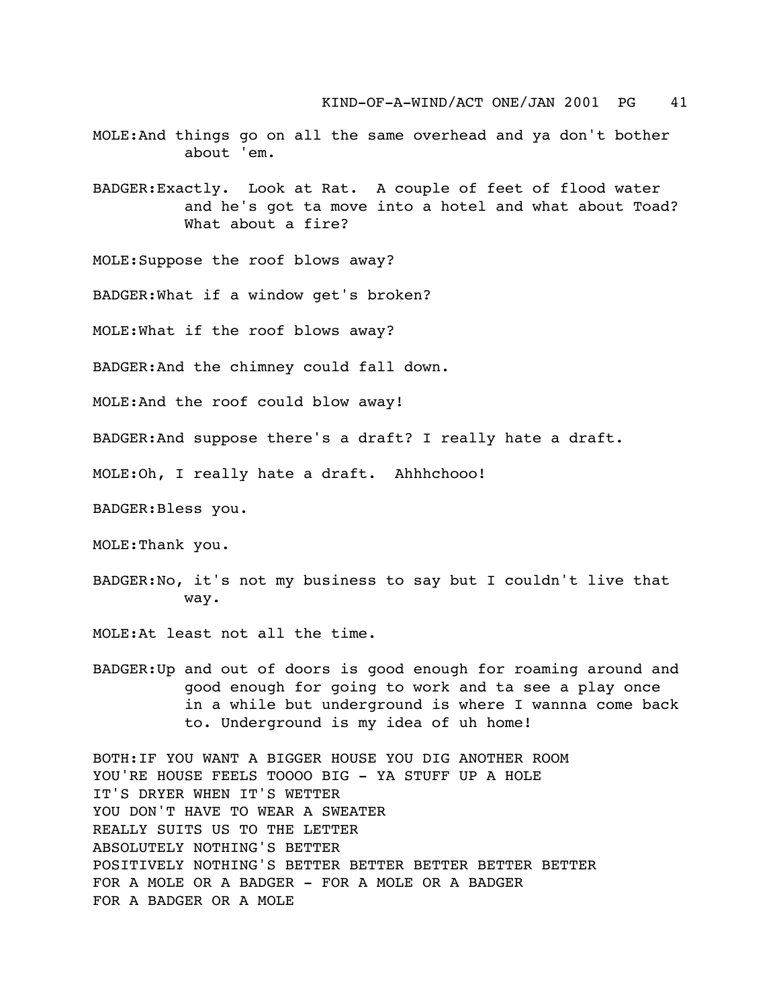- MOLE:And things go on all the same overhead and ya don't bother about 'em.
- BADGER:Exactly. Look at Rat. A couple of feet of flood water and he's got ta move into a hotel and what about Toad? What about a fire?

MOLE:Suppose the roof blows away?

BADGER:What if a window get's broken?

MOLE:What if the roof blows away?

BADGER:And the chimney could fall down.

MOLE:And the roof could blow away!

BADGER:And suppose there's a draft? I really hate a draft.

MOLE:Oh, I really hate a draft. Ahhhchooo!

BADGER:Bless you.

MOLE:Thank you.

BADGER:No, it's not my business to say but I couldn't live that way.

MOLE:At least not all the time.

BADGER:Up and out of doors is good enough for roaming around and good enough for going to work and ta see a play once in a while but underground is where I wannna come back to. Underground is my idea of uh home!

BOTH:IF YOU WANT A BIGGER HOUSE YOU DIG ANOTHER ROOM YOU'RE HOUSE FEELS TOOOO BIG - YA STUFF UP A HOLE IT'S DRYER WHEN IT'S WETTER YOU DON'T HAVE TO WEAR A SWEATER REALLY SUITS US TO THE LETTER ABSOLUTELY NOTHING'S BETTER POSITIVELY NOTHING'S BETTER BETTER BETTER BETTER BETTER FOR A MOLE OR A BADGER - FOR A MOLE OR A BADGER FOR A BADGER OR A MOLE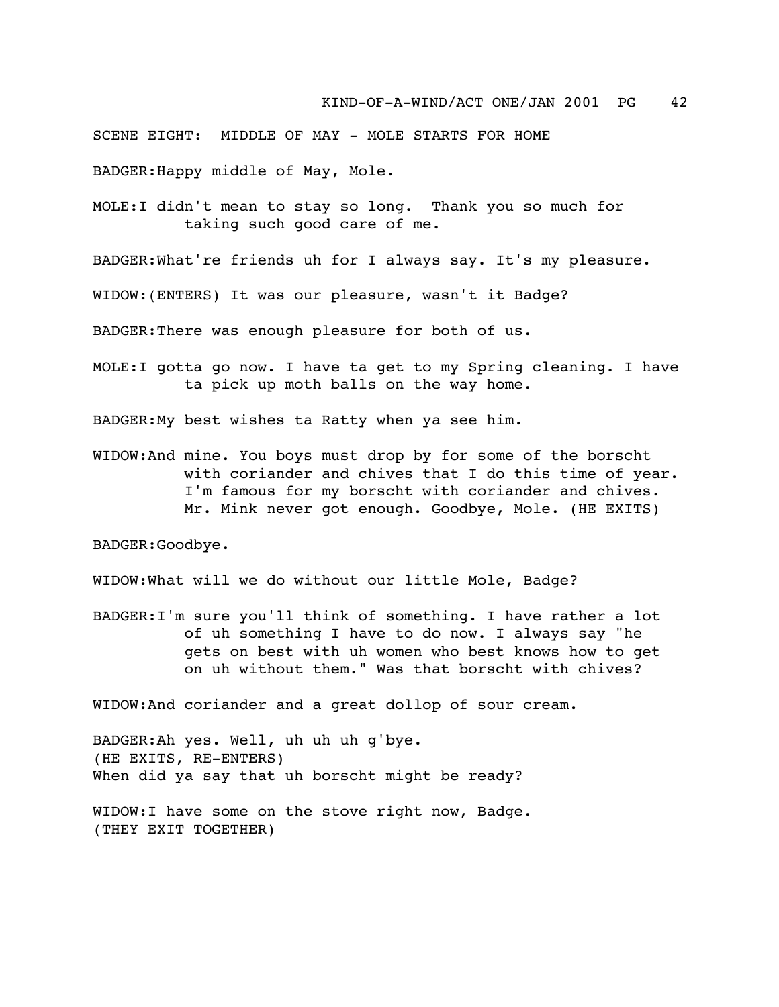SCENE EIGHT: MIDDLE OF MAY - MOLE STARTS FOR HOME

BADGER:Happy middle of May, Mole.

MOLE:I didn't mean to stay so long. Thank you so much for taking such good care of me.

BADGER:What're friends uh for I always say. It's my pleasure.

WIDOW:(ENTERS) It was our pleasure, wasn't it Badge?

BADGER:There was enough pleasure for both of us.

MOLE:I gotta go now. I have ta get to my Spring cleaning. I have ta pick up moth balls on the way home.

BADGER:My best wishes ta Ratty when ya see him.

WIDOW:And mine. You boys must drop by for some of the borscht with coriander and chives that I do this time of year. I'm famous for my borscht with coriander and chives. Mr. Mink never got enough. Goodbye, Mole. (HE EXITS)

BADGER:Goodbye.

WIDOW:What will we do without our little Mole, Badge?

BADGER:I'm sure you'll think of something. I have rather a lot of uh something I have to do now. I always say "he gets on best with uh women who best knows how to get on uh without them." Was that borscht with chives?

WIDOW:And coriander and a great dollop of sour cream.

BADGER:Ah yes. Well, uh uh uh g'bye. (HE EXITS, RE-ENTERS) When did ya say that uh borscht might be ready?

WIDOW:I have some on the stove right now, Badge. (THEY EXIT TOGETHER)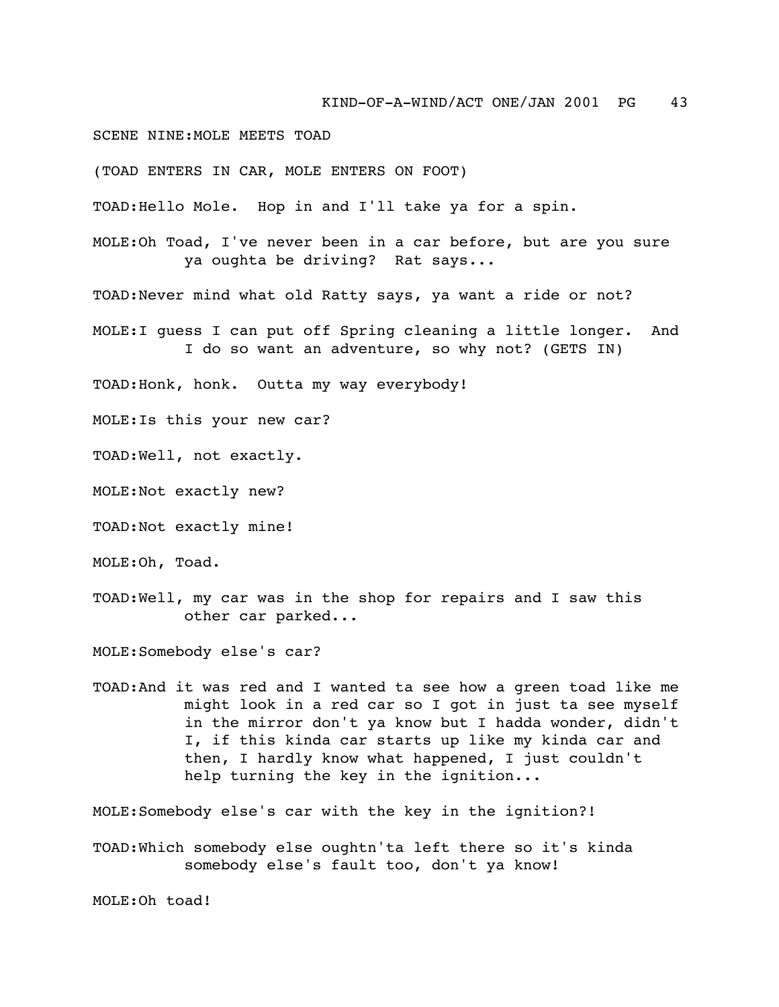SCENE NINE:MOLE MEETS TOAD

(TOAD ENTERS IN CAR, MOLE ENTERS ON FOOT)

TOAD:Hello Mole. Hop in and I'll take ya for a spin.

MOLE:Oh Toad, I've never been in a car before, but are you sure ya oughta be driving? Rat says...

TOAD:Never mind what old Ratty says, ya want a ride or not?

MOLE:I guess I can put off Spring cleaning a little longer. And I do so want an adventure, so why not? (GETS IN)

TOAD:Honk, honk. Outta my way everybody!

MOLE:Is this your new car?

TOAD:Well, not exactly.

MOLE:Not exactly new?

TOAD:Not exactly mine!

MOLE:Oh, Toad.

TOAD:Well, my car was in the shop for repairs and I saw this other car parked...

MOLE:Somebody else's car?

TOAD:And it was red and I wanted ta see how a green toad like me might look in a red car so I got in just ta see myself in the mirror don't ya know but I hadda wonder, didn't I, if this kinda car starts up like my kinda car and then, I hardly know what happened, I just couldn't help turning the key in the ignition...

MOLE:Somebody else's car with the key in the ignition?!

TOAD:Which somebody else oughtn'ta left there so it's kinda somebody else's fault too, don't ya know!

MOLE:Oh toad!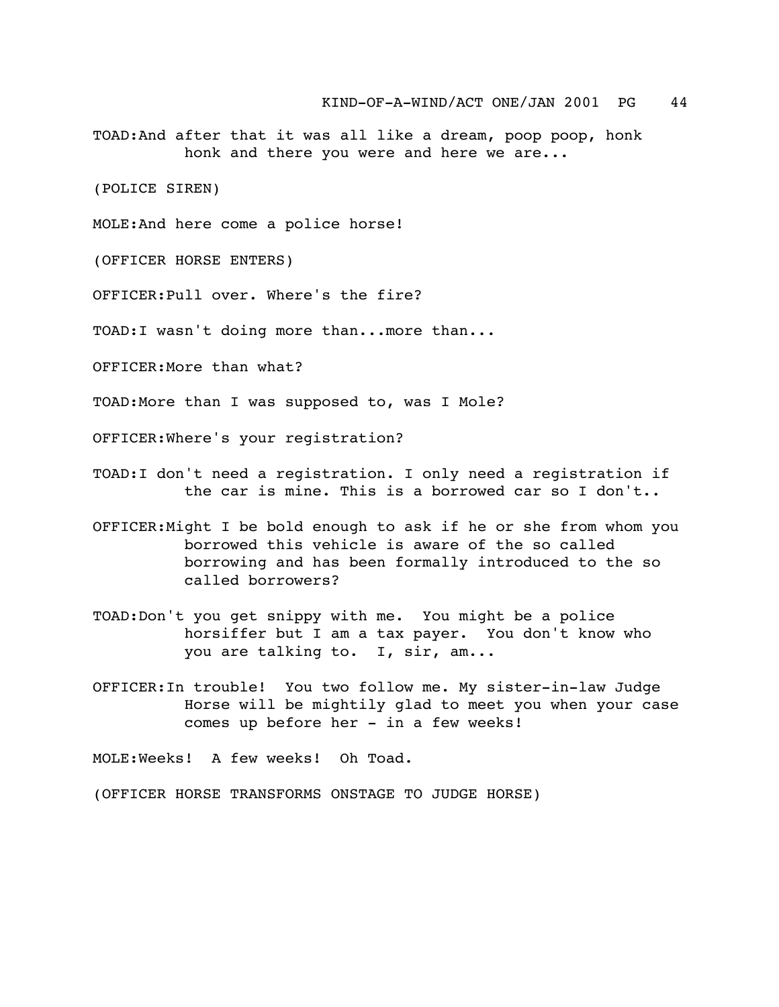TOAD:And after that it was all like a dream, poop poop, honk honk and there you were and here we are...

(POLICE SIREN)

MOLE:And here come a police horse!

(OFFICER HORSE ENTERS)

OFFICER:Pull over. Where's the fire?

TOAD:I wasn't doing more than...more than...

OFFICER:More than what?

TOAD:More than I was supposed to, was I Mole?

OFFICER:Where's your registration?

- TOAD:I don't need a registration. I only need a registration if the car is mine. This is a borrowed car so I don't..
- OFFICER:Might I be bold enough to ask if he or she from whom you borrowed this vehicle is aware of the so called borrowing and has been formally introduced to the so called borrowers?
- TOAD:Don't you get snippy with me. You might be a police horsiffer but I am a tax payer. You don't know who you are talking to. I, sir, am...
- OFFICER:In trouble! You two follow me. My sister-in-law Judge Horse will be mightily glad to meet you when your case comes up before her - in a few weeks!

MOLE:Weeks! A few weeks! Oh Toad.

(OFFICER HORSE TRANSFORMS ONSTAGE TO JUDGE HORSE)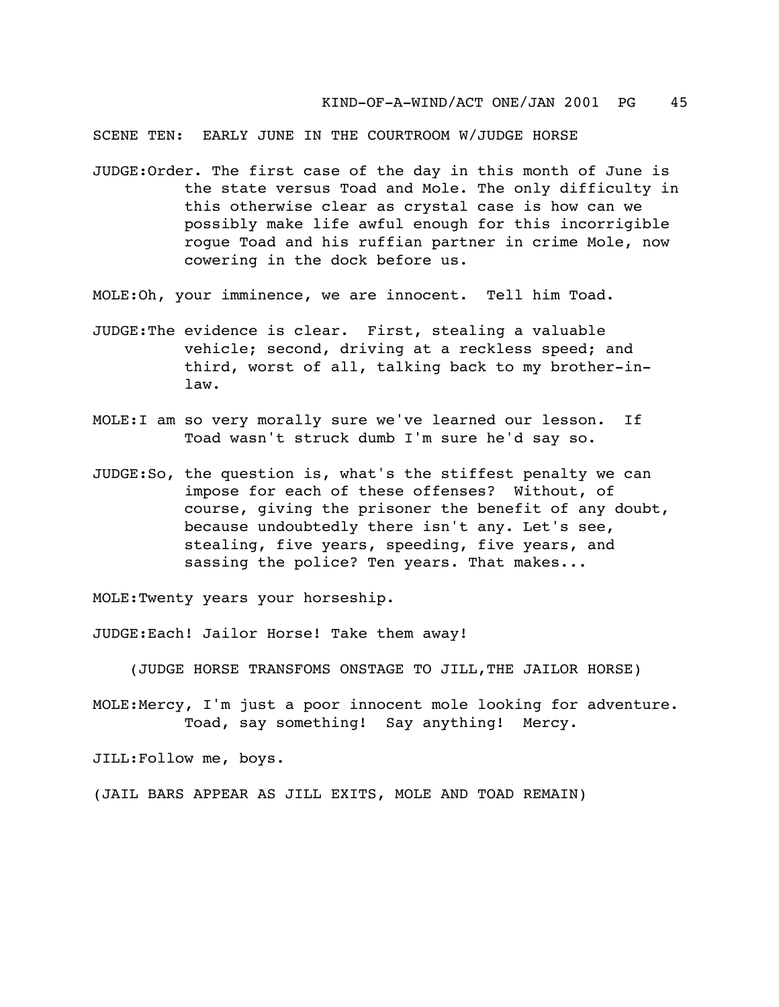SCENE TEN: EARLY JUNE IN THE COURTROOM W/JUDGE HORSE

- JUDGE:Order. The first case of the day in this month of June is the state versus Toad and Mole. The only difficulty in this otherwise clear as crystal case is how can we possibly make life awful enough for this incorrigible rogue Toad and his ruffian partner in crime Mole, now cowering in the dock before us.
- MOLE:Oh, your imminence, we are innocent. Tell him Toad.
- JUDGE:The evidence is clear. First, stealing a valuable vehicle; second, driving at a reckless speed; and third, worst of all, talking back to my brother-inlaw.
- MOLE:I am so very morally sure we've learned our lesson. If Toad wasn't struck dumb I'm sure he'd say so.
- JUDGE:So, the question is, what's the stiffest penalty we can impose for each of these offenses? Without, of course, giving the prisoner the benefit of any doubt, because undoubtedly there isn't any. Let's see, stealing, five years, speeding, five years, and sassing the police? Ten years. That makes...

MOLE:Twenty years your horseship.

JUDGE:Each! Jailor Horse! Take them away!

(JUDGE HORSE TRANSFOMS ONSTAGE TO JILL,THE JAILOR HORSE)

MOLE:Mercy, I'm just a poor innocent mole looking for adventure. Toad, say something! Say anything! Mercy.

JILL:Follow me, boys.

(JAIL BARS APPEAR AS JILL EXITS, MOLE AND TOAD REMAIN)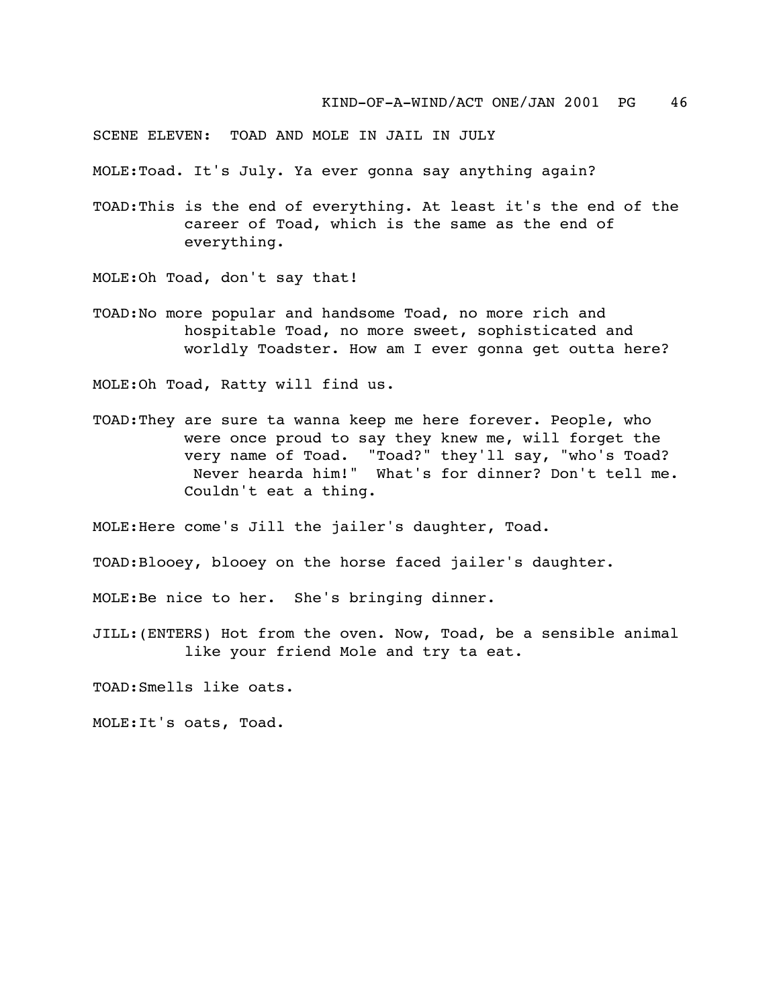SCENE ELEVEN: TOAD AND MOLE IN JAIL IN JULY

MOLE:Toad. It's July. Ya ever gonna say anything again?

TOAD:This is the end of everything. At least it's the end of the career of Toad, which is the same as the end of everything.

MOLE:Oh Toad, don't say that!

TOAD:No more popular and handsome Toad, no more rich and hospitable Toad, no more sweet, sophisticated and worldly Toadster. How am I ever gonna get outta here?

MOLE:Oh Toad, Ratty will find us.

TOAD:They are sure ta wanna keep me here forever. People, who were once proud to say they knew me, will forget the very name of Toad. "Toad?" they'll say, "who's Toad? Never hearda him!" What's for dinner? Don't tell me. Couldn't eat a thing.

MOLE:Here come's Jill the jailer's daughter, Toad.

TOAD:Blooey, blooey on the horse faced jailer's daughter.

MOLE:Be nice to her. She's bringing dinner.

JILL:(ENTERS) Hot from the oven. Now, Toad, be a sensible animal like your friend Mole and try ta eat.

TOAD:Smells like oats.

MOLE:It's oats, Toad.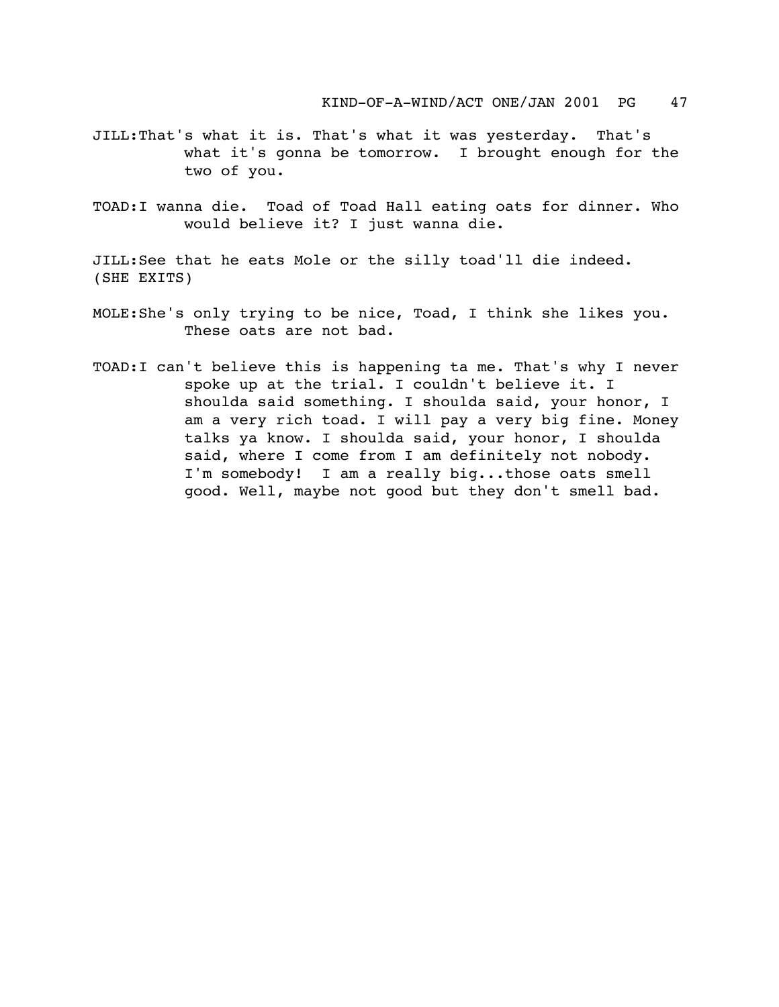- JILL:That's what it is. That's what it was yesterday. That's what it's gonna be tomorrow. I brought enough for the two of you.
- TOAD:I wanna die. Toad of Toad Hall eating oats for dinner. Who would believe it? I just wanna die.

JILL:See that he eats Mole or the silly toad'll die indeed. (SHE EXITS)

- MOLE:She's only trying to be nice, Toad, I think she likes you. These oats are not bad.
- TOAD:I can't believe this is happening ta me. That's why I never spoke up at the trial. I couldn't believe it. I shoulda said something. I shoulda said, your honor, I am a very rich toad. I will pay a very big fine. Money talks ya know. I shoulda said, your honor, I shoulda said, where I come from I am definitely not nobody. I'm somebody! I am a really big...those oats smell good. Well, maybe not good but they don't smell bad.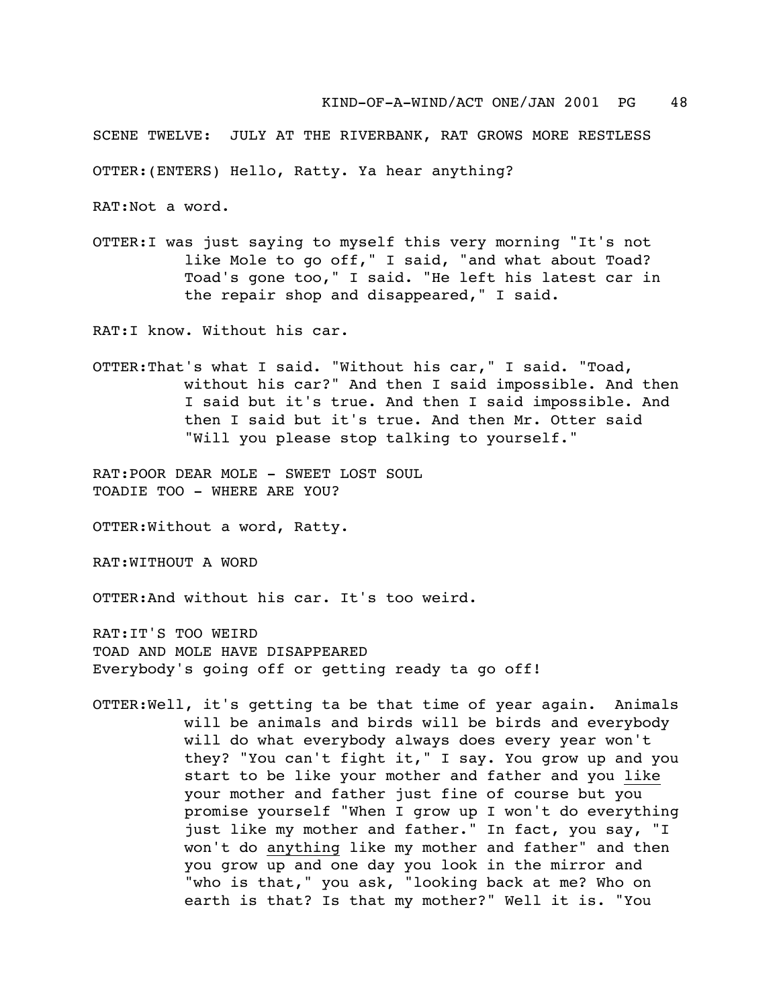SCENE TWELVE: JULY AT THE RIVERBANK, RAT GROWS MORE RESTLESS

OTTER:(ENTERS) Hello, Ratty. Ya hear anything?

RAT:Not a word.

OTTER:I was just saying to myself this very morning "It's not like Mole to go off," I said, "and what about Toad? Toad's gone too," I said. "He left his latest car in the repair shop and disappeared," I said.

RAT:I know. Without his car.

OTTER:That's what I said. "Without his car," I said. "Toad, without his car?" And then I said impossible. And then I said but it's true. And then I said impossible. And then I said but it's true. And then Mr. Otter said "Will you please stop talking to yourself."

RAT: POOR DEAR MOLE - SWEET LOST SOUL TOADIE TOO - WHERE ARE YOU?

OTTER:Without a word, Ratty.

RAT:WITHOUT A WORD

OTTER:And without his car. It's too weird.

RAT:IT'S TOO WEIRD TOAD AND MOLE HAVE DISAPPEARED Everybody's going off or getting ready ta go off!

OTTER:Well, it's getting ta be that time of year again. Animals will be animals and birds will be birds and everybody will do what everybody always does every year won't they? "You can't fight it," I say. You grow up and you start to be like your mother and father and you like your mother and father just fine of course but you promise yourself "When I grow up I won't do everything just like my mother and father." In fact, you say, "I won't do anything like my mother and father" and then you grow up and one day you look in the mirror and "who is that," you ask, "looking back at me? Who on earth is that? Is that my mother?" Well it is. "You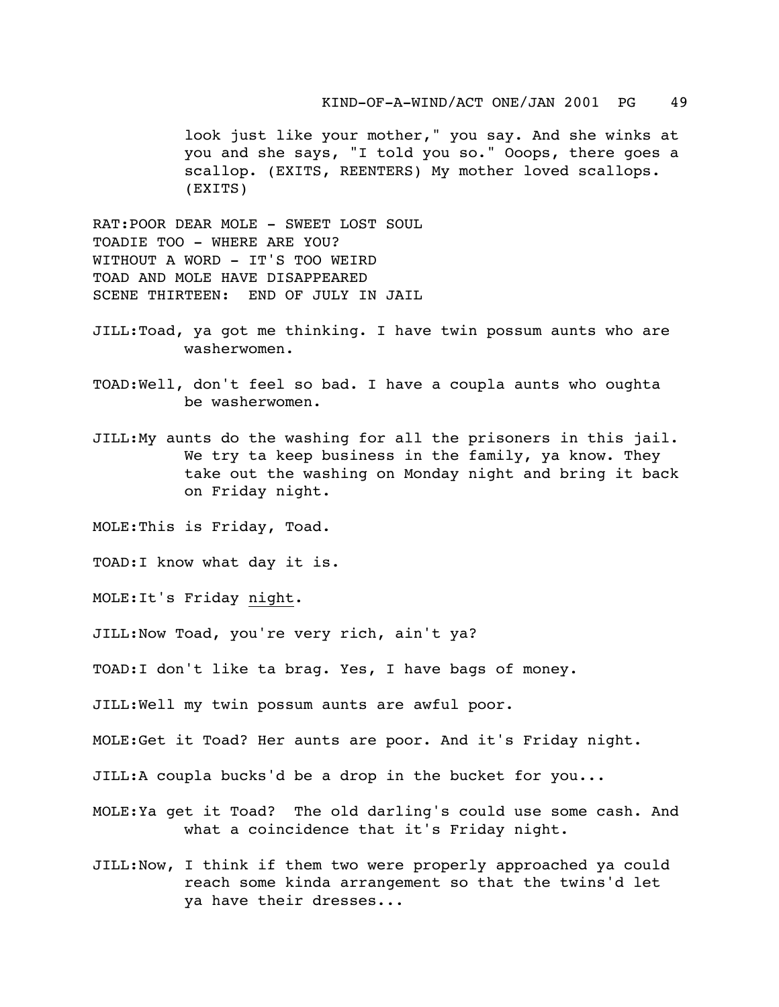look just like your mother," you say. And she winks at you and she says, "I told you so." Ooops, there goes a scallop. (EXITS, REENTERS) My mother loved scallops. (EXITS)

RAT:POOR DEAR MOLE - SWEET LOST SOUL TOADIE TOO - WHERE ARE YOU? WITHOUT A WORD - IT'S TOO WEIRD TOAD AND MOLE HAVE DISAPPEARED SCENE THIRTEEN: END OF JULY IN JAIL

- JILL:Toad, ya got me thinking. I have twin possum aunts who are washerwomen.
- TOAD:Well, don't feel so bad. I have a coupla aunts who oughta be washerwomen.
- JILL:My aunts do the washing for all the prisoners in this jail. We try ta keep business in the family, ya know. They take out the washing on Monday night and bring it back on Friday night.

MOLE:This is Friday, Toad.

TOAD:I know what day it is.

MOLE:It's Friday night.

JILL:Now Toad, you're very rich, ain't ya?

TOAD:I don't like ta brag. Yes, I have bags of money.

JILL:Well my twin possum aunts are awful poor.

MOLE:Get it Toad? Her aunts are poor. And it's Friday night.

JILL:A coupla bucks'd be a drop in the bucket for you...

- MOLE:Ya get it Toad? The old darling's could use some cash. And what a coincidence that it's Friday night.
- JILL:Now, I think if them two were properly approached ya could reach some kinda arrangement so that the twins'd let ya have their dresses...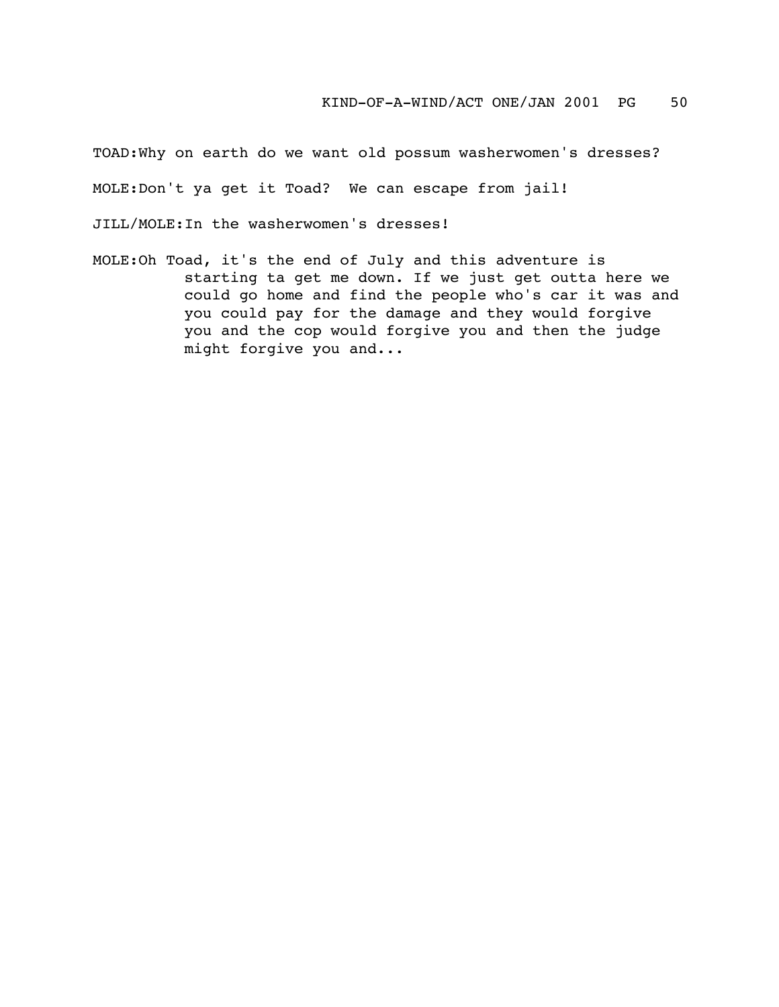TOAD:Why on earth do we want old possum washerwomen's dresses? MOLE:Don't ya get it Toad? We can escape from jail!

JILL/MOLE:In the washerwomen's dresses!

MOLE:Oh Toad, it's the end of July and this adventure is starting ta get me down. If we just get outta here we could go home and find the people who's car it was and you could pay for the damage and they would forgive you and the cop would forgive you and then the judge might forgive you and...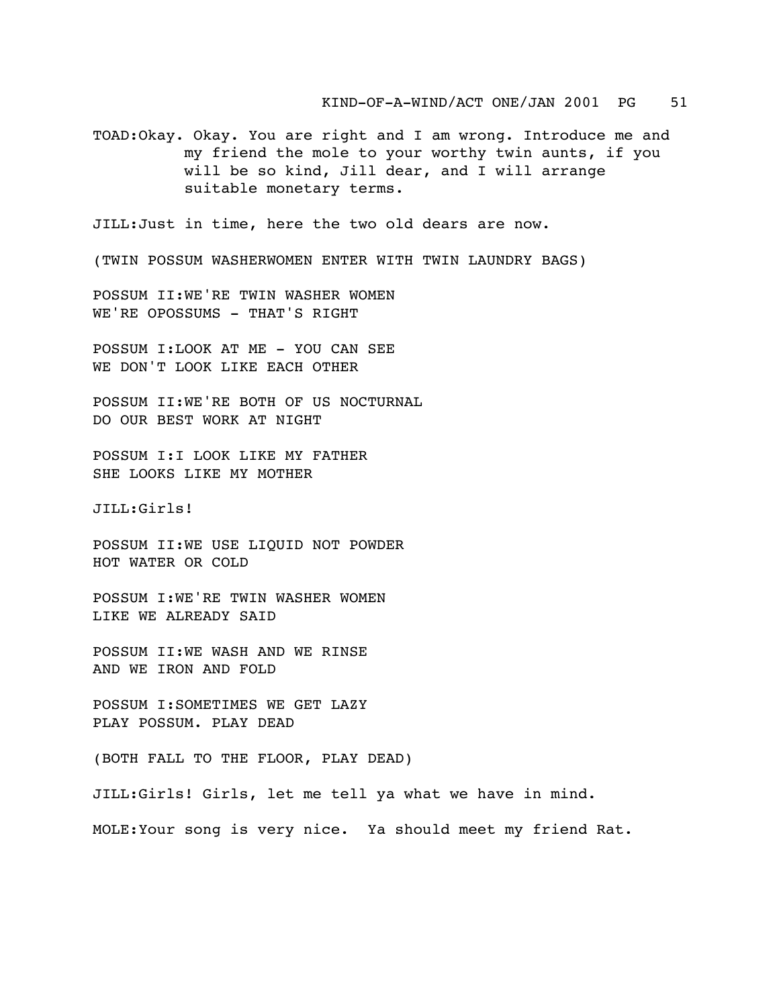TOAD:Okay. Okay. You are right and I am wrong. Introduce me and my friend the mole to your worthy twin aunts, if you will be so kind, Jill dear, and I will arrange suitable monetary terms.

JILL:Just in time, here the two old dears are now.

(TWIN POSSUM WASHERWOMEN ENTER WITH TWIN LAUNDRY BAGS)

POSSUM II:WE'RE TWIN WASHER WOMEN WE'RE OPOSSUMS - THAT'S RIGHT

POSSUM I:LOOK AT ME - YOU CAN SEE WE DON'T LOOK LIKE EACH OTHER

POSSUM II:WE'RE BOTH OF US NOCTURNAL DO OUR BEST WORK AT NIGHT

POSSUM I:I LOOK LIKE MY FATHER SHE LOOKS LIKE MY MOTHER

JILL:Girls!

POSSUM II:WE USE LIQUID NOT POWDER HOT WATER OR COLD

POSSUM I:WE'RE TWIN WASHER WOMEN LIKE WE ALREADY SAID

POSSUM II:WE WASH AND WE RINSE AND WE IRON AND FOLD

POSSUM I:SOMETIMES WE GET LAZY PLAY POSSUM. PLAY DEAD

(BOTH FALL TO THE FLOOR, PLAY DEAD)

JILL:Girls! Girls, let me tell ya what we have in mind.

MOLE:Your song is very nice. Ya should meet my friend Rat.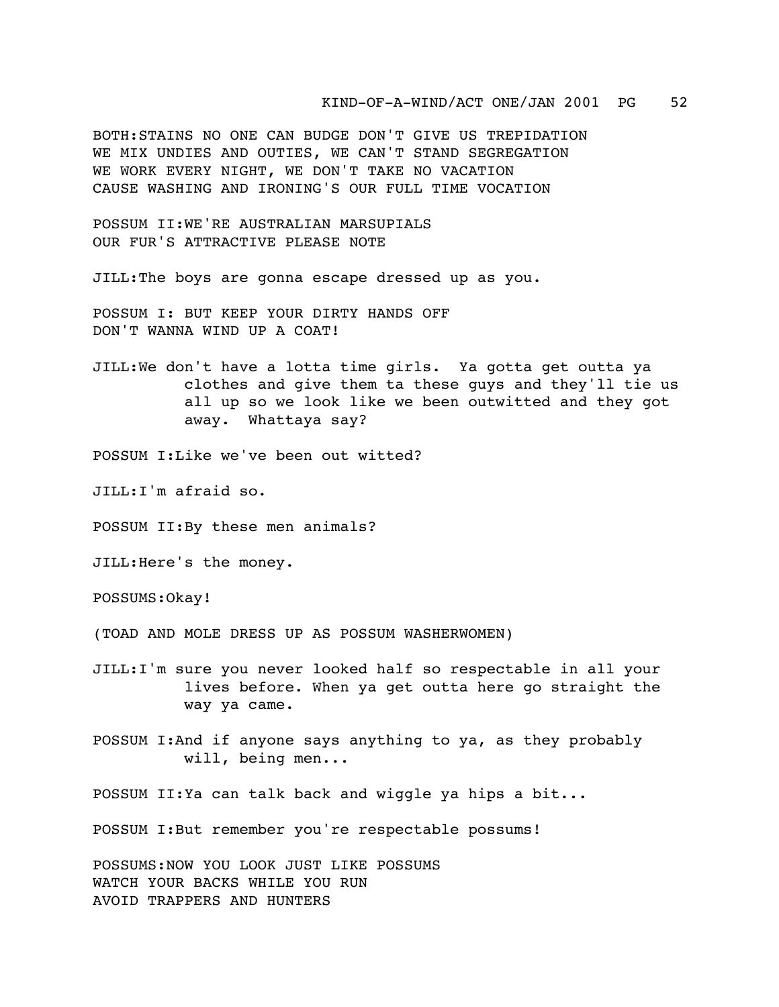KIND-OF-A-WIND/ACT ONE/JAN 2001 PG 52

BOTH:STAINS NO ONE CAN BUDGE DON'T GIVE US TREPIDATION WE MIX UNDIES AND OUTIES, WE CAN'T STAND SEGREGATION WE WORK EVERY NIGHT, WE DON'T TAKE NO VACATION CAUSE WASHING AND IRONING'S OUR FULL TIME VOCATION

POSSUM II:WE'RE AUSTRALIAN MARSUPIALS OUR FUR'S ATTRACTIVE PLEASE NOTE

JILL:The boys are gonna escape dressed up as you.

POSSUM I: BUT KEEP YOUR DIRTY HANDS OFF DON'T WANNA WIND UP A COAT!

JILL:We don't have a lotta time girls. Ya gotta get outta ya clothes and give them ta these guys and they'll tie us all up so we look like we been outwitted and they got away. Whattaya say?

POSSUM I:Like we've been out witted?

JILL:I'm afraid so.

POSSUM II:By these men animals?

JILL:Here's the money.

POSSUMS:Okay!

(TOAD AND MOLE DRESS UP AS POSSUM WASHERWOMEN)

JILL:I'm sure you never looked half so respectable in all your lives before. When ya get outta here go straight the way ya came.

POSSUM I:And if anyone says anything to ya, as they probably will, being men...

POSSUM II:Ya can talk back and wiggle ya hips a bit...

POSSUM I:But remember you're respectable possums!

POSSUMS:NOW YOU LOOK JUST LIKE POSSUMS WATCH YOUR BACKS WHILE YOU RUN AVOID TRAPPERS AND HUNTERS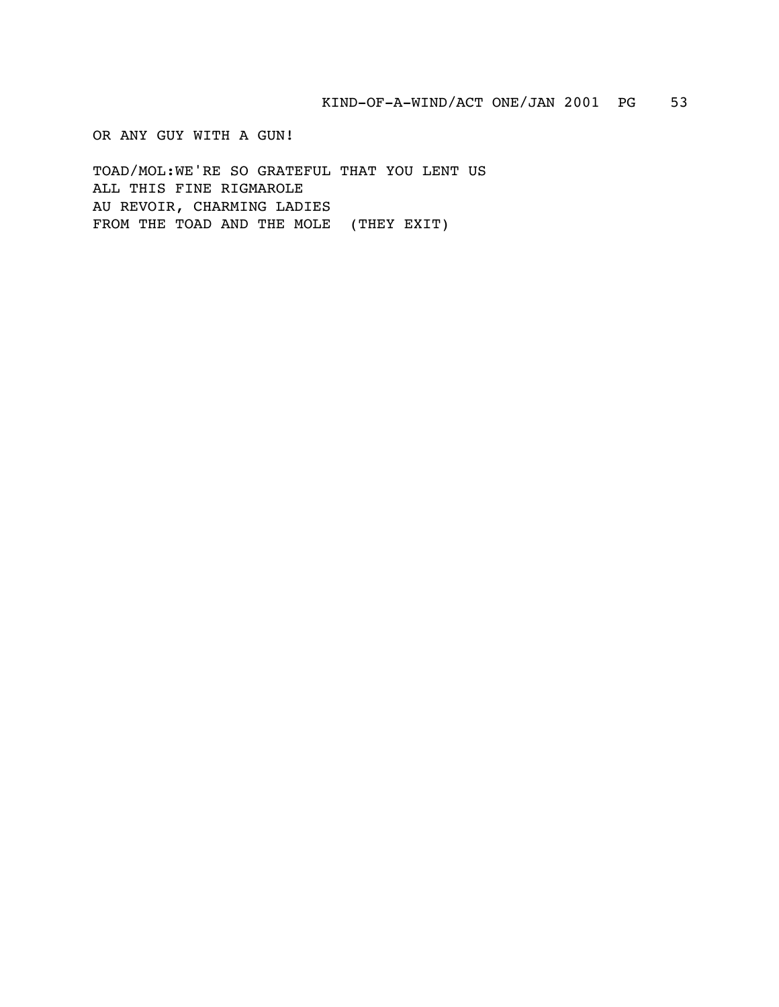OR ANY GUY WITH A GUN!

TOAD/MOL:WE'RE SO GRATEFUL THAT YOU LENT US ALL THIS FINE RIGMAROLE AU REVOIR, CHARMING LADIES FROM THE TOAD AND THE MOLE (THEY EXIT)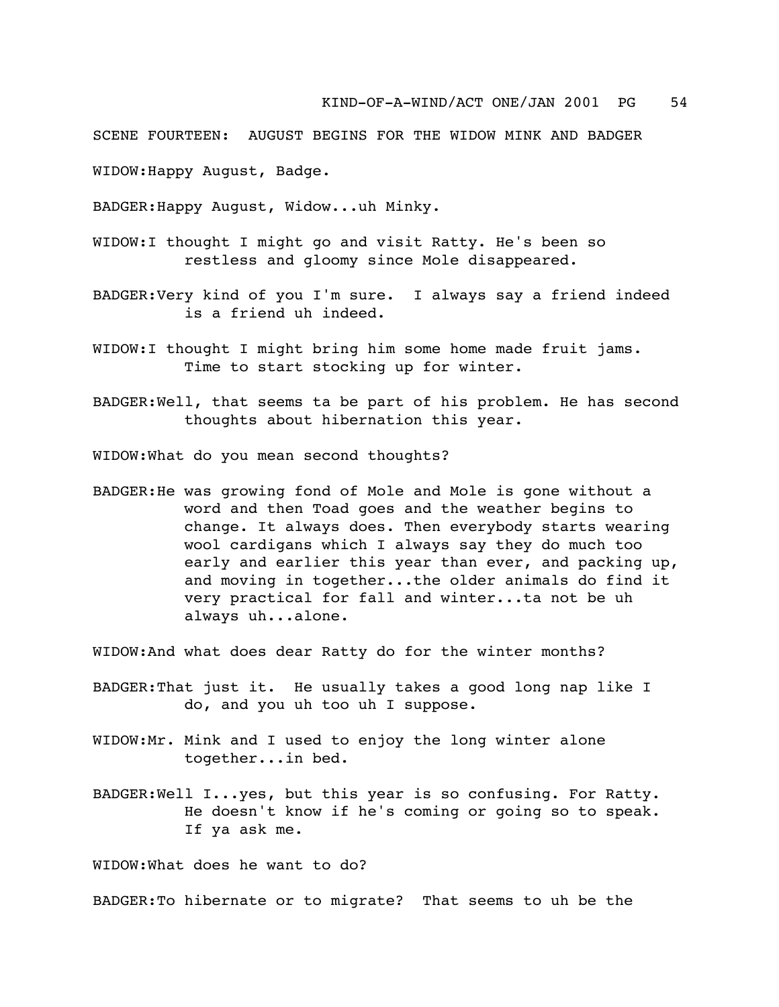SCENE FOURTEEN: AUGUST BEGINS FOR THE WIDOW MINK AND BADGER

WIDOW:Happy August, Badge.

BADGER:Happy August, Widow...uh Minky.

- WIDOW:I thought I might go and visit Ratty. He's been so restless and gloomy since Mole disappeared.
- BADGER:Very kind of you I'm sure. I always say a friend indeed is a friend uh indeed.
- WIDOW:I thought I might bring him some home made fruit jams. Time to start stocking up for winter.
- BADGER:Well, that seems ta be part of his problem. He has second thoughts about hibernation this year.

WIDOW:What do you mean second thoughts?

BADGER:He was growing fond of Mole and Mole is gone without a word and then Toad goes and the weather begins to change. It always does. Then everybody starts wearing wool cardigans which I always say they do much too early and earlier this year than ever, and packing up, and moving in together...the older animals do find it very practical for fall and winter...ta not be uh always uh...alone.

WIDOW:And what does dear Ratty do for the winter months?

- BADGER:That just it. He usually takes a good long nap like I do, and you uh too uh I suppose.
- WIDOW:Mr. Mink and I used to enjoy the long winter alone together...in bed.
- BADGER:Well I...yes, but this year is so confusing. For Ratty. He doesn't know if he's coming or going so to speak. If ya ask me.

WIDOW:What does he want to do?

BADGER:To hibernate or to migrate? That seems to uh be the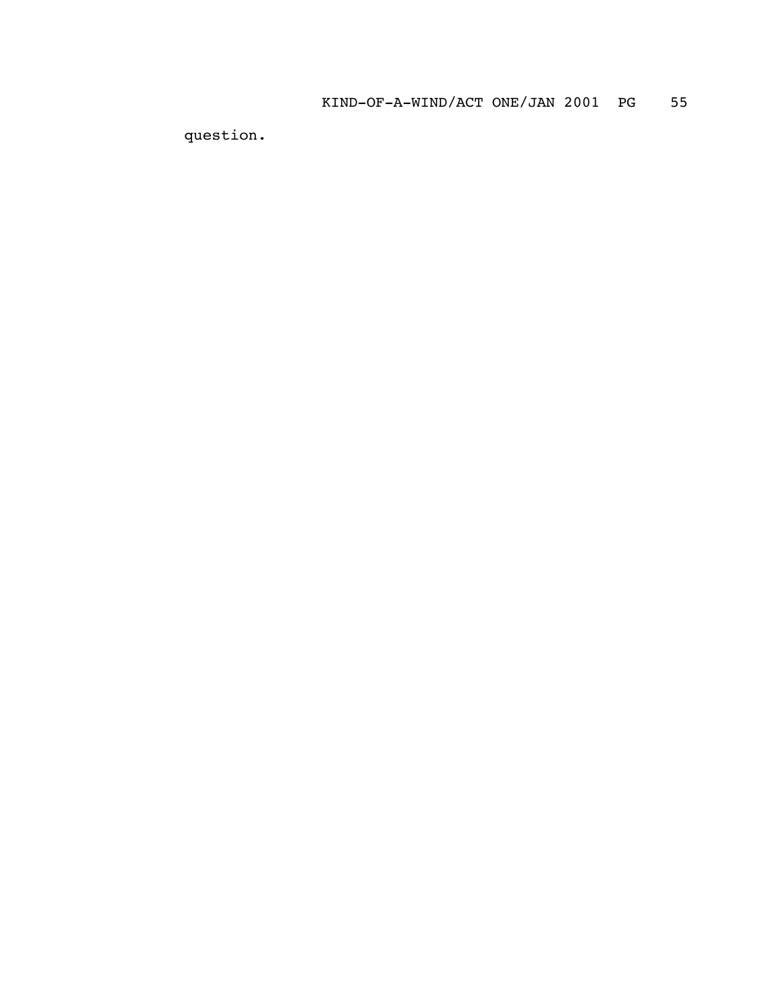question.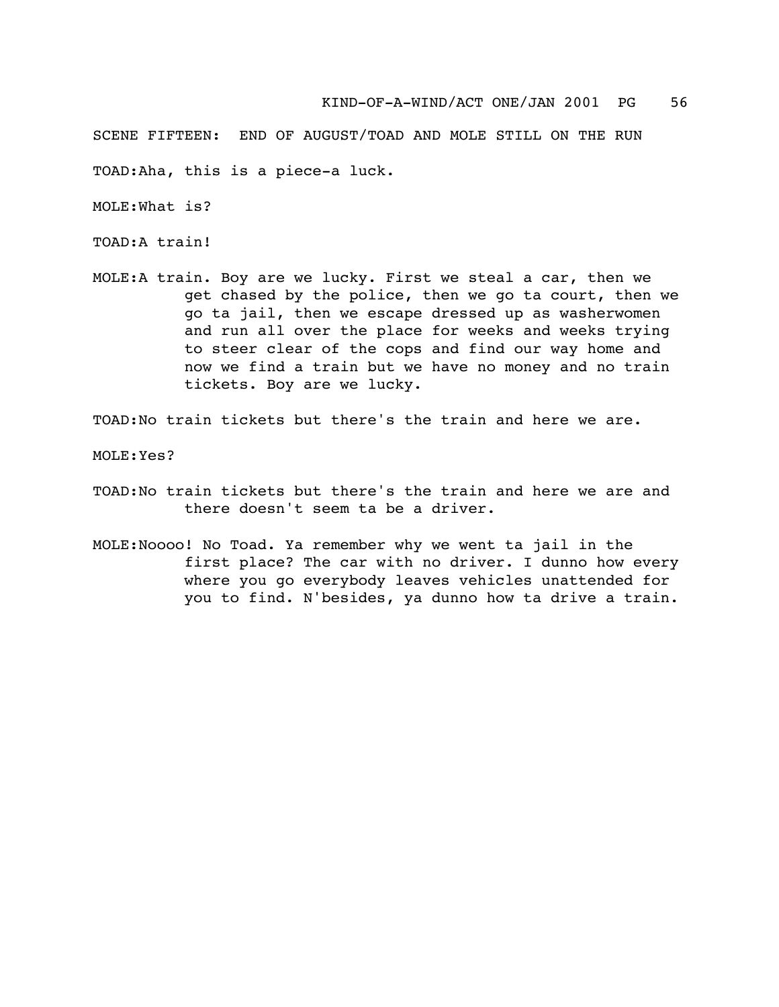SCENE FIFTEEN: END OF AUGUST/TOAD AND MOLE STILL ON THE RUN

TOAD:Aha, this is a piece-a luck.

MOLE:What is?

TOAD:A train!

MOLE:A train. Boy are we lucky. First we steal a car, then we get chased by the police, then we go ta court, then we go ta jail, then we escape dressed up as washerwomen and run all over the place for weeks and weeks trying to steer clear of the cops and find our way home and now we find a train but we have no money and no train tickets. Boy are we lucky.

TOAD:No train tickets but there's the train and here we are.

MOLE:Yes?

- TOAD:No train tickets but there's the train and here we are and there doesn't seem ta be a driver.
- MOLE:Noooo! No Toad. Ya remember why we went ta jail in the first place? The car with no driver. I dunno how every where you go everybody leaves vehicles unattended for you to find. N'besides, ya dunno how ta drive a train.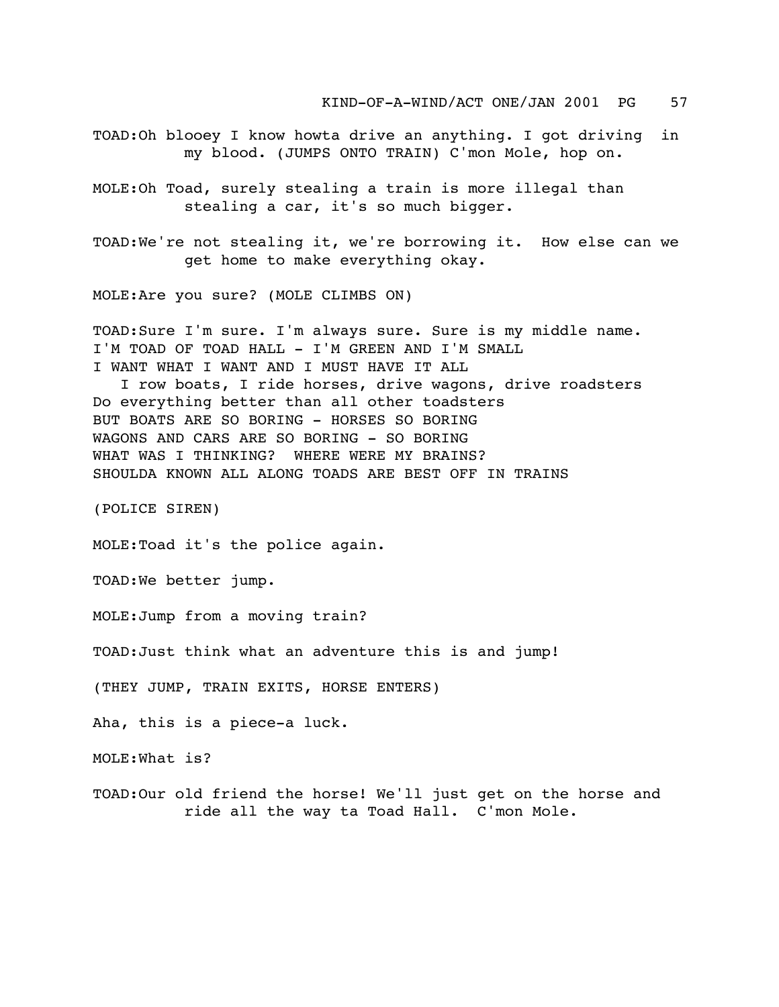KIND-OF-A-WIND/ACT ONE/JAN 2001 PG 57

TOAD:Oh blooey I know howta drive an anything. I got driving in my blood. (JUMPS ONTO TRAIN) C'mon Mole, hop on.

MOLE:Oh Toad, surely stealing a train is more illegal than stealing a car, it's so much bigger.

TOAD:We're not stealing it, we're borrowing it. How else can we get home to make everything okay.

MOLE:Are you sure? (MOLE CLIMBS ON)

TOAD:Sure I'm sure. I'm always sure. Sure is my middle name. I'M TOAD OF TOAD HALL - I'M GREEN AND I'M SMALL I WANT WHAT I WANT AND I MUST HAVE IT ALL

 I row boats, I ride horses, drive wagons, drive roadsters Do everything better than all other toadsters BUT BOATS ARE SO BORING - HORSES SO BORING WAGONS AND CARS ARE SO BORING - SO BORING WHAT WAS I THINKING? WHERE WERE MY BRAINS? SHOULDA KNOWN ALL ALONG TOADS ARE BEST OFF IN TRAINS

(POLICE SIREN)

MOLE:Toad it's the police again.

TOAD:We better jump.

MOLE:Jump from a moving train?

TOAD:Just think what an adventure this is and jump!

(THEY JUMP, TRAIN EXITS, HORSE ENTERS)

Aha, this is a piece-a luck.

MOLE:What is?

TOAD:Our old friend the horse! We'll just get on the horse and ride all the way ta Toad Hall. C'mon Mole.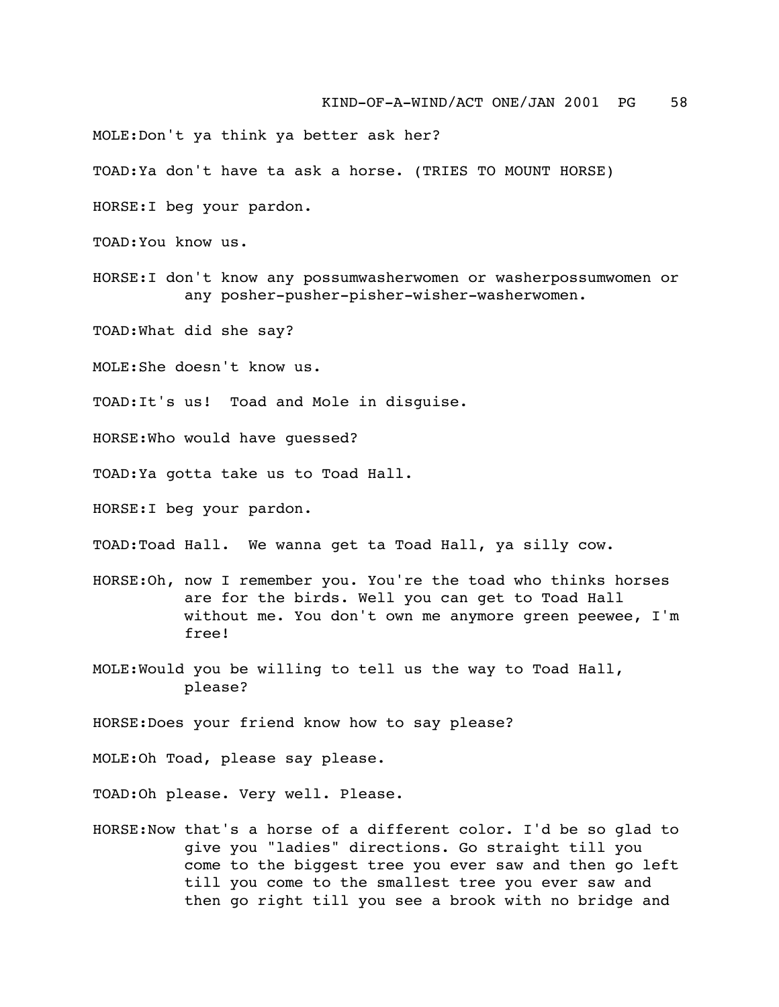MOLE:Don't ya think ya better ask her?

TOAD:Ya don't have ta ask a horse. (TRIES TO MOUNT HORSE)

HORSE:I beg your pardon.

TOAD:You know us.

HORSE:I don't know any possumwasherwomen or washerpossumwomen or any posher-pusher-pisher-wisher-washerwomen.

TOAD:What did she say?

MOLE:She doesn't know us.

TOAD:It's us! Toad and Mole in disguise.

HORSE:Who would have guessed?

TOAD:Ya gotta take us to Toad Hall.

HORSE:I beg your pardon.

TOAD:Toad Hall. We wanna get ta Toad Hall, ya silly cow.

- HORSE:Oh, now I remember you. You're the toad who thinks horses are for the birds. Well you can get to Toad Hall without me. You don't own me anymore green peewee, I'm free!
- MOLE:Would you be willing to tell us the way to Toad Hall, please?

HORSE:Does your friend know how to say please?

MOLE:Oh Toad, please say please.

TOAD:Oh please. Very well. Please.

HORSE:Now that's a horse of a different color. I'd be so glad to give you "ladies" directions. Go straight till you come to the biggest tree you ever saw and then go left till you come to the smallest tree you ever saw and then go right till you see a brook with no bridge and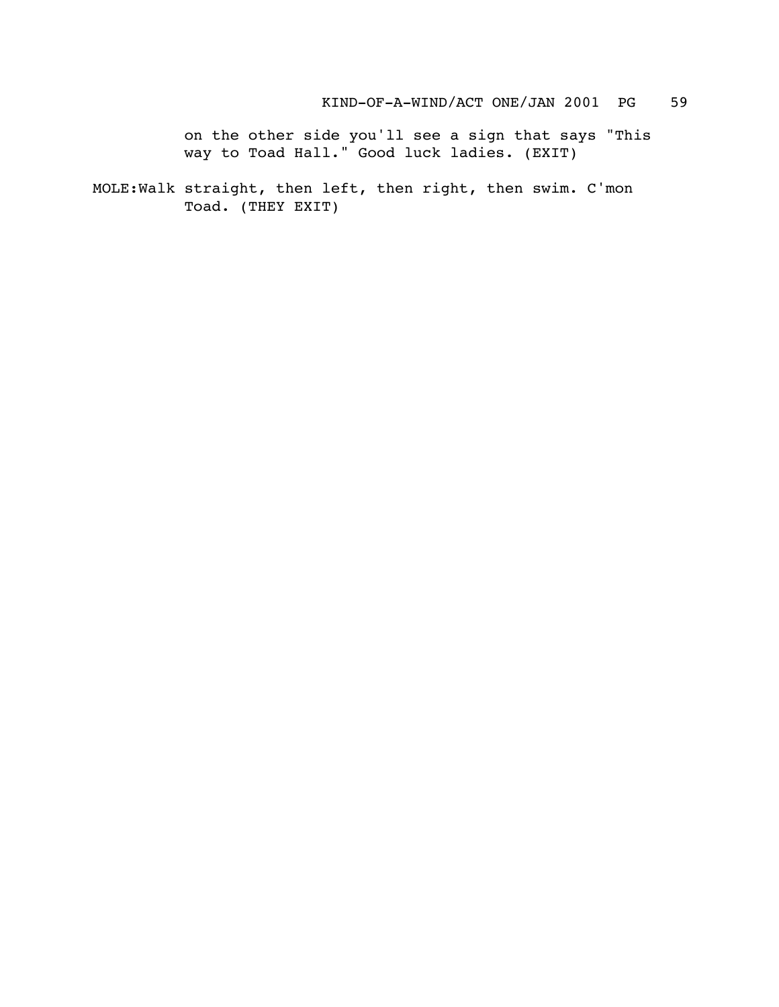on the other side you'll see a sign that says "This way to Toad Hall." Good luck ladies. (EXIT)

MOLE:Walk straight, then left, then right, then swim. C'mon Toad. (THEY EXIT)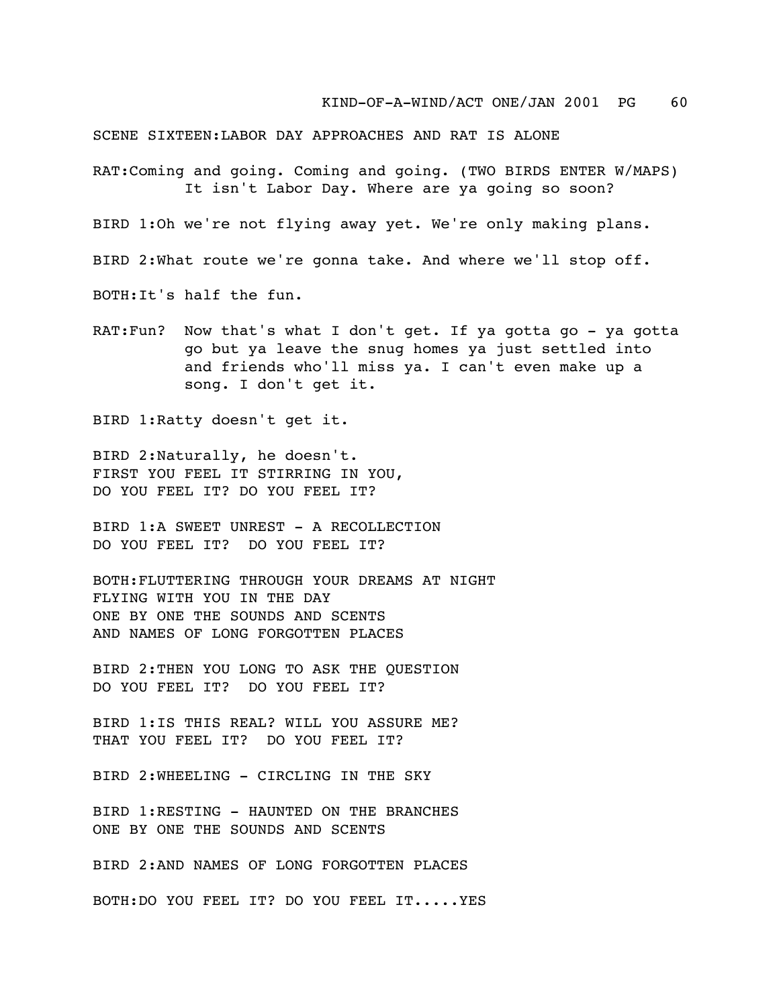SCENE SIXTEEN:LABOR DAY APPROACHES AND RAT IS ALONE

RAT:Coming and going. Coming and going. (TWO BIRDS ENTER W/MAPS) It isn't Labor Day. Where are ya going so soon?

BIRD 1:Oh we're not flying away yet. We're only making plans.

BIRD 2:What route we're gonna take. And where we'll stop off.

BOTH:It's half the fun.

RAT: Fun? Now that's what I don't get. If ya gotta go - ya gotta go but ya leave the snug homes ya just settled into and friends who'll miss ya. I can't even make up a song. I don't get it.

BIRD 1:Ratty doesn't get it.

BIRD 2:Naturally, he doesn't. FIRST YOU FEEL IT STIRRING IN YOU, DO YOU FEEL IT? DO YOU FEEL IT?

BIRD 1:A SWEET UNREST - A RECOLLECTION DO YOU FEEL IT? DO YOU FEEL IT?

BOTH:FLUTTERING THROUGH YOUR DREAMS AT NIGHT FLYING WITH YOU IN THE DAY ONE BY ONE THE SOUNDS AND SCENTS AND NAMES OF LONG FORGOTTEN PLACES

BIRD 2:THEN YOU LONG TO ASK THE QUESTION DO YOU FEEL IT? DO YOU FEEL IT?

BIRD 1:IS THIS REAL? WILL YOU ASSURE ME? THAT YOU FEEL IT? DO YOU FEEL IT?

BIRD 2:WHEELING - CIRCLING IN THE SKY

BIRD 1:RESTING - HAUNTED ON THE BRANCHES ONE BY ONE THE SOUNDS AND SCENTS

BIRD 2:AND NAMES OF LONG FORGOTTEN PLACES

BOTH:DO YOU FEEL IT? DO YOU FEEL IT.....YES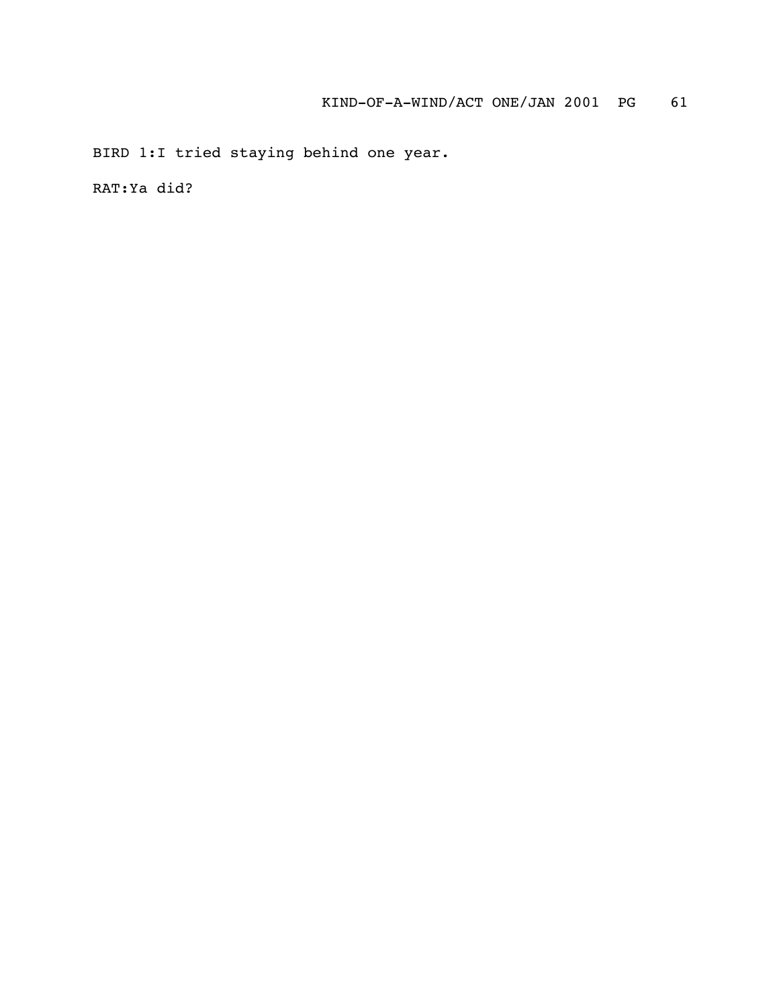BIRD 1:I tried staying behind one year.

RAT:Ya did?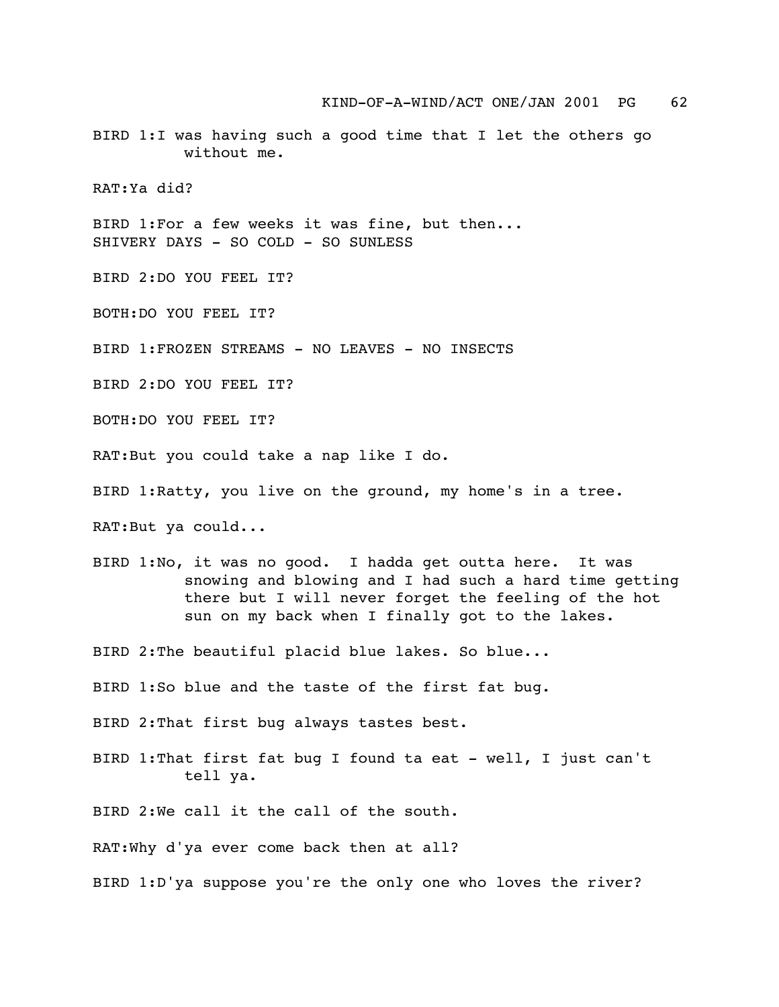BIRD 1:I was having such a good time that I let the others go without me.

RAT:Ya did?

BIRD 1:For a few weeks it was fine, but then... SHIVERY DAYS - SO COLD - SO SUNLESS

BIRD 2:DO YOU FEEL IT?

BOTH:DO YOU FEEL IT?

BIRD 1:FROZEN STREAMS - NO LEAVES - NO INSECTS

BIRD 2:DO YOU FEEL IT?

BOTH:DO YOU FEEL IT?

RAT:But you could take a nap like I do.

BIRD 1:Ratty, you live on the ground, my home's in a tree.

RAT:But ya could...

BIRD 1:No, it was no good. I hadda get outta here. It was snowing and blowing and I had such a hard time getting there but I will never forget the feeling of the hot sun on my back when I finally got to the lakes.

BIRD 2:The beautiful placid blue lakes. So blue...

BIRD 1:So blue and the taste of the first fat bug.

BIRD 2:That first bug always tastes best.

BIRD 1:That first fat bug I found ta eat - well, I just can't tell ya.

BIRD 2:We call it the call of the south.

RAT:Why d'ya ever come back then at all?

BIRD 1:D'ya suppose you're the only one who loves the river?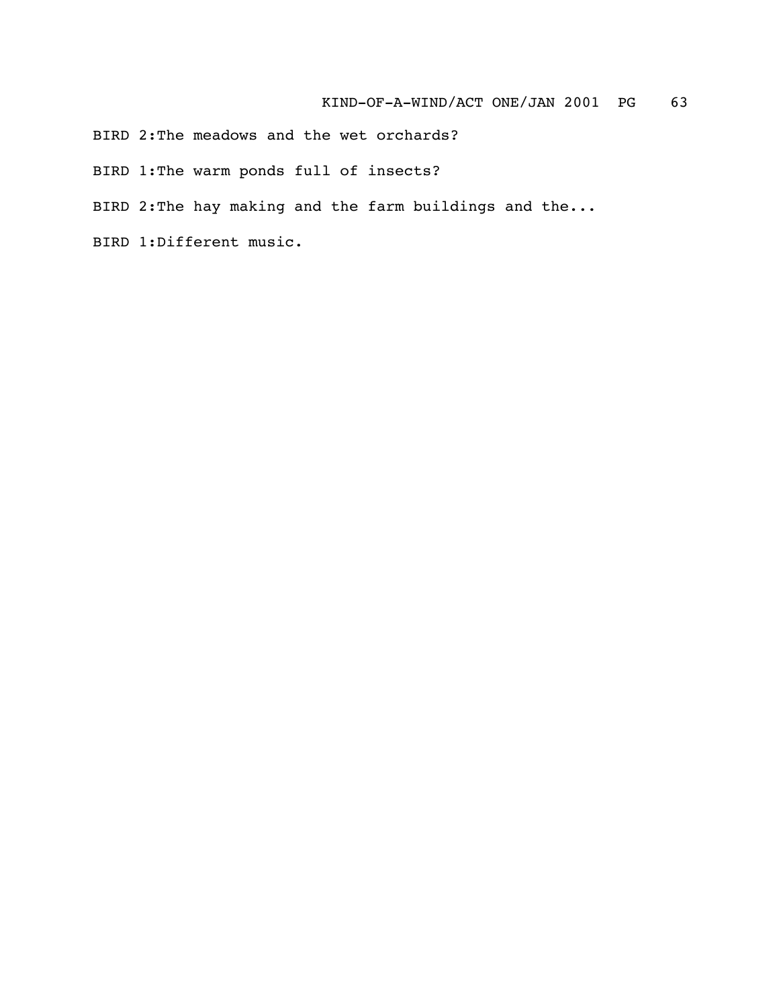BIRD 2:The meadows and the wet orchards?

BIRD 1:The warm ponds full of insects?

BIRD 2:The hay making and the farm buildings and the...

BIRD 1:Different music.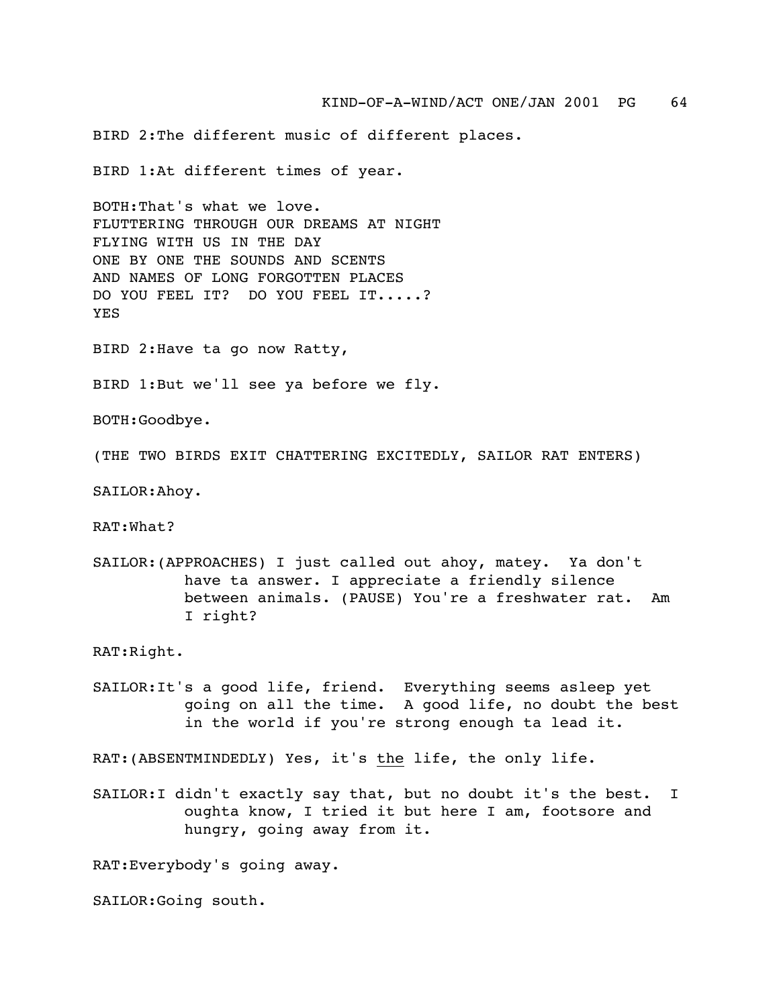BIRD 2:The different music of different places.

BIRD 1:At different times of year.

BOTH:That's what we love. FLUTTERING THROUGH OUR DREAMS AT NIGHT FLYING WITH US IN THE DAY ONE BY ONE THE SOUNDS AND SCENTS AND NAMES OF LONG FORGOTTEN PLACES DO YOU FEEL IT? DO YOU FEEL IT.....? YES

BIRD 2:Have ta go now Ratty,

BIRD 1:But we'll see ya before we fly.

BOTH:Goodbye.

(THE TWO BIRDS EXIT CHATTERING EXCITEDLY, SAILOR RAT ENTERS)

SAILOR:Ahoy.

RAT:What?

SAILOR:(APPROACHES) I just called out ahoy, matey. Ya don't have ta answer. I appreciate a friendly silence between animals. (PAUSE) You're a freshwater rat. Am I right?

RAT:Right.

SAILOR:It's a good life, friend. Everything seems asleep yet going on all the time. A good life, no doubt the best in the world if you're strong enough ta lead it.

RAT:(ABSENTMINDEDLY) Yes, it's the life, the only life.

SAILOR:I didn't exactly say that, but no doubt it's the best. I oughta know, I tried it but here I am, footsore and hungry, going away from it.

RAT:Everybody's going away.

SAILOR:Going south.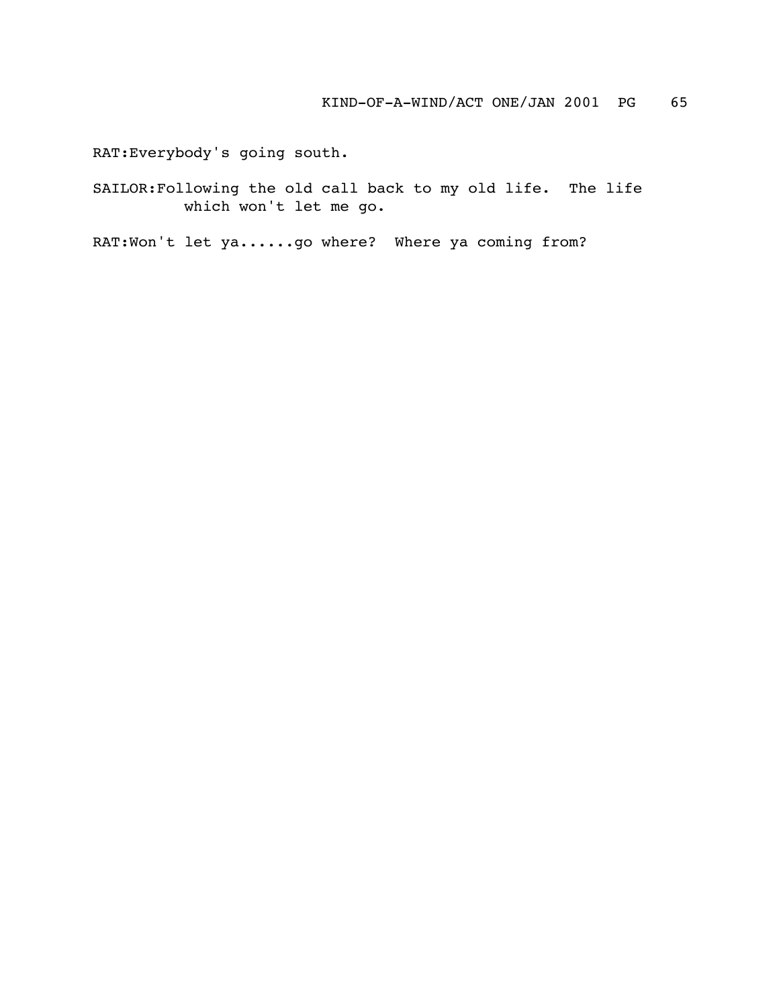RAT:Everybody's going south.

SAILOR:Following the old call back to my old life. The life which won't let me go.

RAT:Won't let ya......go where? Where ya coming from?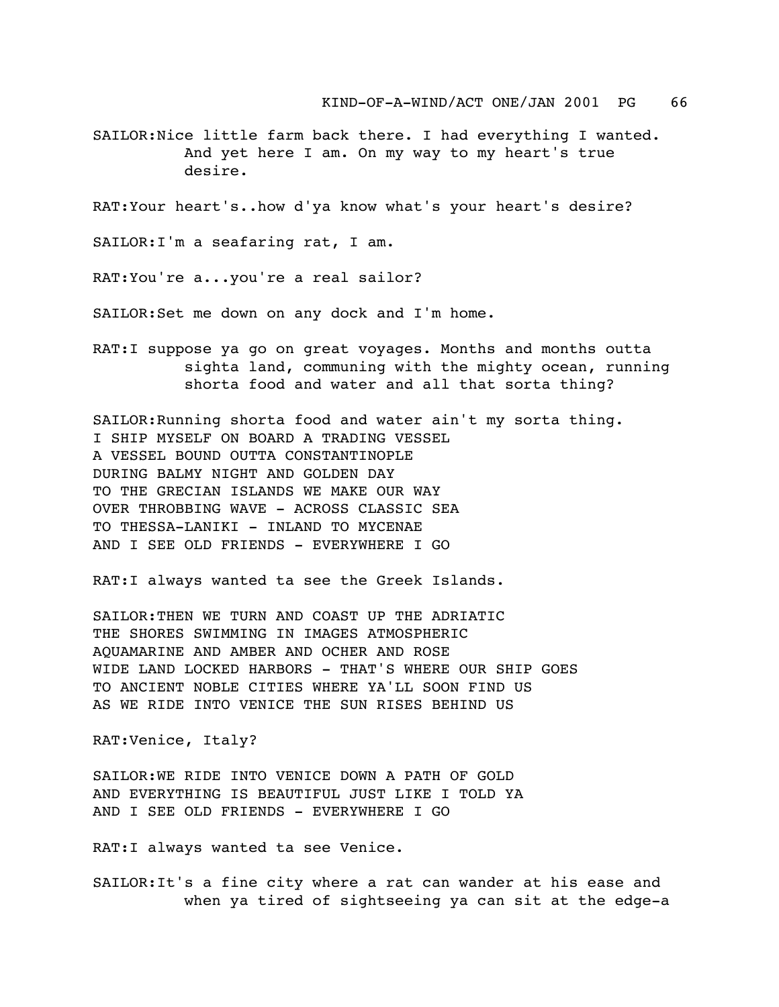SAILOR:Nice little farm back there. I had everything I wanted. And yet here I am. On my way to my heart's true desire.

RAT:Your heart's..how d'ya know what's your heart's desire?

SAILOR:I'm a seafaring rat, I am.

RAT:You're a...you're a real sailor?

SAILOR:Set me down on any dock and I'm home.

RAT:I suppose ya go on great voyages. Months and months outta sighta land, communing with the mighty ocean, running shorta food and water and all that sorta thing?

SAILOR:Running shorta food and water ain't my sorta thing. I SHIP MYSELF ON BOARD A TRADING VESSEL A VESSEL BOUND OUTTA CONSTANTINOPLE DURING BALMY NIGHT AND GOLDEN DAY TO THE GRECIAN ISLANDS WE MAKE OUR WAY OVER THROBBING WAVE - ACROSS CLASSIC SEA TO THESSA-LANIKI - INLAND TO MYCENAE AND I SEE OLD FRIENDS - EVERYWHERE I GO

RAT:I always wanted ta see the Greek Islands.

SAILOR:THEN WE TURN AND COAST UP THE ADRIATIC THE SHORES SWIMMING IN IMAGES ATMOSPHERIC AQUAMARINE AND AMBER AND OCHER AND ROSE WIDE LAND LOCKED HARBORS - THAT'S WHERE OUR SHIP GOES TO ANCIENT NOBLE CITIES WHERE YA'LL SOON FIND US AS WE RIDE INTO VENICE THE SUN RISES BEHIND US

RAT:Venice, Italy?

SAILOR:WE RIDE INTO VENICE DOWN A PATH OF GOLD AND EVERYTHING IS BEAUTIFUL JUST LIKE I TOLD YA AND I SEE OLD FRIENDS - EVERYWHERE I GO

RAT:I always wanted ta see Venice.

SAILOR:It's a fine city where a rat can wander at his ease and when ya tired of sightseeing ya can sit at the edge-a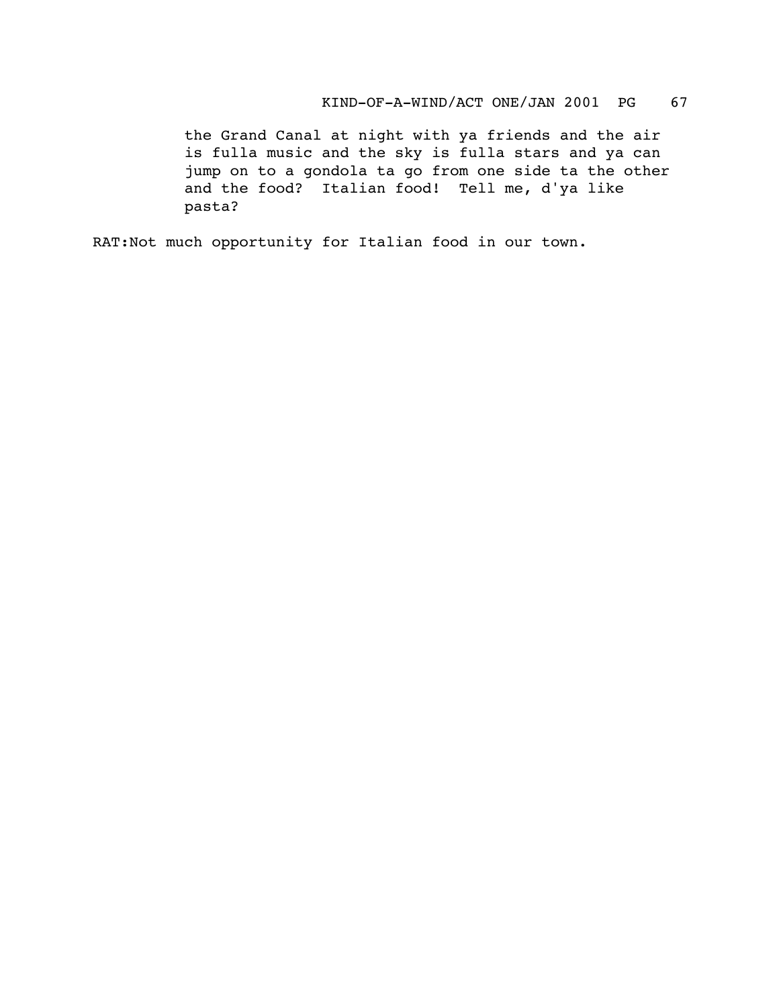the Grand Canal at night with ya friends and the air is fulla music and the sky is fulla stars and ya can jump on to a gondola ta go from one side ta the other and the food? Italian food! Tell me, d'ya like pasta?

RAT:Not much opportunity for Italian food in our town.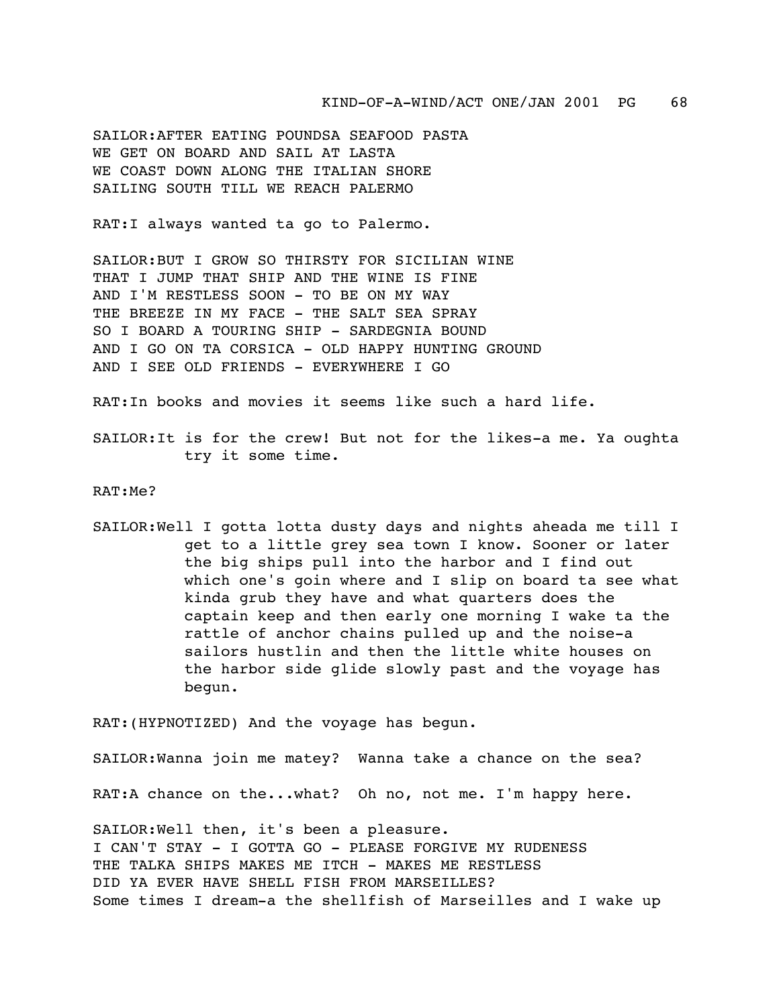SAILOR:AFTER EATING POUNDSA SEAFOOD PASTA WE GET ON BOARD AND SAIL AT LASTA WE COAST DOWN ALONG THE ITALIAN SHORE SAILING SOUTH TILL WE REACH PALERMO

RAT:I always wanted ta go to Palermo.

SAILOR:BUT I GROW SO THIRSTY FOR SICILIAN WINE THAT I JUMP THAT SHIP AND THE WINE IS FINE AND I'M RESTLESS SOON - TO BE ON MY WAY THE BREEZE IN MY FACE - THE SALT SEA SPRAY SO I BOARD A TOURING SHIP - SARDEGNIA BOUND AND I GO ON TA CORSICA - OLD HAPPY HUNTING GROUND AND I SEE OLD FRIENDS - EVERYWHERE I GO

RAT:In books and movies it seems like such a hard life.

SAILOR:It is for the crew! But not for the likes-a me. Ya oughta try it some time.

RAT:Me?

SAILOR:Well I gotta lotta dusty days and nights aheada me till I get to a little grey sea town I know. Sooner or later the big ships pull into the harbor and I find out which one's goin where and I slip on board ta see what kinda grub they have and what quarters does the captain keep and then early one morning I wake ta the rattle of anchor chains pulled up and the noise-a sailors hustlin and then the little white houses on the harbor side glide slowly past and the voyage has begun.

RAT:(HYPNOTIZED) And the voyage has begun.

SAILOR:Wanna join me matey? Wanna take a chance on the sea?

RAT:A chance on the...what? Oh no, not me. I'm happy here.

SAILOR:Well then, it's been a pleasure. I CAN'T STAY - I GOTTA GO - PLEASE FORGIVE MY RUDENESS THE TALKA SHIPS MAKES ME ITCH - MAKES ME RESTLESS DID YA EVER HAVE SHELL FISH FROM MARSEILLES? Some times I dream-a the shellfish of Marseilles and I wake up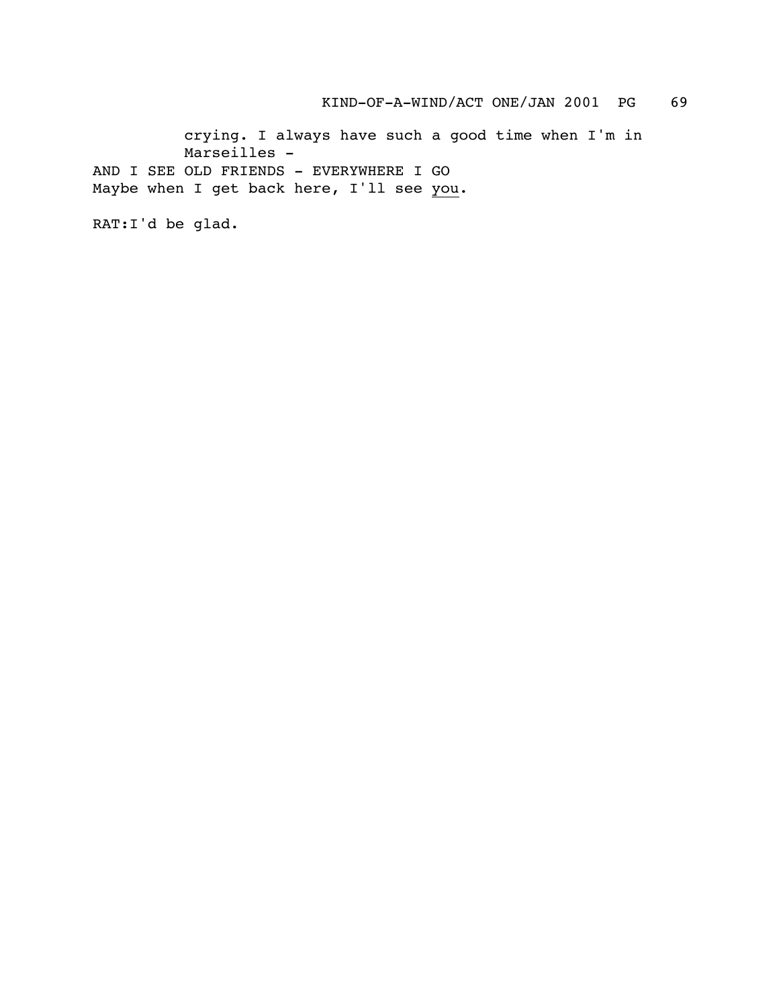KIND-OF-A-WIND/ACT ONE/JAN 2001 PG 69

crying. I always have such a good time when I'm in Marseilles - AND I SEE OLD FRIENDS - EVERYWHERE I GO Maybe when I get back here, I'll see you.

RAT:I'd be glad.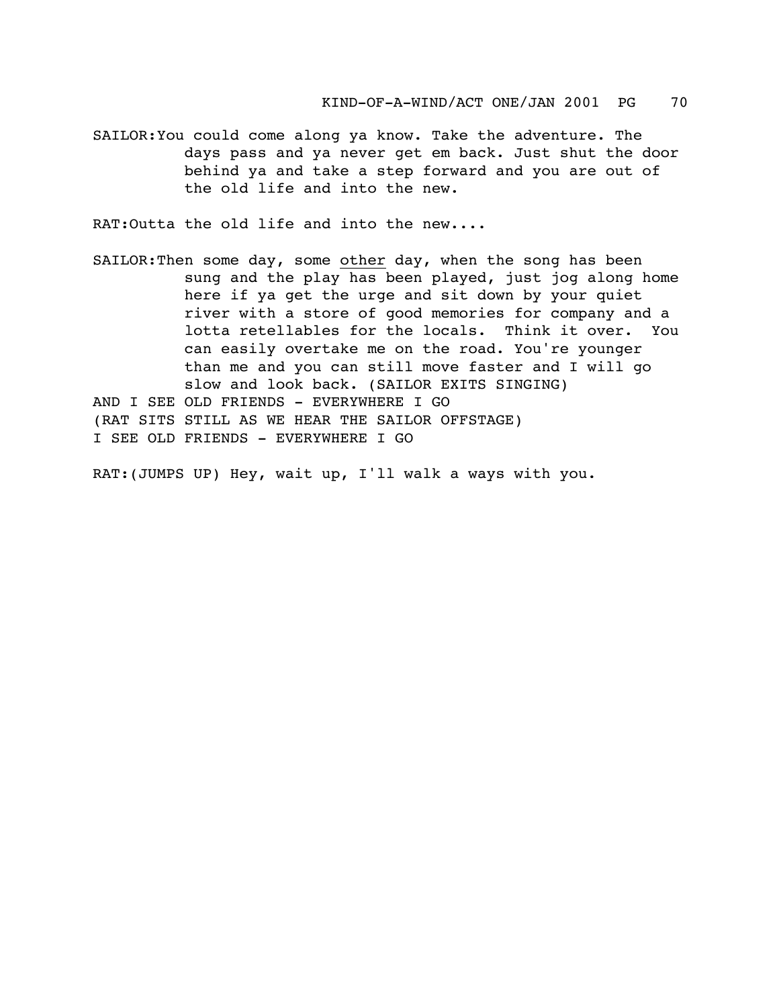SAILOR:You could come along ya know. Take the adventure. The days pass and ya never get em back. Just shut the door behind ya and take a step forward and you are out of the old life and into the new.

RAT:Outta the old life and into the new....

SAILOR:Then some day, some other day, when the song has been sung and the play has been played, just jog along home here if ya get the urge and sit down by your quiet river with a store of good memories for company and a lotta retellables for the locals. Think it over. You can easily overtake me on the road. You're younger than me and you can still move faster and I will go slow and look back. (SAILOR EXITS SINGING) AND I SEE OLD FRIENDS - EVERYWHERE I GO (RAT SITS STILL AS WE HEAR THE SAILOR OFFSTAGE) I SEE OLD FRIENDS - EVERYWHERE I GO

RAT:(JUMPS UP) Hey, wait up, I'll walk a ways with you.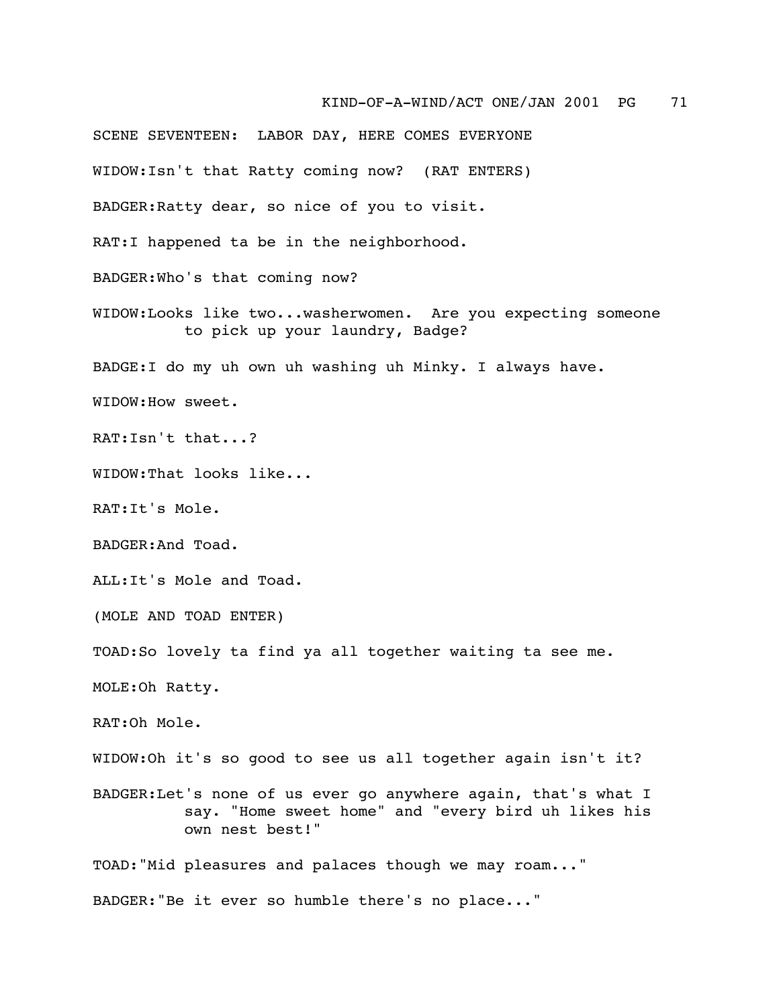SCENE SEVENTEEN: LABOR DAY, HERE COMES EVERYONE WIDOW:Isn't that Ratty coming now? (RAT ENTERS) BADGER:Ratty dear, so nice of you to visit. RAT:I happened ta be in the neighborhood. BADGER:Who's that coming now? WIDOW:Looks like two...washerwomen. Are you expecting someone to pick up your laundry, Badge? BADGE:I do my uh own uh washing uh Minky. I always have. WIDOW:How sweet. RAT:Isn't that...? WIDOW:That looks like... RAT:It's Mole. BADGER:And Toad. ALL:It's Mole and Toad. (MOLE AND TOAD ENTER) TOAD:So lovely ta find ya all together waiting ta see me. MOLE:Oh Ratty. RAT:Oh Mole. WIDOW:Oh it's so good to see us all together again isn't it? BADGER:Let's none of us ever go anywhere again, that's what I say. "Home sweet home" and "every bird uh likes his own nest best!" TOAD:"Mid pleasures and palaces though we may roam..." BADGER:"Be it ever so humble there's no place..."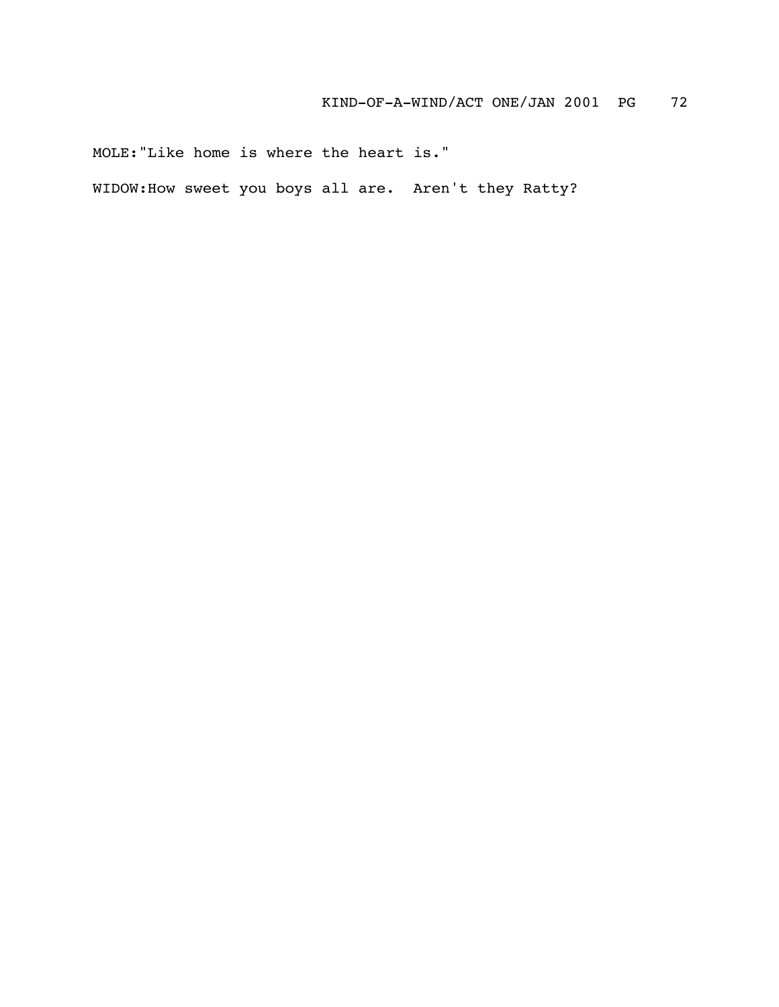MOLE:"Like home is where the heart is."

WIDOW:How sweet you boys all are. Aren't they Ratty?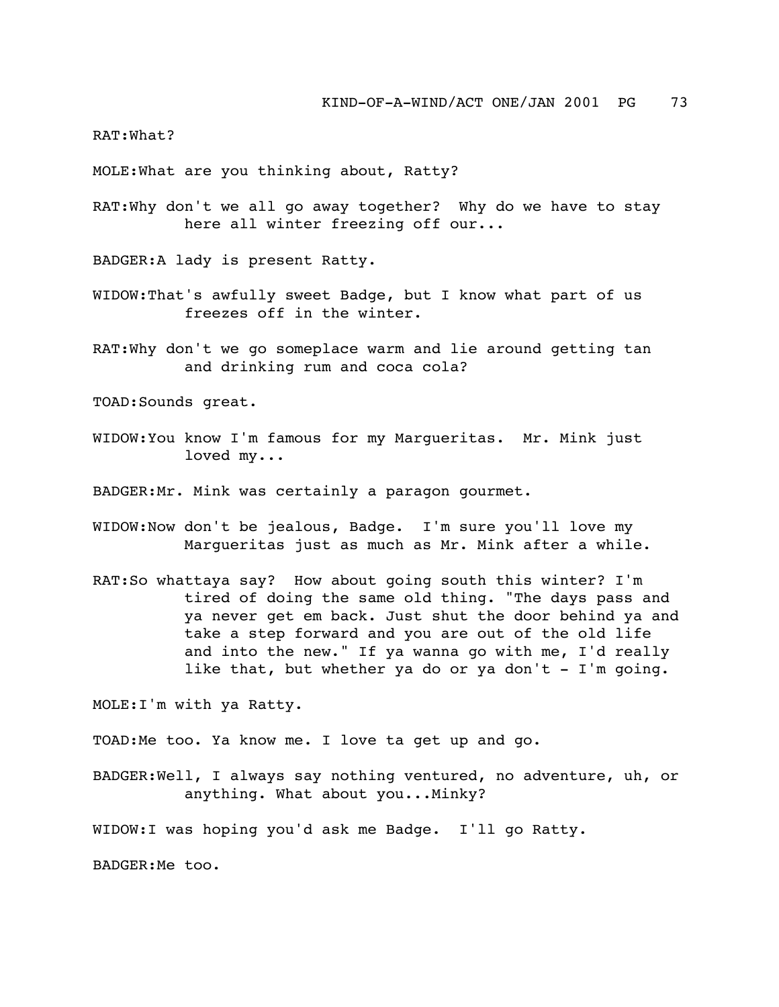RAT:What?

MOLE:What are you thinking about, Ratty?

RAT:Why don't we all go away together? Why do we have to stay here all winter freezing off our...

BADGER:A lady is present Ratty.

- WIDOW:That's awfully sweet Badge, but I know what part of us freezes off in the winter.
- RAT:Why don't we go someplace warm and lie around getting tan and drinking rum and coca cola?

TOAD:Sounds great.

WIDOW:You know I'm famous for my Margueritas. Mr. Mink just loved my...

BADGER:Mr. Mink was certainly a paragon gourmet.

- WIDOW:Now don't be jealous, Badge. I'm sure you'll love my Margueritas just as much as Mr. Mink after a while.
- RAT:So whattaya say? How about going south this winter? I'm tired of doing the same old thing. "The days pass and ya never get em back. Just shut the door behind ya and take a step forward and you are out of the old life and into the new." If ya wanna go with me, I'd really like that, but whether ya do or ya don't - I'm going.

MOLE:I'm with ya Ratty.

TOAD:Me too. Ya know me. I love ta get up and go.

BADGER:Well, I always say nothing ventured, no adventure, uh, or anything. What about you...Minky?

WIDOW:I was hoping you'd ask me Badge. I'll go Ratty.

BADGER:Me too.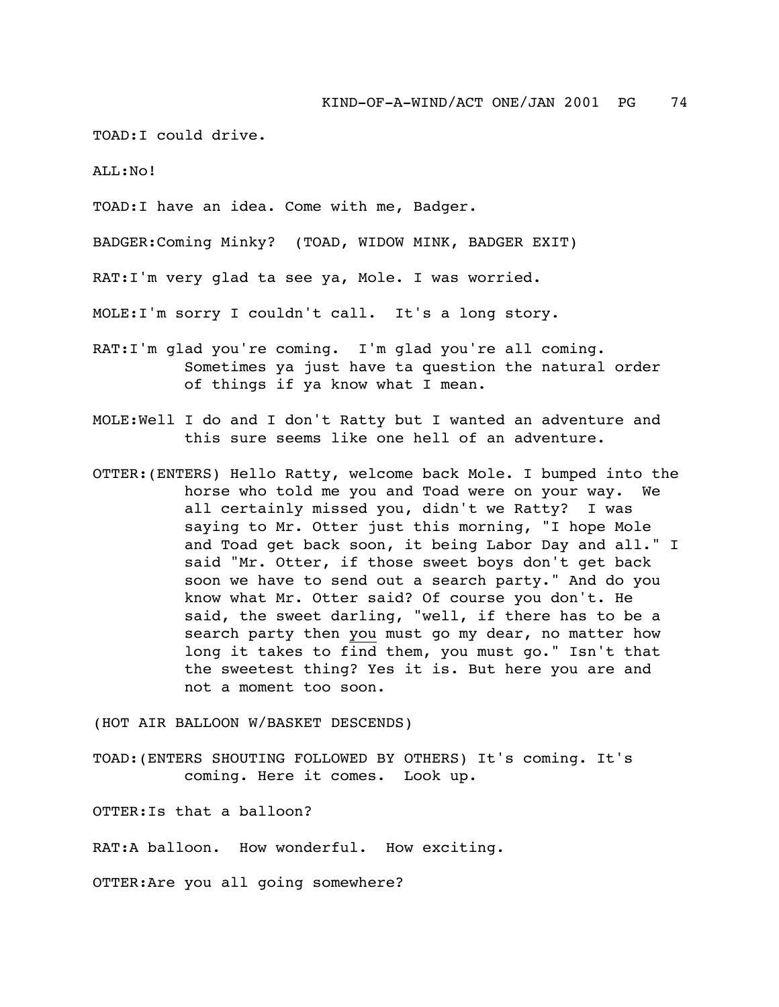TOAD:I could drive.

 $ATJ.:NO!$ 

TOAD:I have an idea. Come with me, Badger.

BADGER:Coming Minky? (TOAD, WIDOW MINK, BADGER EXIT)

RAT:I'm very glad ta see ya, Mole. I was worried.

MOLE:I'm sorry I couldn't call. It's a long story.

- RAT:I'm glad you're coming. I'm glad you're all coming. Sometimes ya just have ta question the natural order of things if ya know what I mean.
- MOLE:Well I do and I don't Ratty but I wanted an adventure and this sure seems like one hell of an adventure.
- OTTER:(ENTERS) Hello Ratty, welcome back Mole. I bumped into the horse who told me you and Toad were on your way. We all certainly missed you, didn't we Ratty? I was saying to Mr. Otter just this morning, "I hope Mole and Toad get back soon, it being Labor Day and all." I said "Mr. Otter, if those sweet boys don't get back soon we have to send out a search party." And do you know what Mr. Otter said? Of course you don't. He said, the sweet darling, "well, if there has to be a search party then you must go my dear, no matter how long it takes to find them, you must go." Isn't that the sweetest thing? Yes it is. But here you are and not a moment too soon.

(HOT AIR BALLOON W/BASKET DESCENDS)

TOAD:(ENTERS SHOUTING FOLLOWED BY OTHERS) It's coming. It's coming. Here it comes. Look up.

OTTER:Is that a balloon?

RAT:A balloon. How wonderful. How exciting.

OTTER:Are you all going somewhere?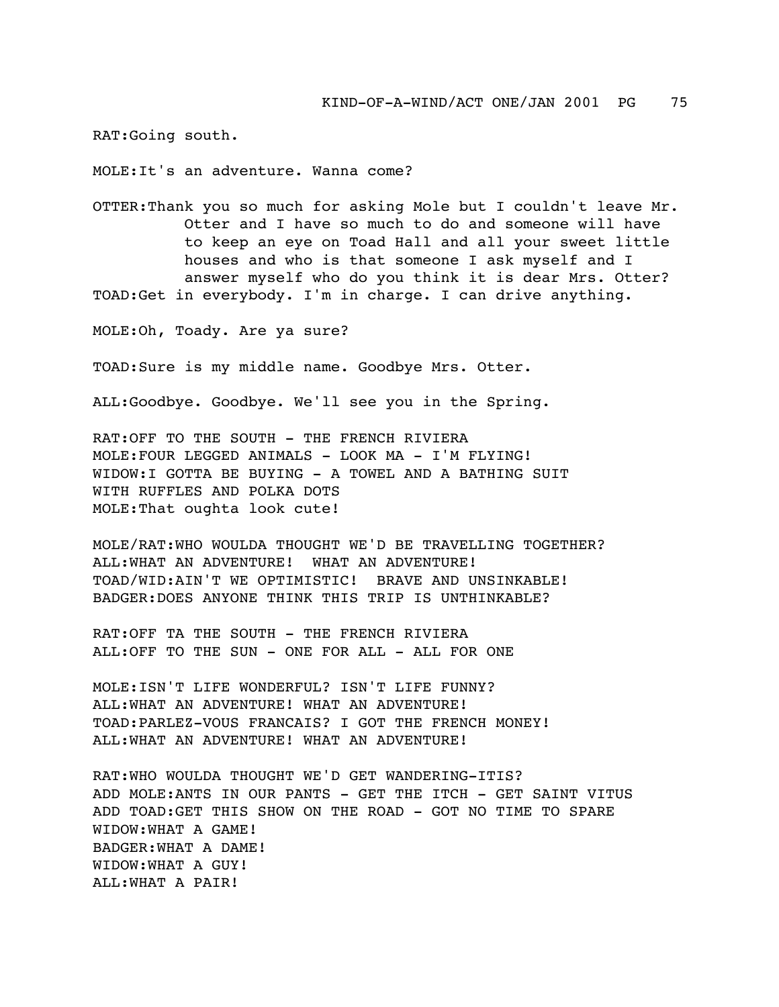RAT:Going south.

MOLE:It's an adventure. Wanna come?

OTTER:Thank you so much for asking Mole but I couldn't leave Mr. Otter and I have so much to do and someone will have to keep an eye on Toad Hall and all your sweet little houses and who is that someone I ask myself and I answer myself who do you think it is dear Mrs. Otter? TOAD:Get in everybody. I'm in charge. I can drive anything.

MOLE:Oh, Toady. Are ya sure?

TOAD:Sure is my middle name. Goodbye Mrs. Otter.

ALL:Goodbye. Goodbye. We'll see you in the Spring.

RAT:OFF TO THE SOUTH - THE FRENCH RIVIERA MOLE:FOUR LEGGED ANIMALS - LOOK MA - I'M FLYING! WIDOW:I GOTTA BE BUYING - A TOWEL AND A BATHING SUIT WITH RUFFLES AND POLKA DOTS MOLE:That oughta look cute!

MOLE/RAT:WHO WOULDA THOUGHT WE'D BE TRAVELLING TOGETHER? ALL:WHAT AN ADVENTURE! WHAT AN ADVENTURE! TOAD/WID:AIN'T WE OPTIMISTIC! BRAVE AND UNSINKABLE! BADGER:DOES ANYONE THINK THIS TRIP IS UNTHINKABLE?

RAT:OFF TA THE SOUTH - THE FRENCH RIVIERA ALL:OFF TO THE SUN - ONE FOR ALL - ALL FOR ONE

MOLE:ISN'T LIFE WONDERFUL? ISN'T LIFE FUNNY? ALL:WHAT AN ADVENTURE! WHAT AN ADVENTURE! TOAD:PARLEZ-VOUS FRANCAIS? I GOT THE FRENCH MONEY! ALL:WHAT AN ADVENTURE! WHAT AN ADVENTURE!

RAT:WHO WOULDA THOUGHT WE'D GET WANDERING-ITIS? ADD MOLE:ANTS IN OUR PANTS - GET THE ITCH - GET SAINT VITUS ADD TOAD:GET THIS SHOW ON THE ROAD - GOT NO TIME TO SPARE WIDOW:WHAT A GAME! BADGER:WHAT A DAME! WIDOW:WHAT A GUY! ALL:WHAT A PAIR!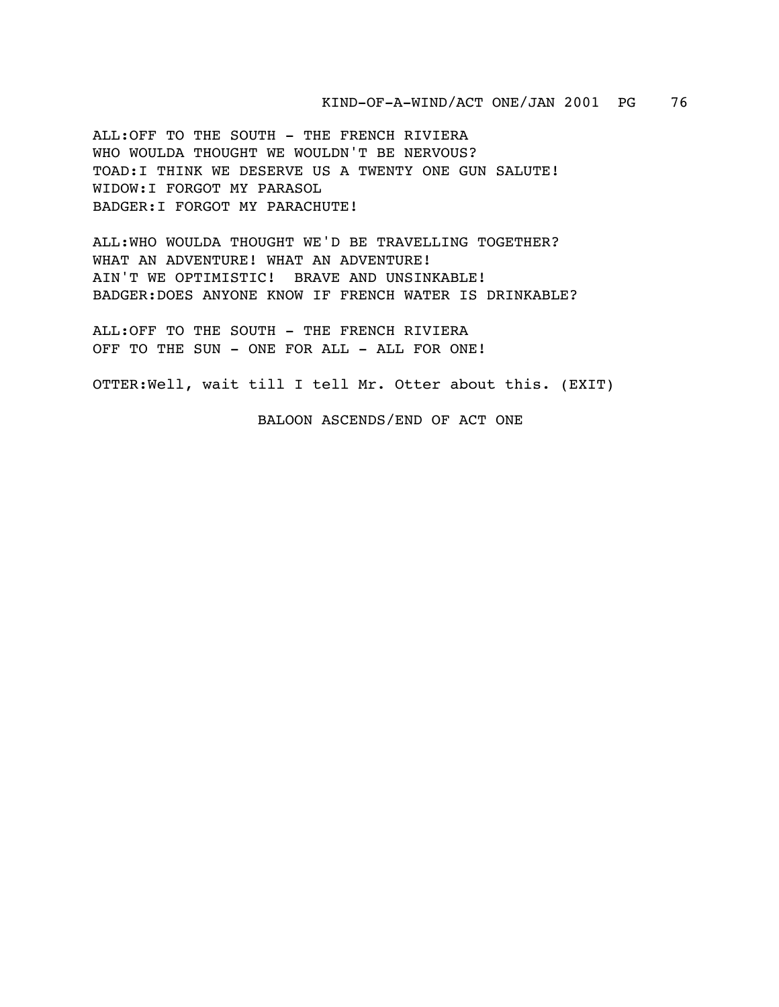ALL:OFF TO THE SOUTH - THE FRENCH RIVIERA WHO WOULDA THOUGHT WE WOULDN'T BE NERVOUS? TOAD:I THINK WE DESERVE US A TWENTY ONE GUN SALUTE! WIDOW:I FORGOT MY PARASOL BADGER:I FORGOT MY PARACHUTE!

ALL:WHO WOULDA THOUGHT WE'D BE TRAVELLING TOGETHER? WHAT AN ADVENTURE! WHAT AN ADVENTURE! AIN'T WE OPTIMISTIC! BRAVE AND UNSINKABLE! BADGER:DOES ANYONE KNOW IF FRENCH WATER IS DRINKABLE?

ALL:OFF TO THE SOUTH - THE FRENCH RIVIERA OFF TO THE SUN - ONE FOR ALL - ALL FOR ONE!

OTTER:Well, wait till I tell Mr. Otter about this. (EXIT)

BALOON ASCENDS/END OF ACT ONE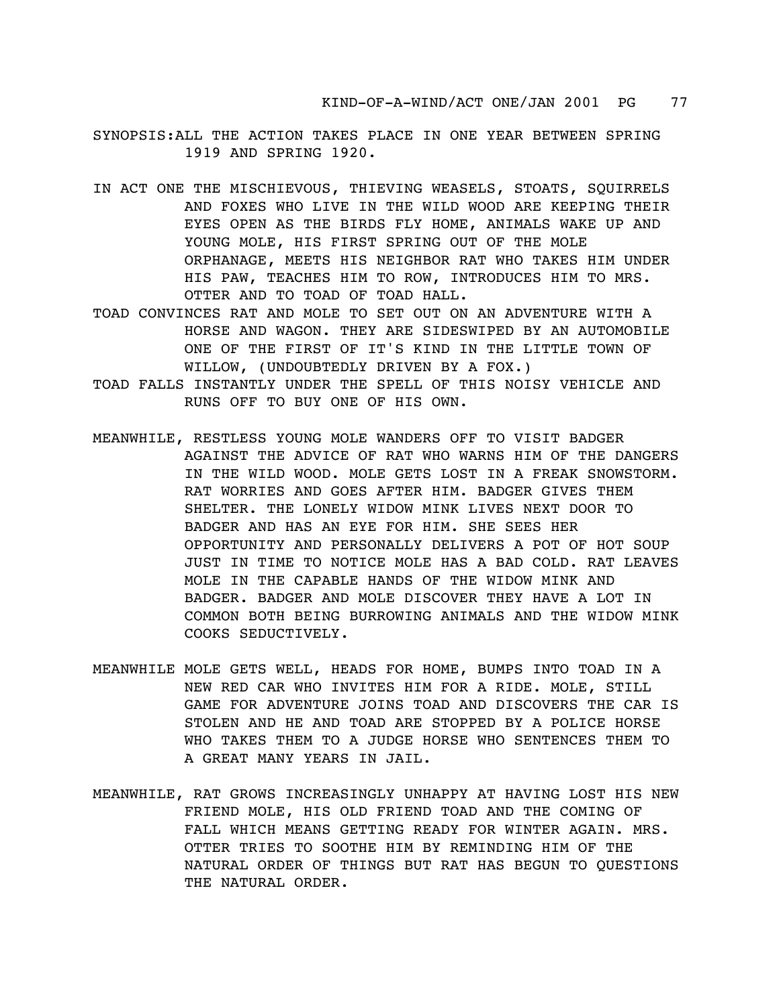- SYNOPSIS:ALL THE ACTION TAKES PLACE IN ONE YEAR BETWEEN SPRING 1919 AND SPRING 1920.
- IN ACT ONE THE MISCHIEVOUS, THIEVING WEASELS, STOATS, SQUIRRELS AND FOXES WHO LIVE IN THE WILD WOOD ARE KEEPING THEIR EYES OPEN AS THE BIRDS FLY HOME, ANIMALS WAKE UP AND YOUNG MOLE, HIS FIRST SPRING OUT OF THE MOLE ORPHANAGE, MEETS HIS NEIGHBOR RAT WHO TAKES HIM UNDER HIS PAW, TEACHES HIM TO ROW, INTRODUCES HIM TO MRS. OTTER AND TO TOAD OF TOAD HALL.
- TOAD CONVINCES RAT AND MOLE TO SET OUT ON AN ADVENTURE WITH A HORSE AND WAGON. THEY ARE SIDESWIPED BY AN AUTOMOBILE ONE OF THE FIRST OF IT'S KIND IN THE LITTLE TOWN OF WILLOW, (UNDOUBTEDLY DRIVEN BY A FOX.)
- TOAD FALLS INSTANTLY UNDER THE SPELL OF THIS NOISY VEHICLE AND RUNS OFF TO BUY ONE OF HIS OWN.
- MEANWHILE, RESTLESS YOUNG MOLE WANDERS OFF TO VISIT BADGER AGAINST THE ADVICE OF RAT WHO WARNS HIM OF THE DANGERS IN THE WILD WOOD. MOLE GETS LOST IN A FREAK SNOWSTORM. RAT WORRIES AND GOES AFTER HIM. BADGER GIVES THEM SHELTER. THE LONELY WIDOW MINK LIVES NEXT DOOR TO BADGER AND HAS AN EYE FOR HIM. SHE SEES HER OPPORTUNITY AND PERSONALLY DELIVERS A POT OF HOT SOUP JUST IN TIME TO NOTICE MOLE HAS A BAD COLD. RAT LEAVES MOLE IN THE CAPABLE HANDS OF THE WIDOW MINK AND BADGER. BADGER AND MOLE DISCOVER THEY HAVE A LOT IN COMMON BOTH BEING BURROWING ANIMALS AND THE WIDOW MINK COOKS SEDUCTIVELY.
- MEANWHILE MOLE GETS WELL, HEADS FOR HOME, BUMPS INTO TOAD IN A NEW RED CAR WHO INVITES HIM FOR A RIDE. MOLE, STILL GAME FOR ADVENTURE JOINS TOAD AND DISCOVERS THE CAR IS STOLEN AND HE AND TOAD ARE STOPPED BY A POLICE HORSE WHO TAKES THEM TO A JUDGE HORSE WHO SENTENCES THEM TO A GREAT MANY YEARS IN JAIL.
- MEANWHILE, RAT GROWS INCREASINGLY UNHAPPY AT HAVING LOST HIS NEW FRIEND MOLE, HIS OLD FRIEND TOAD AND THE COMING OF FALL WHICH MEANS GETTING READY FOR WINTER AGAIN. MRS. OTTER TRIES TO SOOTHE HIM BY REMINDING HIM OF THE NATURAL ORDER OF THINGS BUT RAT HAS BEGUN TO QUESTIONS THE NATURAL ORDER.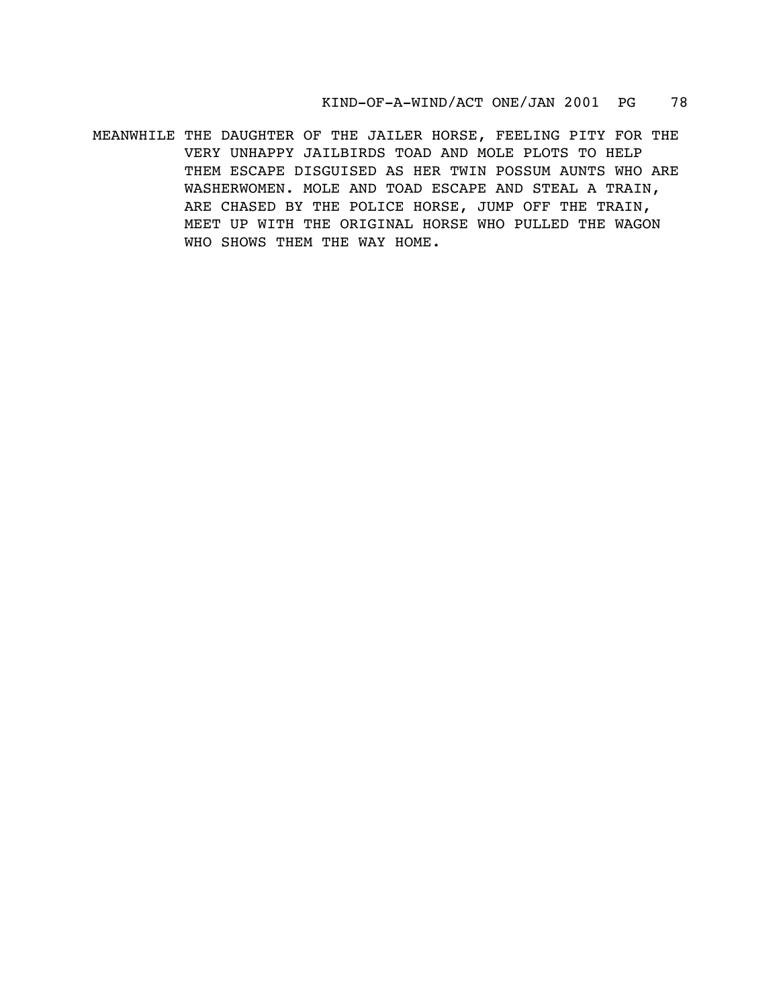MEANWHILE THE DAUGHTER OF THE JAILER HORSE, FEELING PITY FOR THE VERY UNHAPPY JAILBIRDS TOAD AND MOLE PLOTS TO HELP THEM ESCAPE DISGUISED AS HER TWIN POSSUM AUNTS WHO ARE WASHERWOMEN. MOLE AND TOAD ESCAPE AND STEAL A TRAIN, ARE CHASED BY THE POLICE HORSE, JUMP OFF THE TRAIN, MEET UP WITH THE ORIGINAL HORSE WHO PULLED THE WAGON WHO SHOWS THEM THE WAY HOME.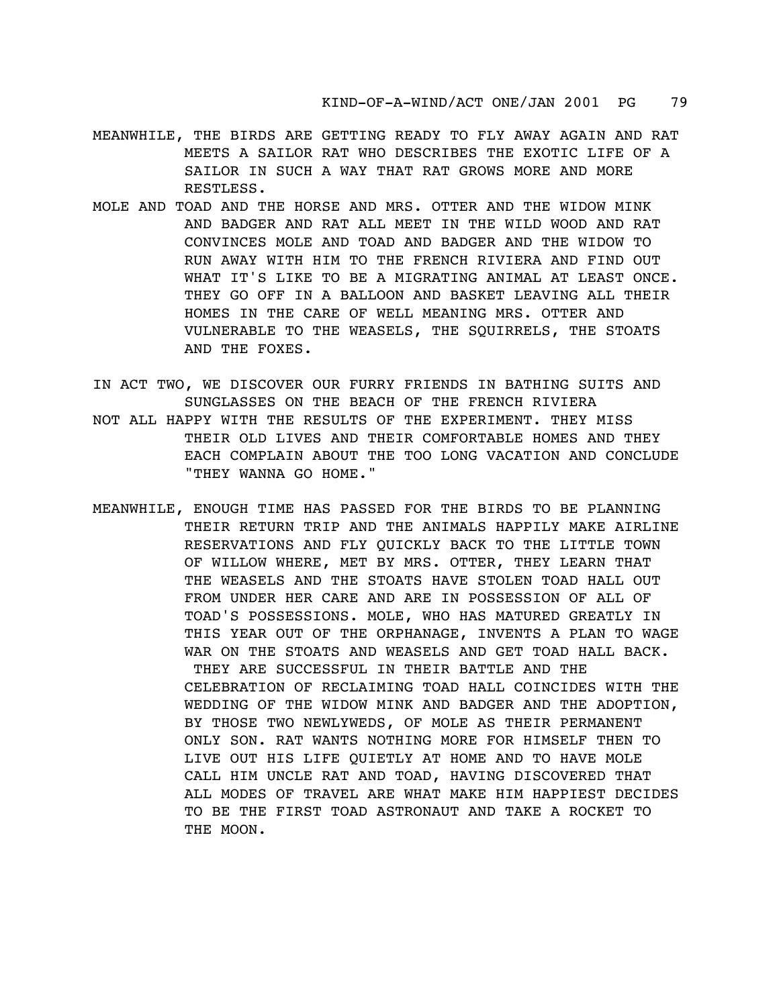- MEANWHILE, THE BIRDS ARE GETTING READY TO FLY AWAY AGAIN AND RAT MEETS A SAILOR RAT WHO DESCRIBES THE EXOTIC LIFE OF A SAILOR IN SUCH A WAY THAT RAT GROWS MORE AND MORE RESTLESS.
- MOLE AND TOAD AND THE HORSE AND MRS. OTTER AND THE WIDOW MINK AND BADGER AND RAT ALL MEET IN THE WILD WOOD AND RAT CONVINCES MOLE AND TOAD AND BADGER AND THE WIDOW TO RUN AWAY WITH HIM TO THE FRENCH RIVIERA AND FIND OUT WHAT IT'S LIKE TO BE A MIGRATING ANIMAL AT LEAST ONCE. THEY GO OFF IN A BALLOON AND BASKET LEAVING ALL THEIR HOMES IN THE CARE OF WELL MEANING MRS. OTTER AND VULNERABLE TO THE WEASELS, THE SQUIRRELS, THE STOATS AND THE FOXES.
- IN ACT TWO, WE DISCOVER OUR FURRY FRIENDS IN BATHING SUITS AND SUNGLASSES ON THE BEACH OF THE FRENCH RIVIERA NOT ALL HAPPY WITH THE RESULTS OF THE EXPERIMENT. THEY MISS THEIR OLD LIVES AND THEIR COMFORTABLE HOMES AND THEY EACH COMPLAIN ABOUT THE TOO LONG VACATION AND CONCLUDE "THEY WANNA GO HOME."
- MEANWHILE, ENOUGH TIME HAS PASSED FOR THE BIRDS TO BE PLANNING THEIR RETURN TRIP AND THE ANIMALS HAPPILY MAKE AIRLINE RESERVATIONS AND FLY QUICKLY BACK TO THE LITTLE TOWN OF WILLOW WHERE, MET BY MRS. OTTER, THEY LEARN THAT THE WEASELS AND THE STOATS HAVE STOLEN TOAD HALL OUT FROM UNDER HER CARE AND ARE IN POSSESSION OF ALL OF TOAD'S POSSESSIONS. MOLE, WHO HAS MATURED GREATLY IN THIS YEAR OUT OF THE ORPHANAGE, INVENTS A PLAN TO WAGE WAR ON THE STOATS AND WEASELS AND GET TOAD HALL BACK. THEY ARE SUCCESSFUL IN THEIR BATTLE AND THE CELEBRATION OF RECLAIMING TOAD HALL COINCIDES WITH THE WEDDING OF THE WIDOW MINK AND BADGER AND THE ADOPTION, BY THOSE TWO NEWLYWEDS, OF MOLE AS THEIR PERMANENT ONLY SON. RAT WANTS NOTHING MORE FOR HIMSELF THEN TO LIVE OUT HIS LIFE QUIETLY AT HOME AND TO HAVE MOLE CALL HIM UNCLE RAT AND TOAD, HAVING DISCOVERED THAT ALL MODES OF TRAVEL ARE WHAT MAKE HIM HAPPIEST DECIDES TO BE THE FIRST TOAD ASTRONAUT AND TAKE A ROCKET TO THE MOON.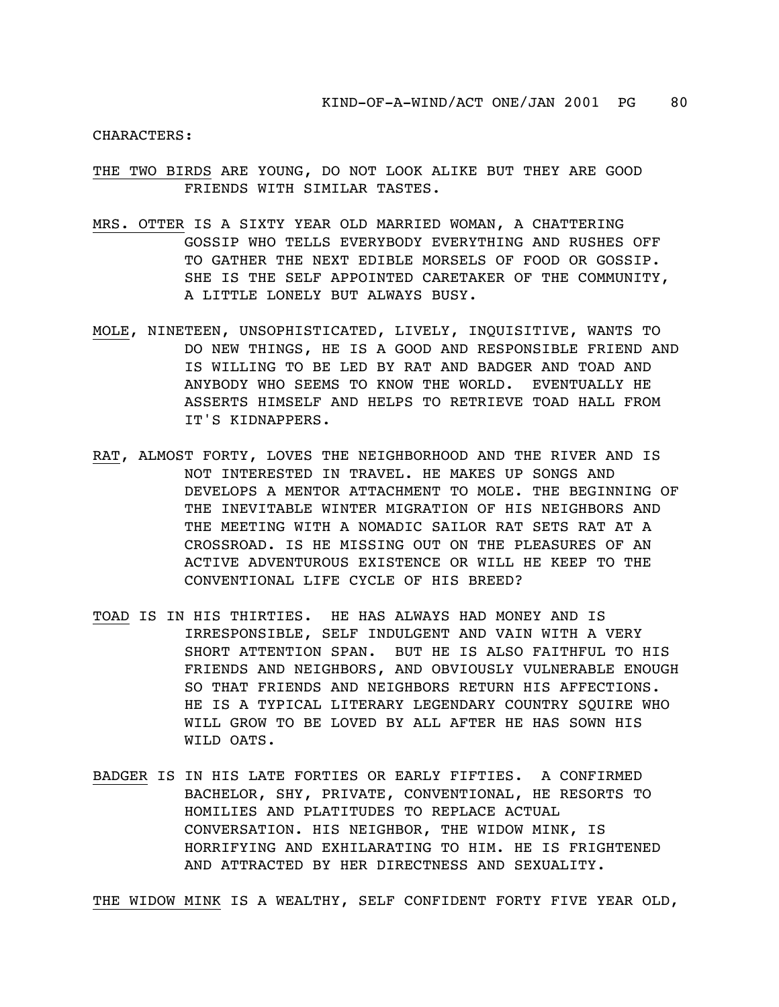CHARACTERS:

- THE TWO BIRDS ARE YOUNG, DO NOT LOOK ALIKE BUT THEY ARE GOOD FRIENDS WITH SIMILAR TASTES.
- MRS. OTTER IS A SIXTY YEAR OLD MARRIED WOMAN, A CHATTERING GOSSIP WHO TELLS EVERYBODY EVERYTHING AND RUSHES OFF TO GATHER THE NEXT EDIBLE MORSELS OF FOOD OR GOSSIP. SHE IS THE SELF APPOINTED CARETAKER OF THE COMMUNITY, A LITTLE LONELY BUT ALWAYS BUSY.
- MOLE, NINETEEN, UNSOPHISTICATED, LIVELY, INQUISITIVE, WANTS TO DO NEW THINGS, HE IS A GOOD AND RESPONSIBLE FRIEND AND IS WILLING TO BE LED BY RAT AND BADGER AND TOAD AND ANYBODY WHO SEEMS TO KNOW THE WORLD. EVENTUALLY HE ASSERTS HIMSELF AND HELPS TO RETRIEVE TOAD HALL FROM IT'S KIDNAPPERS.
- RAT, ALMOST FORTY, LOVES THE NEIGHBORHOOD AND THE RIVER AND IS NOT INTERESTED IN TRAVEL. HE MAKES UP SONGS AND DEVELOPS A MENTOR ATTACHMENT TO MOLE. THE BEGINNING OF THE INEVITABLE WINTER MIGRATION OF HIS NEIGHBORS AND THE MEETING WITH A NOMADIC SAILOR RAT SETS RAT AT A CROSSROAD. IS HE MISSING OUT ON THE PLEASURES OF AN ACTIVE ADVENTUROUS EXISTENCE OR WILL HE KEEP TO THE CONVENTIONAL LIFE CYCLE OF HIS BREED?
- TOAD IS IN HIS THIRTIES. HE HAS ALWAYS HAD MONEY AND IS IRRESPONSIBLE, SELF INDULGENT AND VAIN WITH A VERY SHORT ATTENTION SPAN. BUT HE IS ALSO FAITHFUL TO HIS FRIENDS AND NEIGHBORS, AND OBVIOUSLY VULNERABLE ENOUGH SO THAT FRIENDS AND NEIGHBORS RETURN HIS AFFECTIONS. HE IS A TYPICAL LITERARY LEGENDARY COUNTRY SQUIRE WHO WILL GROW TO BE LOVED BY ALL AFTER HE HAS SOWN HIS WILD OATS.
- BADGER IS IN HIS LATE FORTIES OR EARLY FIFTIES. A CONFIRMED BACHELOR, SHY, PRIVATE, CONVENTIONAL, HE RESORTS TO HOMILIES AND PLATITUDES TO REPLACE ACTUAL CONVERSATION. HIS NEIGHBOR, THE WIDOW MINK, IS HORRIFYING AND EXHILARATING TO HIM. HE IS FRIGHTENED AND ATTRACTED BY HER DIRECTNESS AND SEXUALITY.

THE WIDOW MINK IS A WEALTHY, SELF CONFIDENT FORTY FIVE YEAR OLD,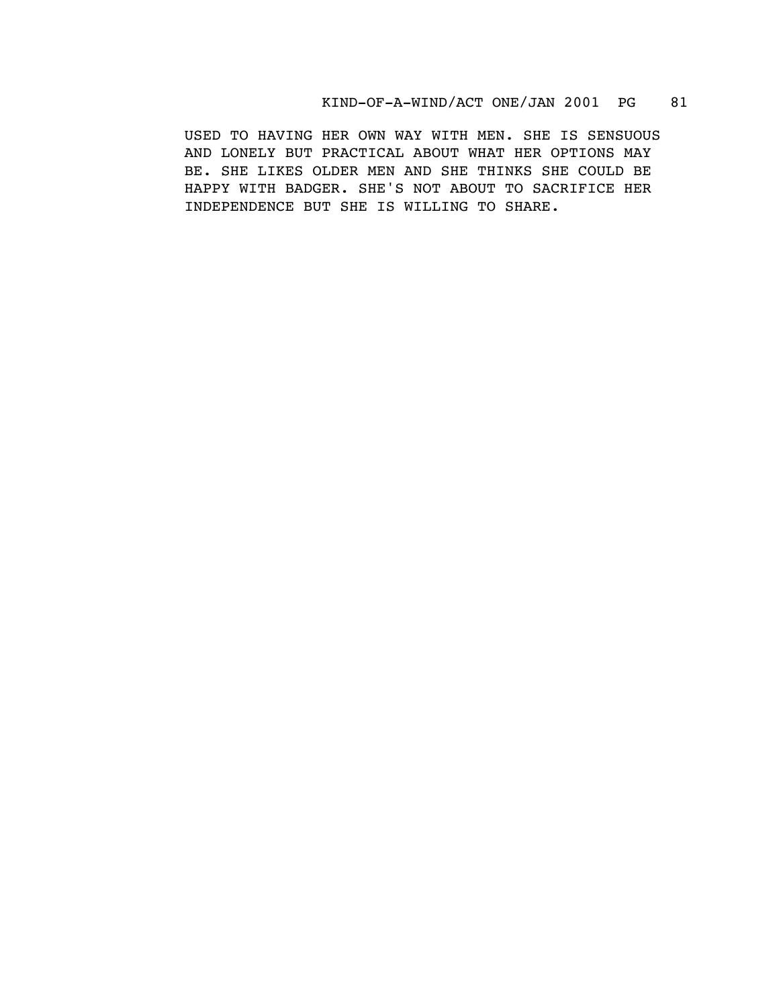## KIND-OF-A-WIND/ACT ONE/JAN 2001 PG 81

USED TO HAVING HER OWN WAY WITH MEN. SHE IS SENSUOUS AND LONELY BUT PRACTICAL ABOUT WHAT HER OPTIONS MAY BE. SHE LIKES OLDER MEN AND SHE THINKS SHE COULD BE HAPPY WITH BADGER. SHE'S NOT ABOUT TO SACRIFICE HER INDEPENDENCE BUT SHE IS WILLING TO SHARE.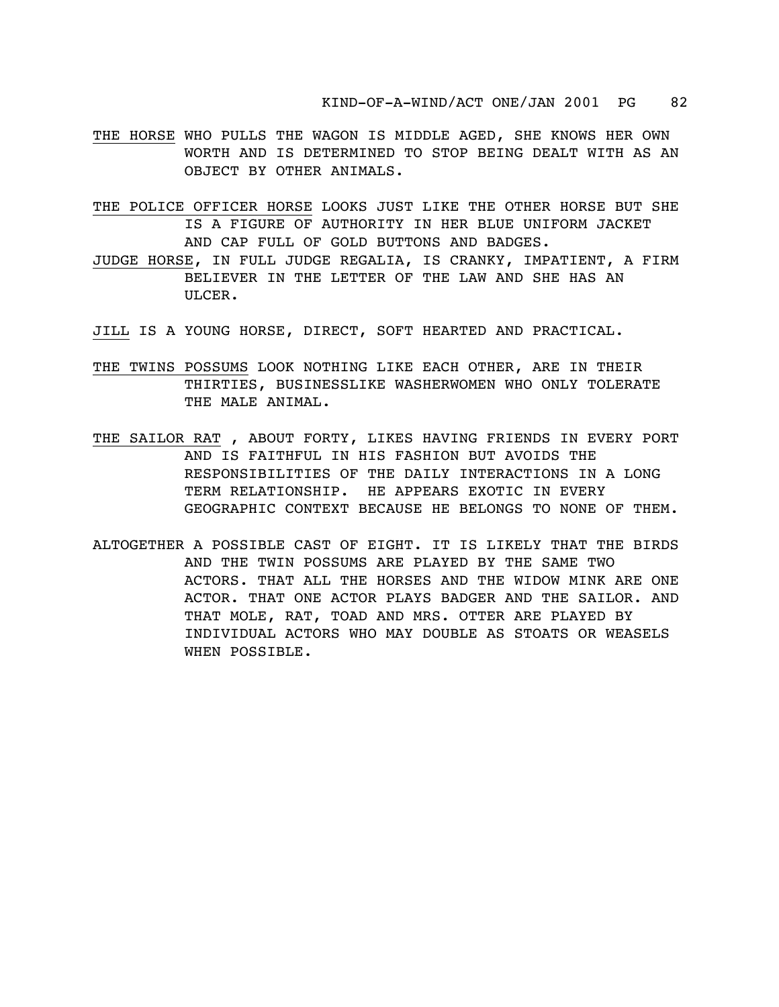- THE HORSE WHO PULLS THE WAGON IS MIDDLE AGED, SHE KNOWS HER OWN WORTH AND IS DETERMINED TO STOP BEING DEALT WITH AS AN OBJECT BY OTHER ANIMALS.
- THE POLICE OFFICER HORSE LOOKS JUST LIKE THE OTHER HORSE BUT SHE IS A FIGURE OF AUTHORITY IN HER BLUE UNIFORM JACKET AND CAP FULL OF GOLD BUTTONS AND BADGES.
- JUDGE HORSE, IN FULL JUDGE REGALIA, IS CRANKY, IMPATIENT, A FIRM BELIEVER IN THE LETTER OF THE LAW AND SHE HAS AN ULCER.
- JILL IS A YOUNG HORSE, DIRECT, SOFT HEARTED AND PRACTICAL.
- THE TWINS POSSUMS LOOK NOTHING LIKE EACH OTHER, ARE IN THEIR THIRTIES, BUSINESSLIKE WASHERWOMEN WHO ONLY TOLERATE THE MALE ANIMAL.
- THE SAILOR RAT , ABOUT FORTY, LIKES HAVING FRIENDS IN EVERY PORT AND IS FAITHFUL IN HIS FASHION BUT AVOIDS THE RESPONSIBILITIES OF THE DAILY INTERACTIONS IN A LONG TERM RELATIONSHIP. HE APPEARS EXOTIC IN EVERY GEOGRAPHIC CONTEXT BECAUSE HE BELONGS TO NONE OF THEM.
- ALTOGETHER A POSSIBLE CAST OF EIGHT. IT IS LIKELY THAT THE BIRDS AND THE TWIN POSSUMS ARE PLAYED BY THE SAME TWO ACTORS. THAT ALL THE HORSES AND THE WIDOW MINK ARE ONE ACTOR. THAT ONE ACTOR PLAYS BADGER AND THE SAILOR. AND THAT MOLE, RAT, TOAD AND MRS. OTTER ARE PLAYED BY INDIVIDUAL ACTORS WHO MAY DOUBLE AS STOATS OR WEASELS WHEN POSSIBLE.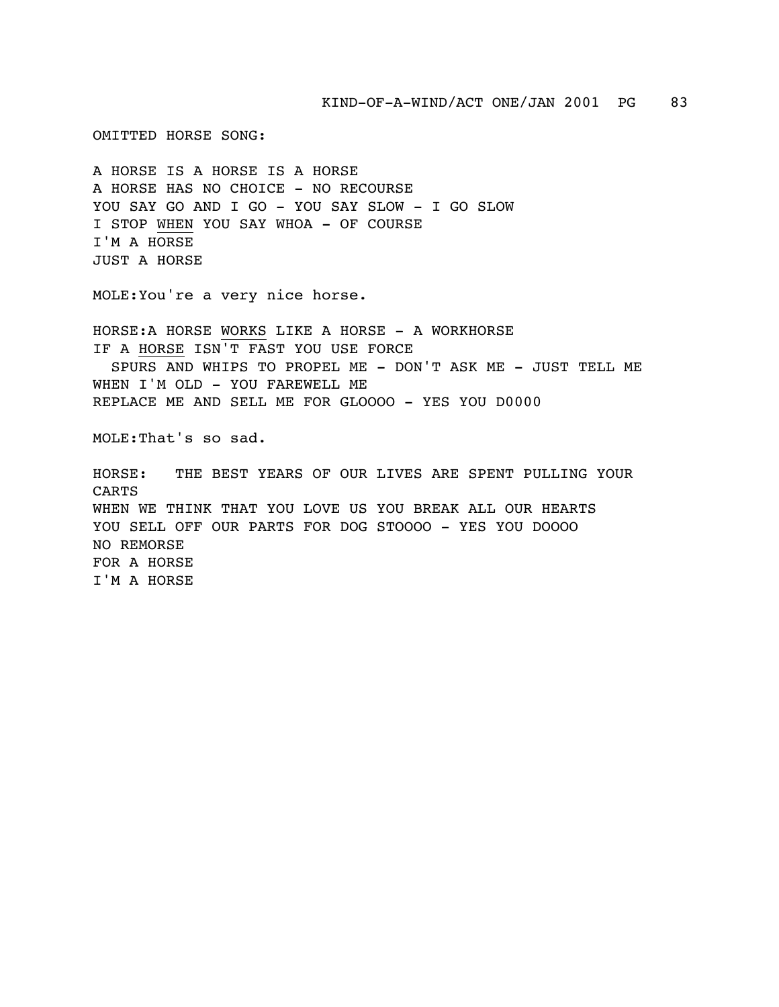KIND-OF-A-WIND/ACT ONE/JAN 2001 PG 83

OMITTED HORSE SONG:

A HORSE IS A HORSE IS A HORSE A HORSE HAS NO CHOICE - NO RECOURSE YOU SAY GO AND I GO - YOU SAY SLOW - I GO SLOW I STOP WHEN YOU SAY WHOA - OF COURSE I'M A HORSE JUST A HORSE

MOLE:You're a very nice horse.

HORSE:A HORSE WORKS LIKE A HORSE - A WORKHORSE IF A HORSE ISN'T FAST YOU USE FORCE SPURS AND WHIPS TO PROPEL ME - DON'T ASK ME - JUST TELL ME WHEN I'M OLD - YOU FAREWELL ME REPLACE ME AND SELL ME FOR GLOOOO - YES YOU D0000

MOLE:That's so sad.

HORSE: THE BEST YEARS OF OUR LIVES ARE SPENT PULLING YOUR CARTS WHEN WE THINK THAT YOU LOVE US YOU BREAK ALL OUR HEARTS YOU SELL OFF OUR PARTS FOR DOG STOOOO - YES YOU DOOOO NO REMORSE FOR A HORSE I'M A HORSE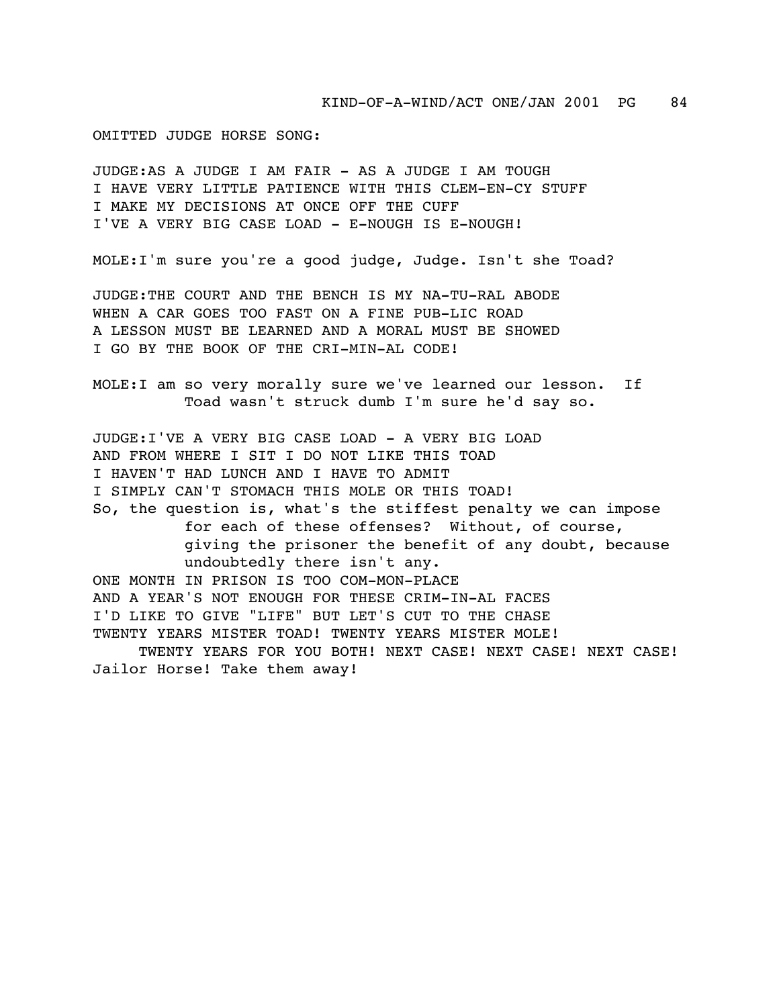OMITTED JUDGE HORSE SONG:

JUDGE:AS A JUDGE I AM FAIR - AS A JUDGE I AM TOUGH I HAVE VERY LITTLE PATIENCE WITH THIS CLEM-EN-CY STUFF I MAKE MY DECISIONS AT ONCE OFF THE CUFF I'VE A VERY BIG CASE LOAD - E-NOUGH IS E-NOUGH!

MOLE:I'm sure you're a good judge, Judge. Isn't she Toad?

JUDGE:THE COURT AND THE BENCH IS MY NA-TU-RAL ABODE WHEN A CAR GOES TOO FAST ON A FINE PUB-LIC ROAD A LESSON MUST BE LEARNED AND A MORAL MUST BE SHOWED I GO BY THE BOOK OF THE CRI-MIN-AL CODE!

MOLE:I am so very morally sure we've learned our lesson. If Toad wasn't struck dumb I'm sure he'd say so.

JUDGE:I'VE A VERY BIG CASE LOAD - A VERY BIG LOAD AND FROM WHERE I SIT I DO NOT LIKE THIS TOAD I HAVEN'T HAD LUNCH AND I HAVE TO ADMIT I SIMPLY CAN'T STOMACH THIS MOLE OR THIS TOAD! So, the question is, what's the stiffest penalty we can impose for each of these offenses? Without, of course, giving the prisoner the benefit of any doubt, because undoubtedly there isn't any. ONE MONTH IN PRISON IS TOO COM-MON-PLACE AND A YEAR'S NOT ENOUGH FOR THESE CRIM-IN-AL FACES I'D LIKE TO GIVE "LIFE" BUT LET'S CUT TO THE CHASE TWENTY YEARS MISTER TOAD! TWENTY YEARS MISTER MOLE! TWENTY YEARS FOR YOU BOTH! NEXT CASE! NEXT CASE! NEXT CASE! Jailor Horse! Take them away!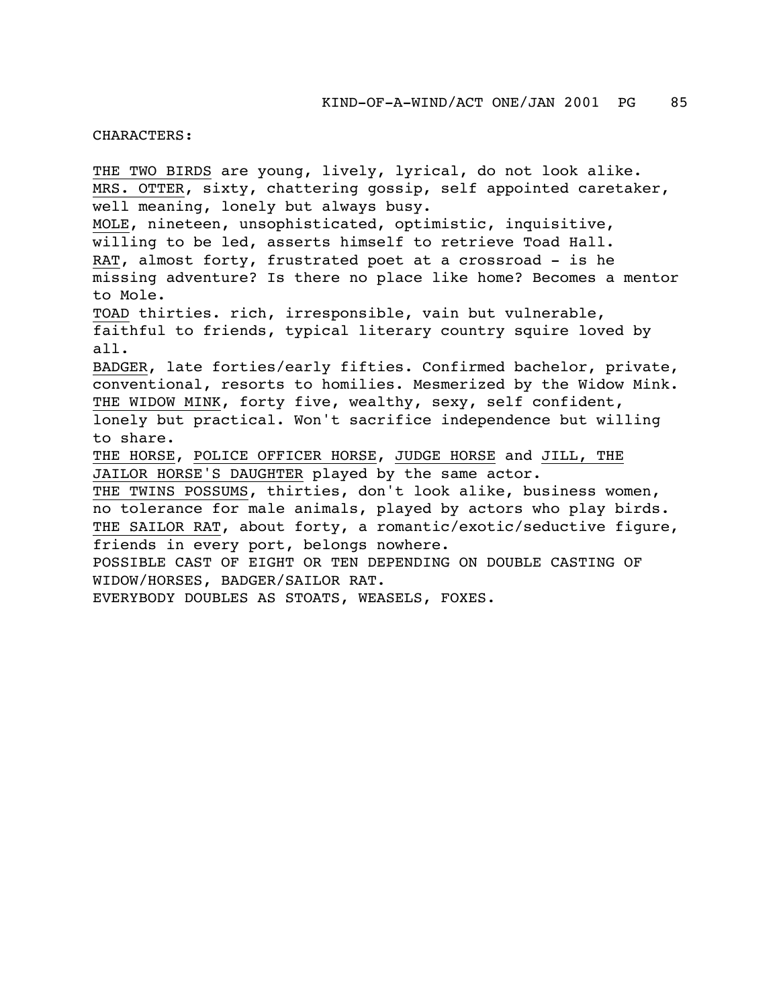## CHARACTERS:

THE TWO BIRDS are young, lively, lyrical, do not look alike. MRS. OTTER, sixty, chattering gossip, self appointed caretaker, well meaning, lonely but always busy. MOLE, nineteen, unsophisticated, optimistic, inquisitive, willing to be led, asserts himself to retrieve Toad Hall. RAT, almost forty, frustrated poet at a crossroad - is he missing adventure? Is there no place like home? Becomes a mentor to Mole. TOAD thirties. rich, irresponsible, vain but vulnerable, faithful to friends, typical literary country squire loved by all. BADGER, late forties/early fifties. Confirmed bachelor, private, conventional, resorts to homilies. Mesmerized by the Widow Mink. THE WIDOW MINK, forty five, wealthy, sexy, self confident, lonely but practical. Won't sacrifice independence but willing to share. THE HORSE, POLICE OFFICER HORSE, JUDGE HORSE and JILL, THE JAILOR HORSE'S DAUGHTER played by the same actor. THE TWINS POSSUMS, thirties, don't look alike, business women, no tolerance for male animals, played by actors who play birds. THE SAILOR RAT, about forty, a romantic/exotic/seductive figure, friends in every port, belongs nowhere. POSSIBLE CAST OF EIGHT OR TEN DEPENDING ON DOUBLE CASTING OF WIDOW/HORSES, BADGER/SAILOR RAT. EVERYBODY DOUBLES AS STOATS, WEASELS, FOXES.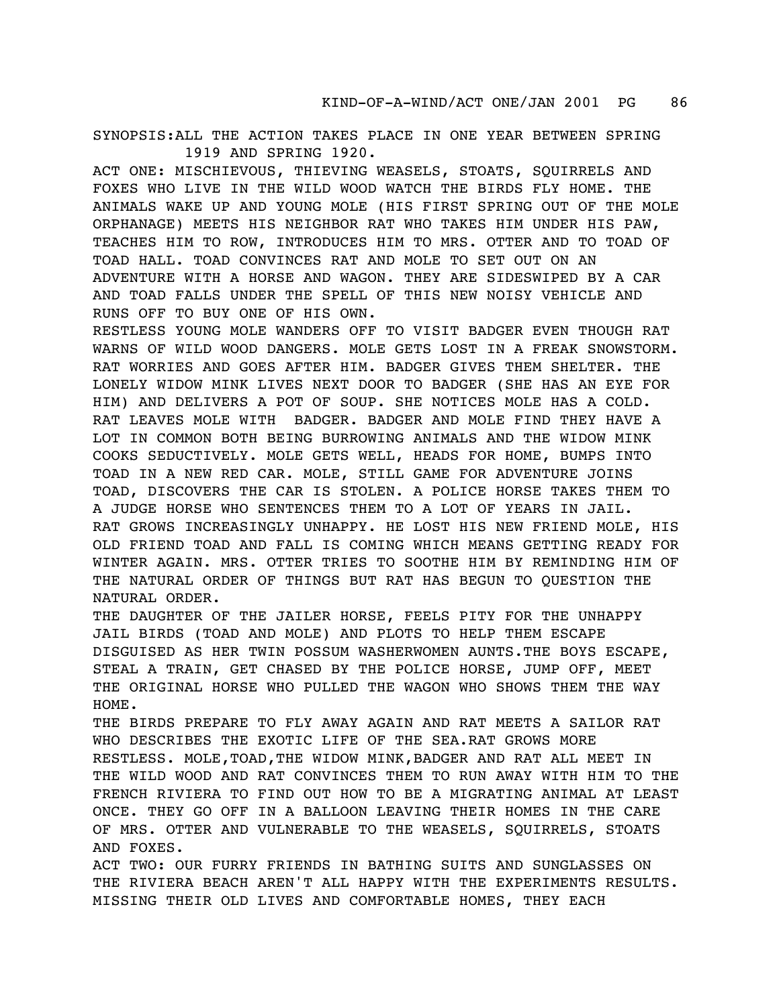SYNOPSIS:ALL THE ACTION TAKES PLACE IN ONE YEAR BETWEEN SPRING 1919 AND SPRING 1920.

ACT ONE: MISCHIEVOUS, THIEVING WEASELS, STOATS, SQUIRRELS AND FOXES WHO LIVE IN THE WILD WOOD WATCH THE BIRDS FLY HOME. THE ANIMALS WAKE UP AND YOUNG MOLE (HIS FIRST SPRING OUT OF THE MOLE ORPHANAGE) MEETS HIS NEIGHBOR RAT WHO TAKES HIM UNDER HIS PAW, TEACHES HIM TO ROW, INTRODUCES HIM TO MRS. OTTER AND TO TOAD OF TOAD HALL. TOAD CONVINCES RAT AND MOLE TO SET OUT ON AN ADVENTURE WITH A HORSE AND WAGON. THEY ARE SIDESWIPED BY A CAR AND TOAD FALLS UNDER THE SPELL OF THIS NEW NOISY VEHICLE AND RUNS OFF TO BUY ONE OF HIS OWN.

RESTLESS YOUNG MOLE WANDERS OFF TO VISIT BADGER EVEN THOUGH RAT WARNS OF WILD WOOD DANGERS. MOLE GETS LOST IN A FREAK SNOWSTORM. RAT WORRIES AND GOES AFTER HIM. BADGER GIVES THEM SHELTER. THE LONELY WIDOW MINK LIVES NEXT DOOR TO BADGER (SHE HAS AN EYE FOR HIM) AND DELIVERS A POT OF SOUP. SHE NOTICES MOLE HAS A COLD. RAT LEAVES MOLE WITH BADGER. BADGER AND MOLE FIND THEY HAVE A LOT IN COMMON BOTH BEING BURROWING ANIMALS AND THE WIDOW MINK COOKS SEDUCTIVELY. MOLE GETS WELL, HEADS FOR HOME, BUMPS INTO TOAD IN A NEW RED CAR. MOLE, STILL GAME FOR ADVENTURE JOINS TOAD, DISCOVERS THE CAR IS STOLEN. A POLICE HORSE TAKES THEM TO A JUDGE HORSE WHO SENTENCES THEM TO A LOT OF YEARS IN JAIL. RAT GROWS INCREASINGLY UNHAPPY. HE LOST HIS NEW FRIEND MOLE, HIS OLD FRIEND TOAD AND FALL IS COMING WHICH MEANS GETTING READY FOR WINTER AGAIN. MRS. OTTER TRIES TO SOOTHE HIM BY REMINDING HIM OF THE NATURAL ORDER OF THINGS BUT RAT HAS BEGUN TO QUESTION THE NATURAL ORDER.

THE DAUGHTER OF THE JAILER HORSE, FEELS PITY FOR THE UNHAPPY JAIL BIRDS (TOAD AND MOLE) AND PLOTS TO HELP THEM ESCAPE DISGUISED AS HER TWIN POSSUM WASHERWOMEN AUNTS.THE BOYS ESCAPE, STEAL A TRAIN, GET CHASED BY THE POLICE HORSE, JUMP OFF, MEET THE ORIGINAL HORSE WHO PULLED THE WAGON WHO SHOWS THEM THE WAY HOME.

THE BIRDS PREPARE TO FLY AWAY AGAIN AND RAT MEETS A SAILOR RAT WHO DESCRIBES THE EXOTIC LIFE OF THE SEA.RAT GROWS MORE RESTLESS. MOLE,TOAD,THE WIDOW MINK,BADGER AND RAT ALL MEET IN THE WILD WOOD AND RAT CONVINCES THEM TO RUN AWAY WITH HIM TO THE FRENCH RIVIERA TO FIND OUT HOW TO BE A MIGRATING ANIMAL AT LEAST ONCE. THEY GO OFF IN A BALLOON LEAVING THEIR HOMES IN THE CARE OF MRS. OTTER AND VULNERABLE TO THE WEASELS, SQUIRRELS, STOATS AND FOXES.

ACT TWO: OUR FURRY FRIENDS IN BATHING SUITS AND SUNGLASSES ON THE RIVIERA BEACH AREN'T ALL HAPPY WITH THE EXPERIMENTS RESULTS. MISSING THEIR OLD LIVES AND COMFORTABLE HOMES, THEY EACH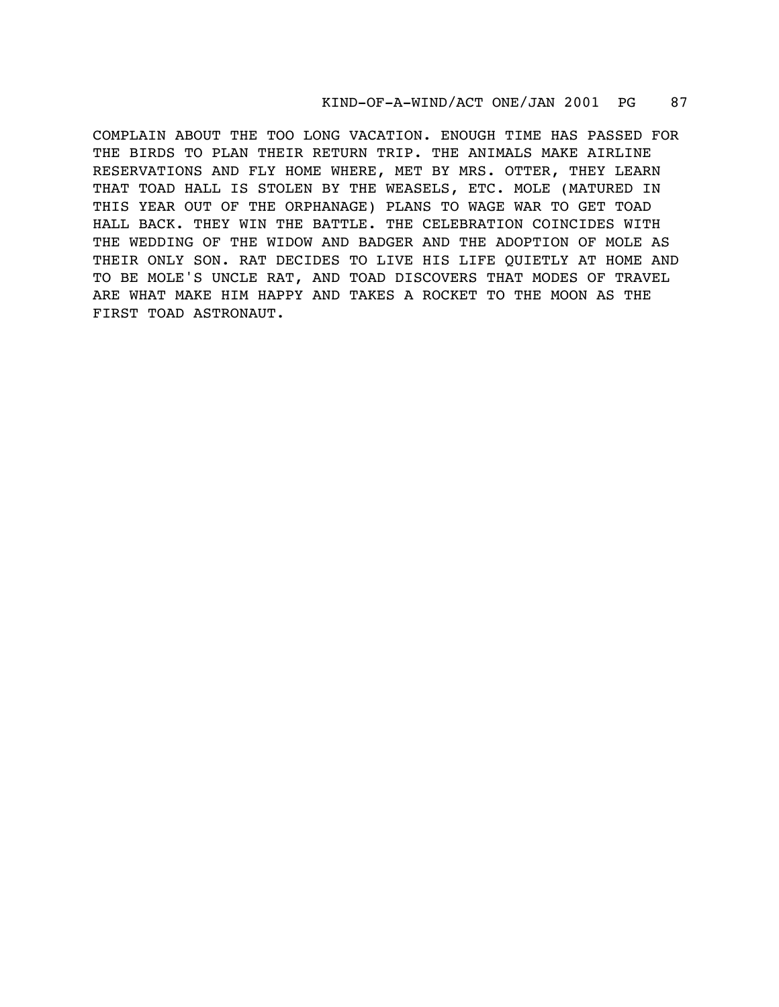## KIND-OF-A-WIND/ACT ONE/JAN 2001 PG 87

COMPLAIN ABOUT THE TOO LONG VACATION. ENOUGH TIME HAS PASSED FOR THE BIRDS TO PLAN THEIR RETURN TRIP. THE ANIMALS MAKE AIRLINE RESERVATIONS AND FLY HOME WHERE, MET BY MRS. OTTER, THEY LEARN THAT TOAD HALL IS STOLEN BY THE WEASELS, ETC. MOLE (MATURED IN THIS YEAR OUT OF THE ORPHANAGE) PLANS TO WAGE WAR TO GET TOAD HALL BACK. THEY WIN THE BATTLE. THE CELEBRATION COINCIDES WITH THE WEDDING OF THE WIDOW AND BADGER AND THE ADOPTION OF MOLE AS THEIR ONLY SON. RAT DECIDES TO LIVE HIS LIFE QUIETLY AT HOME AND TO BE MOLE'S UNCLE RAT, AND TOAD DISCOVERS THAT MODES OF TRAVEL ARE WHAT MAKE HIM HAPPY AND TAKES A ROCKET TO THE MOON AS THE FIRST TOAD ASTRONAUT.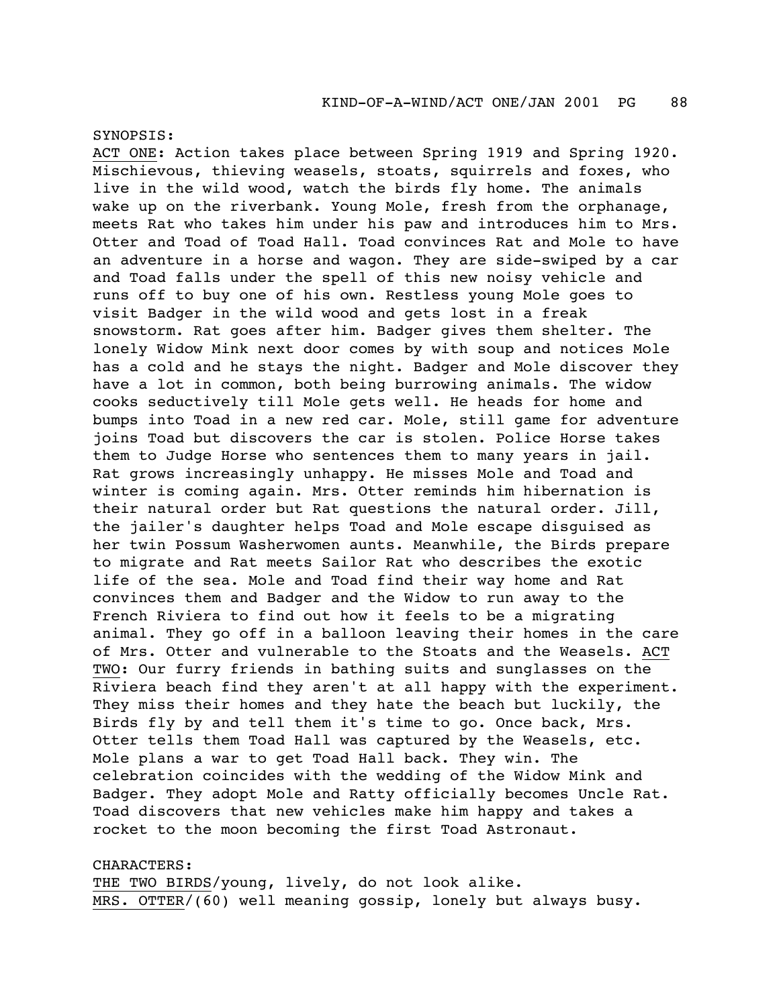SYNOPSIS:

ACT ONE: Action takes place between Spring 1919 and Spring 1920. Mischievous, thieving weasels, stoats, squirrels and foxes, who live in the wild wood, watch the birds fly home. The animals wake up on the riverbank. Young Mole, fresh from the orphanage, meets Rat who takes him under his paw and introduces him to Mrs. Otter and Toad of Toad Hall. Toad convinces Rat and Mole to have an adventure in a horse and wagon. They are side-swiped by a car and Toad falls under the spell of this new noisy vehicle and runs off to buy one of his own. Restless young Mole goes to visit Badger in the wild wood and gets lost in a freak snowstorm. Rat goes after him. Badger gives them shelter. The lonely Widow Mink next door comes by with soup and notices Mole has a cold and he stays the night. Badger and Mole discover they have a lot in common, both being burrowing animals. The widow cooks seductively till Mole gets well. He heads for home and bumps into Toad in a new red car. Mole, still game for adventure joins Toad but discovers the car is stolen. Police Horse takes them to Judge Horse who sentences them to many years in jail. Rat grows increasingly unhappy. He misses Mole and Toad and winter is coming again. Mrs. Otter reminds him hibernation is their natural order but Rat questions the natural order. Jill, the jailer's daughter helps Toad and Mole escape disguised as her twin Possum Washerwomen aunts. Meanwhile, the Birds prepare to migrate and Rat meets Sailor Rat who describes the exotic life of the sea. Mole and Toad find their way home and Rat convinces them and Badger and the Widow to run away to the French Riviera to find out how it feels to be a migrating animal. They go off in a balloon leaving their homes in the care of Mrs. Otter and vulnerable to the Stoats and the Weasels. ACT TWO: Our furry friends in bathing suits and sunglasses on the Riviera beach find they aren't at all happy with the experiment. They miss their homes and they hate the beach but luckily, the Birds fly by and tell them it's time to go. Once back, Mrs. Otter tells them Toad Hall was captured by the Weasels, etc. Mole plans a war to get Toad Hall back. They win. The celebration coincides with the wedding of the Widow Mink and Badger. They adopt Mole and Ratty officially becomes Uncle Rat. Toad discovers that new vehicles make him happy and takes a rocket to the moon becoming the first Toad Astronaut.

CHARACTERS: THE TWO BIRDS/young, lively, do not look alike. MRS. OTTER/(60) well meaning gossip, lonely but always busy.